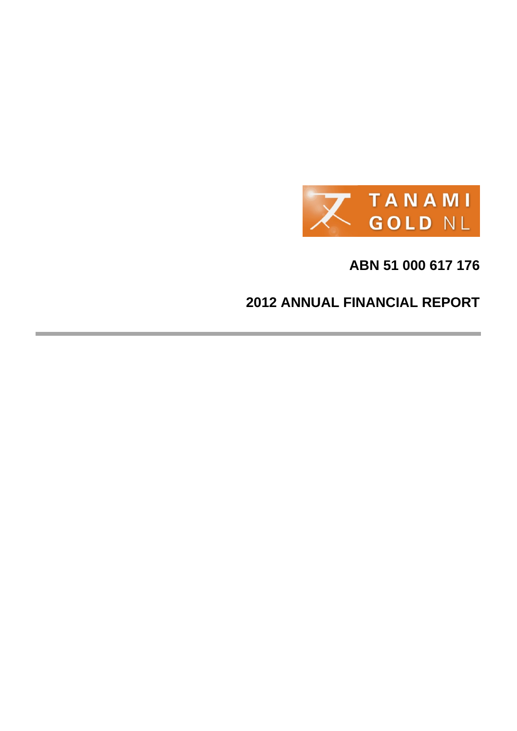

# **ABN 51 000 617 176**

# **2012 ANNUAL FINANCIAL REPORT**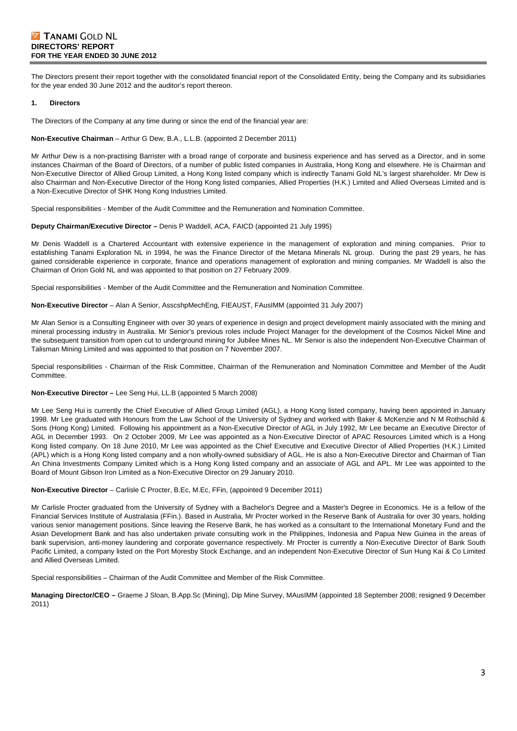### **Z TANAMI GOLD NL DIRECTORS' REPORT FOR THE YEAR ENDED 30 JUNE 2012**

The Directors present their report together with the consolidated financial report of the Consolidated Entity, being the Company and its subsidiaries for the year ended 30 June 2012 and the auditor's report thereon.

#### **1. Directors**

The Directors of the Company at any time during or since the end of the financial year are:

#### **Non-Executive Chairman** – Arthur G Dew, B.A., L.L.B. (appointed 2 December 2011)

Mr Arthur Dew is a non-practising Barrister with a broad range of corporate and business experience and has served as a Director, and in some instances Chairman of the Board of Directors, of a number of public listed companies in Australia, Hong Kong and elsewhere. He is Chairman and Non-Executive Director of Allied Group Limited, a Hong Kong listed company which is indirectly Tanami Gold NL's largest shareholder. Mr Dew is also Chairman and Non-Executive Director of the Hong Kong listed companies, Allied Properties (H.K.) Limited and Allied Overseas Limited and is a Non-Executive Director of SHK Hong Kong Industries Limited.

Special responsibilities - Member of the Audit Committee and the Remuneration and Nomination Committee.

#### **Deputy Chairman/Executive Director –** Denis P Waddell, ACA, FAICD (appointed 21 July 1995)

Mr Denis Waddell is a Chartered Accountant with extensive experience in the management of exploration and mining companies. Prior to establishing Tanami Exploration NL in 1994, he was the Finance Director of the Metana Minerals NL group. During the past 29 years, he has gained considerable experience in corporate, finance and operations management of exploration and mining companies. Mr Waddell is also the Chairman of Orion Gold NL and was appointed to that position on 27 February 2009.

Special responsibilities - Member of the Audit Committee and the Remuneration and Nomination Committee.

#### **Non-Executive Director** – Alan A Senior, AsscshpMechEng, FIEAUST, FAusIMM (appointed 31 July 2007)

Mr Alan Senior is a Consulting Engineer with over 30 years of experience in design and project development mainly associated with the mining and mineral processing industry in Australia. Mr Senior's previous roles include Project Manager for the development of the Cosmos Nickel Mine and the subsequent transition from open cut to underground mining for Jubilee Mines NL. Mr Senior is also the independent Non-Executive Chairman of Talisman Mining Limited and was appointed to that position on 7 November 2007.

Special responsibilities - Chairman of the Risk Committee, Chairman of the Remuneration and Nomination Committee and Member of the Audit Committee.

#### **Non-Executive Director –** Lee Seng Hui, LL.B (appointed 5 March 2008)

Mr Lee Seng Hui is currently the Chief Executive of Allied Group Limited (AGL), a Hong Kong listed company, having been appointed in January 1998. Mr Lee graduated with Honours from the Law School of the University of Sydney and worked with Baker & McKenzie and N M Rothschild & Sons (Hong Kong) Limited. Following his appointment as a Non-Executive Director of AGL in July 1992, Mr Lee became an Executive Director of AGL in December 1993. On 2 October 2009, Mr Lee was appointed as a Non-Executive Director of APAC Resources Limited which is a Hong Kong listed company. On 18 June 2010, Mr Lee was appointed as the Chief Executive and Executive Director of Allied Properties (H.K.) Limited (APL) which is a Hong Kong listed company and a non wholly-owned subsidiary of AGL. He is also a Non-Executive Director and Chairman of Tian An China Investments Company Limited which is a Hong Kong listed company and an associate of AGL and APL. Mr Lee was appointed to the Board of Mount Gibson Iron Limited as a Non-Executive Director on 29 January 2010.

**Non-Executive Director** – Carlisle C Procter, B.Ec, M.Ec, FFin, (appointed 9 December 2011)

Mr Carlisle Procter graduated from the University of Sydney with a Bachelor's Degree and a Master's Degree in Economics. He is a fellow of the Financial Services Institute of Australasia (FFin.). Based in Australia, Mr Procter worked in the Reserve Bank of Australia for over 30 years, holding various senior management positions. Since leaving the Reserve Bank, he has worked as a consultant to the International Monetary Fund and the Asian Development Bank and has also undertaken private consulting work in the Philippines, Indonesia and Papua New Guinea in the areas of bank supervision, anti-money laundering and corporate governance respectively. Mr Procter is currently a Non-Executive Director of Bank South Pacific Limited, a company listed on the Port Moresby Stock Exchange, and an independent Non-Executive Director of Sun Hung Kai & Co Limited and Allied Overseas Limited.

Special responsibilities – Chairman of the Audit Committee and Member of the Risk Committee.

**Managing Director/CEO –** Graeme J Sloan, B.App.Sc (Mining), Dip Mine Survey, MAusIMM (appointed 18 September 2008; resigned 9 December 2011)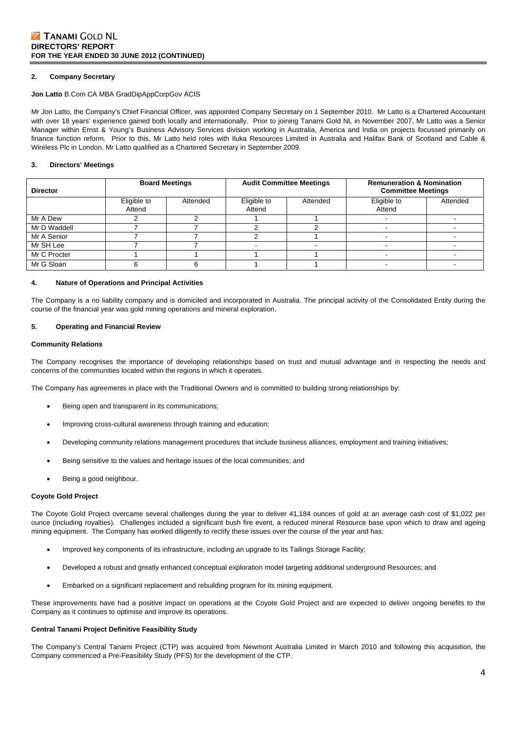#### **2. Company Secretary**

#### **Jon Latto** B.Com CA MBA GradDipAppCorpGov ACIS

Mr Jon Latto, the Company's Chief Financial Officer, was appointed Company Secretary on 1 September 2010. Mr Latto is a Chartered Accountant with over 18 years' experience gained both locally and internationally. Prior to joining Tanami Gold NL in November 2007, Mr Latto was a Senior Manager within Ernst & Young's Business Advisory Services division working in Australia, America and India on projects focussed primarily on finance function reform. Prior to this, Mr Latto held roles with Iluka Resources Limited in Australia and Halifax Bank of Scotland and Cable & Wireless Plc in London. Mr Latto qualified as a Chartered Secretary in September 2009.

#### **3. Directors' Meetings**

| <b>Director</b> | <b>Board Meetings</b> |          |                       | <b>Audit Committee Meetings</b> | <b>Remuneration &amp; Nomination</b><br><b>Committee Meetings</b> |          |
|-----------------|-----------------------|----------|-----------------------|---------------------------------|-------------------------------------------------------------------|----------|
|                 | Eligible to<br>Attend | Attended | Eligible to<br>Attend | Attended                        | Eligible to<br>Attend                                             | Attended |
| Mr A Dew        |                       |          |                       |                                 |                                                                   |          |
| Mr D Waddell    |                       |          |                       |                                 |                                                                   |          |
| Mr A Senior     |                       |          |                       |                                 |                                                                   |          |
| Mr SH Lee       |                       |          |                       |                                 |                                                                   |          |
| Mr C Procter    |                       |          |                       |                                 |                                                                   |          |
| Mr G Sloan      |                       |          |                       |                                 |                                                                   |          |

#### **4. Nature of Operations and Principal Activities**

The Company is a no liability company and is domiciled and incorporated in Australia. The principal activity of the Consolidated Entity during the course of the financial year was gold mining operations and mineral exploration.

#### **5. Operating and Financial Review**

#### **Community Relations**

The Company recognises the importance of developing relationships based on trust and mutual advantage and in respecting the needs and concerns of the communities located within the regions in which it operates.

The Company has agreements in place with the Traditional Owners and is committed to building strong relationships by:

- Being open and transparent in its communications;
- Improving cross-cultural awareness through training and education;
- Developing community relations management procedures that include business alliances, employment and training initiatives;
- Being sensitive to the values and heritage issues of the local communities; and
- Being a good neighbour.

#### **Coyote Gold Project**

The Coyote Gold Project overcame several challenges during the year to deliver 41,184 ounces of gold at an average cash cost of \$1,022 per ounce (including royalties). Challenges included a significant bush fire event, a reduced mineral Resource base upon which to draw and ageing mining equipment. The Company has worked diligently to rectify these issues over the course of the year and has:

- Improved key components of its infrastructure, including an upgrade to its Tailings Storage Facility;
- Developed a robust and greatly enhanced conceptual exploration model targeting additional underground Resources; and
- Embarked on a significant replacement and rebuilding program for its mining equipment.

These improvements have had a positive impact on operations at the Coyote Gold Project and are expected to deliver ongoing benefits to the Company as it continues to optimise and improve its operations.

#### **Central Tanami Project Definitive Feasibility Study**

The Company's Central Tanami Project (CTP) was acquired from Newmont Australia Limited in March 2010 and following this acquisition, the Company commenced a Pre-Feasibility Study (PFS) for the development of the CTP.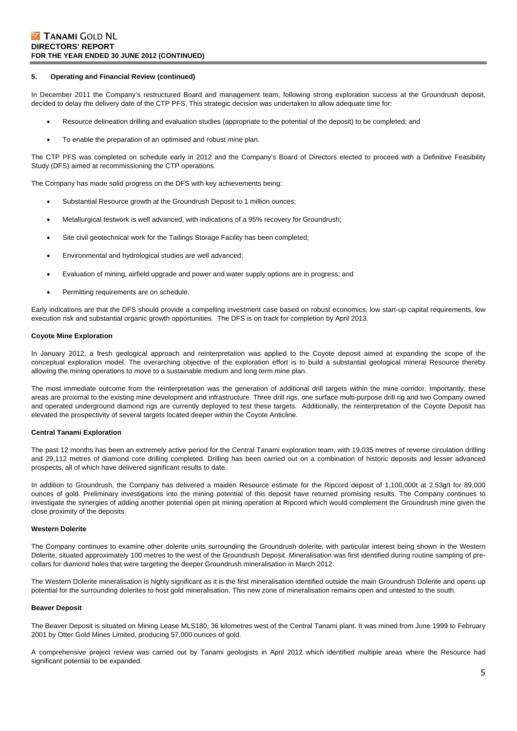#### **5. Operating and Financial Review (continued)**

In December 2011 the Company's restructured Board and management team, following strong exploration success at the Groundrush deposit, decided to delay the delivery date of the CTP PFS. This strategic decision was undertaken to allow adequate time for:

- Resource delineation drilling and evaluation studies (appropriate to the potential of the deposit) to be completed; and
- To enable the preparation of an optimised and robust mine plan.

The CTP PFS was completed on schedule early in 2012 and the Company's Board of Directors elected to proceed with a Definitive Feasibility Study (DFS) aimed at recommissioning the CTP operations.

The Company has made solid progress on the DFS with key achievements being:

- Substantial Resource growth at the Groundrush Deposit to 1 million ounces;
- Metallurgical testwork is well advanced, with indications of a 95% recovery for Groundrush;
- Site civil geotechnical work for the Tailings Storage Facility has been completed;
- Environmental and hydrological studies are well advanced;
- Evaluation of mining, airfield upgrade and power and water supply options are in progress; and
- Permitting requirements are on schedule.

Early indications are that the DFS should provide a compelling investment case based on robust economics, low start-up capital requirements, low execution risk and substantial organic growth opportunities. The DFS is on track for completion by April 2013.

#### **Coyote Mine Exploration**

In January 2012, a fresh geological approach and reinterpretation was applied to the Coyote deposit aimed at expanding the scope of the conceptual exploration model. The overarching objective of the exploration effort is to build a substantial geological mineral Resource thereby allowing the mining operations to move to a sustainable medium and long term mine plan.

The most immediate outcome from the reinterpretation was the generation of additional drill targets within the mine corridor. Importantly, these areas are proximal to the existing mine development and infrastructure. Three drill rigs, one surface multi-purpose drill rig and two Company owned and operated underground diamond rigs are currently deployed to test these targets. Additionally, the reinterpretation of the Coyote Deposit has elevated the prospectivity of several targets located deeper within the Coyote Anticline.

#### **Central Tanami Exploration**

The past 12 months has been an extremely active period for the Central Tanami exploration team, with 19,035 metres of reverse circulation drilling and 29,112 metres of diamond core drilling completed. Drilling has been carried out on a combination of historic deposits and lesser advanced prospects, all of which have delivered significant results to date.

In addition to Groundrush, the Company has delivered a maiden Resource estimate for the Ripcord deposit of 1,100,000t at 2.53g/t for 89,000 ounces of gold. Preliminary investigations into the mining potential of this deposit have returned promising results. The Company continues to investigate the synergies of adding another potential open pit mining operation at Ripcord which would complement the Groundrush mine given the close proximity of the deposits.

#### **Western Dolerite**

The Company continues to examine other dolerite units surrounding the Groundrush dolerite, with particular interest being shown in the Western Dolerite, situated approximately 100 metres to the west of the Groundrush Deposit. Mineralisation was first identified during routine sampling of precollars for diamond holes that were targeting the deeper Groundrush mineralisation in March 2012.

The Western Dolerite mineralisation is highly significant as it is the first mineralisation identified outside the main Groundrush Dolerite and opens up potential for the surrounding dolerites to host gold mineralisation. This new zone of mineralisation remains open and untested to the south.

#### **Beaver Deposit**

The Beaver Deposit is situated on Mining Lease MLS180, 36 kilometres west of the Central Tanami plant. It was mined from June 1999 to February 2001 by Otter Gold Mines Limited, producing 57,000 ounces of gold.

A comprehensive project review was carried out by Tanami geologists in April 2012 which identified multiple areas where the Resource had significant potential to be expanded.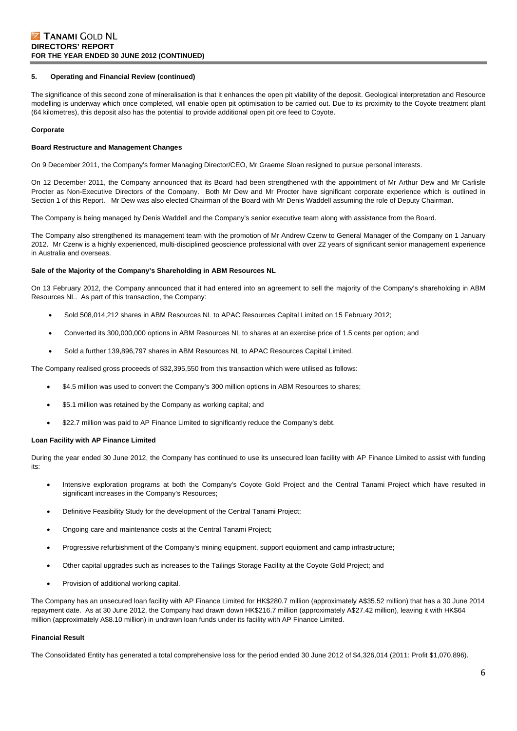#### **5. Operating and Financial Review (continued)**

The significance of this second zone of mineralisation is that it enhances the open pit viability of the deposit. Geological interpretation and Resource modelling is underway which once completed, will enable open pit optimisation to be carried out. Due to its proximity to the Coyote treatment plant (64 kilometres), this deposit also has the potential to provide additional open pit ore feed to Coyote.

#### **Corporate**

#### **Board Restructure and Management Changes**

On 9 December 2011, the Company's former Managing Director/CEO, Mr Graeme Sloan resigned to pursue personal interests.

On 12 December 2011, the Company announced that its Board had been strengthened with the appointment of Mr Arthur Dew and Mr Carlisle Procter as Non-Executive Directors of the Company. Both Mr Dew and Mr Procter have significant corporate experience which is outlined in Section 1 of this Report. Mr Dew was also elected Chairman of the Board with Mr Denis Waddell assuming the role of Deputy Chairman.

The Company is being managed by Denis Waddell and the Company's senior executive team along with assistance from the Board.

The Company also strengthened its management team with the promotion of Mr Andrew Czerw to General Manager of the Company on 1 January 2012. Mr Czerw is a highly experienced, multi-disciplined geoscience professional with over 22 years of significant senior management experience in Australia and overseas.

#### **Sale of the Majority of the Company's Shareholding in ABM Resources NL**

On 13 February 2012, the Company announced that it had entered into an agreement to sell the majority of the Company's shareholding in ABM Resources NL. As part of this transaction, the Company:

- Sold 508,014,212 shares in ABM Resources NL to APAC Resources Capital Limited on 15 February 2012;
- Converted its 300,000,000 options in ABM Resources NL to shares at an exercise price of 1.5 cents per option; and
- Sold a further 139,896,797 shares in ABM Resources NL to APAC Resources Capital Limited.

The Company realised gross proceeds of \$32,395,550 from this transaction which were utilised as follows:

- \$4.5 million was used to convert the Company's 300 million options in ABM Resources to shares;
- \$5.1 million was retained by the Company as working capital; and
- \$22.7 million was paid to AP Finance Limited to significantly reduce the Company's debt.

#### **Loan Facility with AP Finance Limited**

During the year ended 30 June 2012, the Company has continued to use its unsecured loan facility with AP Finance Limited to assist with funding its:

- Intensive exploration programs at both the Company's Coyote Gold Project and the Central Tanami Project which have resulted in significant increases in the Company's Resources;
- Definitive Feasibility Study for the development of the Central Tanami Project;
- Ongoing care and maintenance costs at the Central Tanami Project;
- Progressive refurbishment of the Company's mining equipment, support equipment and camp infrastructure;
- Other capital upgrades such as increases to the Tailings Storage Facility at the Coyote Gold Project; and
- Provision of additional working capital.

The Company has an unsecured loan facility with AP Finance Limited for HK\$280.7 million (approximately A\$35.52 million) that has a 30 June 2014 repayment date. As at 30 June 2012, the Company had drawn down HK\$216.7 million (approximately A\$27.42 million), leaving it with HK\$64 million (approximately A\$8.10 million) in undrawn loan funds under its facility with AP Finance Limited.

#### **Financial Result**

The Consolidated Entity has generated a total comprehensive loss for the period ended 30 June 2012 of \$4,326,014 (2011: Profit \$1,070,896).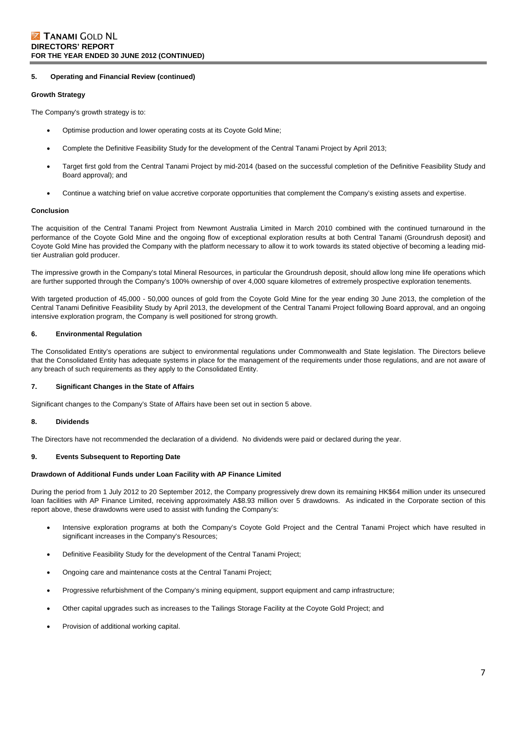#### **5. Operating and Financial Review (continued)**

#### **Growth Strategy**

The Company's growth strategy is to:

- Optimise production and lower operating costs at its Coyote Gold Mine;
- Complete the Definitive Feasibility Study for the development of the Central Tanami Project by April 2013;
- Target first gold from the Central Tanami Project by mid-2014 (based on the successful completion of the Definitive Feasibility Study and Board approval); and
- Continue a watching brief on value accretive corporate opportunities that complement the Company's existing assets and expertise.

#### **Conclusion**

The acquisition of the Central Tanami Project from Newmont Australia Limited in March 2010 combined with the continued turnaround in the performance of the Coyote Gold Mine and the ongoing flow of exceptional exploration results at both Central Tanami (Groundrush deposit) and Coyote Gold Mine has provided the Company with the platform necessary to allow it to work towards its stated objective of becoming a leading midtier Australian gold producer.

The impressive growth in the Company's total Mineral Resources, in particular the Groundrush deposit, should allow long mine life operations which are further supported through the Company's 100% ownership of over 4,000 square kilometres of extremely prospective exploration tenements.

With targeted production of 45,000 - 50,000 ounces of gold from the Coyote Gold Mine for the year ending 30 June 2013, the completion of the Central Tanami Definitive Feasibility Study by April 2013, the development of the Central Tanami Project following Board approval, and an ongoing intensive exploration program, the Company is well positioned for strong growth.

#### **6. Environmental Regulation**

The Consolidated Entity's operations are subject to environmental regulations under Commonwealth and State legislation. The Directors believe that the Consolidated Entity has adequate systems in place for the management of the requirements under those regulations, and are not aware of any breach of such requirements as they apply to the Consolidated Entity.

#### **7. Significant Changes in the State of Affairs**

Significant changes to the Company's State of Affairs have been set out in section 5 above.

#### **8. Dividends**

The Directors have not recommended the declaration of a dividend. No dividends were paid or declared during the year.

#### **9. Events Subsequent to Reporting Date**

#### **Drawdown of Additional Funds under Loan Facility with AP Finance Limited**

During the period from 1 July 2012 to 20 September 2012, the Company progressively drew down its remaining HK\$64 million under its unsecured loan facilities with AP Finance Limited, receiving approximately A\$8.93 million over 5 drawdowns. As indicated in the Corporate section of this report above, these drawdowns were used to assist with funding the Company's:

- Intensive exploration programs at both the Company's Coyote Gold Project and the Central Tanami Project which have resulted in significant increases in the Company's Resources;
- Definitive Feasibility Study for the development of the Central Tanami Project;
- Ongoing care and maintenance costs at the Central Tanami Project;
- Progressive refurbishment of the Company's mining equipment, support equipment and camp infrastructure;
- Other capital upgrades such as increases to the Tailings Storage Facility at the Coyote Gold Project; and
- Provision of additional working capital.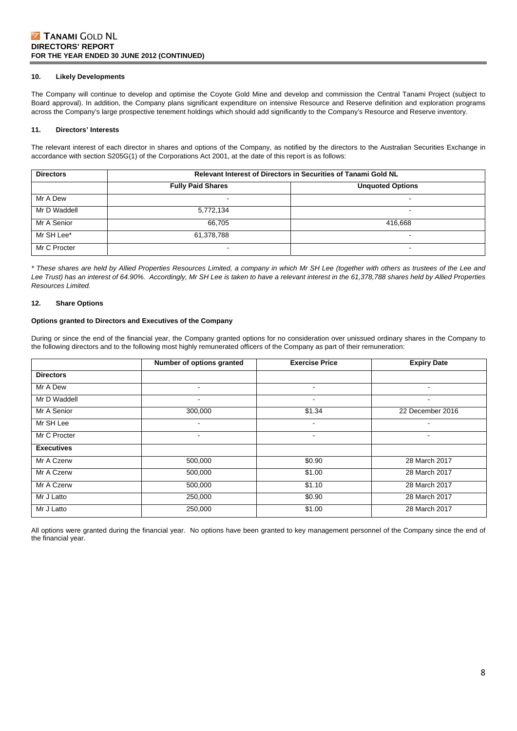### **Z TANAMI GOLD NL DIRECTORS' REPORT FOR THE YEAR ENDED 30 JUNE 2012 (CONTINUED)**

#### **10. Likely Developments**

The Company will continue to develop and optimise the Coyote Gold Mine and develop and commission the Central Tanami Project (subject to Board approval). In addition, the Company plans significant expenditure on intensive Resource and Reserve definition and exploration programs across the Company's large prospective tenement holdings which should add significantly to the Company's Resource and Reserve inventory.

#### **11. Directors' Interests**

The relevant interest of each director in shares and options of the Company, as notified by the directors to the Australian Securities Exchange in accordance with section S205G(1) of the Corporations Act 2001, at the date of this report is as follows:

| <b>Directors</b> | Relevant Interest of Directors in Securities of Tanami Gold NL |                          |  |  |  |  |  |
|------------------|----------------------------------------------------------------|--------------------------|--|--|--|--|--|
|                  | <b>Fully Paid Shares</b>                                       | <b>Unquoted Options</b>  |  |  |  |  |  |
| Mr A Dew         | $\overline{\phantom{0}}$                                       | $\overline{\phantom{0}}$ |  |  |  |  |  |
| Mr D Waddell     | 5,772,134                                                      | $\overline{\phantom{0}}$ |  |  |  |  |  |
| Mr A Senior      | 66.705                                                         | 416.668                  |  |  |  |  |  |
| Mr SH Lee*       | 61,378,788                                                     | $\overline{\phantom{0}}$ |  |  |  |  |  |
| Mr C Procter     | $\overline{\phantom{a}}$                                       | $\overline{\phantom{0}}$ |  |  |  |  |  |

*\* These shares are held by Allied Properties Resources Limited, a company in which Mr SH Lee (together with others as trustees of the Lee and*  Lee Trust) has an interest of 64.90%. Accordingly, Mr SH Lee is taken to have a relevant interest in the 61,378,788 shares held by Allied Properties *Resources Limited.* 

#### **12. Share Options**

#### **Options granted to Directors and Executives of the Company**

During or since the end of the financial year, the Company granted options for no consideration over unissued ordinary shares in the Company to the following directors and to the following most highly remunerated officers of the Company as part of their remuneration:

|                   | Number of options granted |                          | <b>Expiry Date</b> |
|-------------------|---------------------------|--------------------------|--------------------|
| <b>Directors</b>  |                           |                          |                    |
| Mr A Dew          | $\blacksquare$            | $\blacksquare$           | ٠                  |
| Mr D Waddell      |                           | $\overline{\phantom{a}}$ | -                  |
| Mr A Senior       | 300,000                   | \$1.34                   | 22 December 2016   |
| Mr SH Lee         |                           | $\overline{\phantom{a}}$ | ۰                  |
| Mr C Procter      | ۰                         | $\blacksquare$           | ۰                  |
| <b>Executives</b> |                           |                          |                    |
| Mr A Czerw        | 500,000                   | \$0.90                   | 28 March 2017      |
| Mr A Czerw        | 500,000                   | \$1.00                   | 28 March 2017      |
| Mr A Czerw        | 500,000                   | \$1.10                   | 28 March 2017      |
| Mr J Latto        | 250,000                   | \$0.90                   | 28 March 2017      |
| Mr J Latto        | 250,000                   | \$1.00                   | 28 March 2017      |

All options were granted during the financial year. No options have been granted to key management personnel of the Company since the end of the financial year.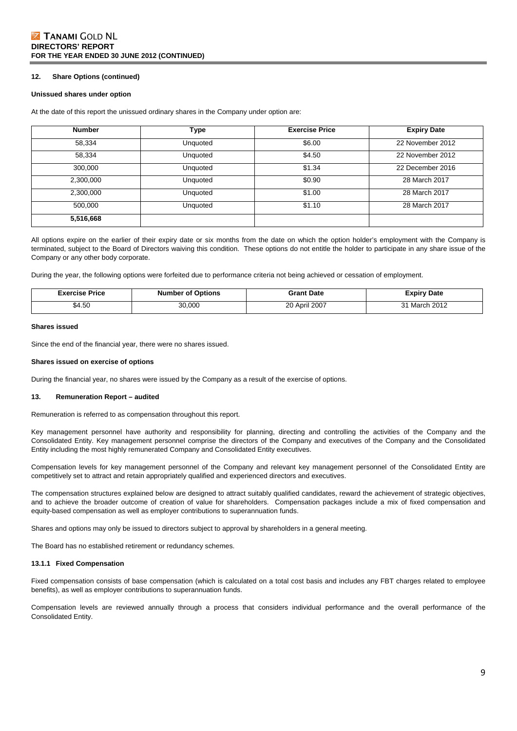### **Z TANAMI GOLD NL DIRECTORS' REPORT FOR THE YEAR ENDED 30 JUNE 2012 (CONTINUED)**

#### **12. Share Options (continued)**

#### **Unissued shares under option**

At the date of this report the unissued ordinary shares in the Company under option are:

| <b>Number</b> | Type     | <b>Exercise Price</b> | <b>Expiry Date</b> |
|---------------|----------|-----------------------|--------------------|
| 58,334        | Unquoted | \$6.00                | 22 November 2012   |
| 58,334        | Unquoted | \$4.50                | 22 November 2012   |
| 300,000       | Unquoted | \$1.34                | 22 December 2016   |
| 2,300,000     | Unquoted | \$0.90                | 28 March 2017      |
| 2,300,000     | Unquoted | \$1.00                | 28 March 2017      |
| 500.000       | Unquoted | \$1.10                | 28 March 2017      |
| 5,516,668     |          |                       |                    |

All options expire on the earlier of their expiry date or six months from the date on which the option holder's employment with the Company is terminated, subject to the Board of Directors waiving this condition. These options do not entitle the holder to participate in any share issue of the Company or any other body corporate.

During the year, the following options were forfeited due to performance criteria not being achieved or cessation of employment.

| Exercise Price | <b>Number of Options</b> | <b>Grant Date</b> | <b>Expiry Date</b> |
|----------------|--------------------------|-------------------|--------------------|
| \$4.50         | 30,000                   | April 2007 ،<br>∼ | h 2012<br>March    |

#### **Shares issued**

Since the end of the financial year, there were no shares issued.

#### **Shares issued on exercise of options**

During the financial year, no shares were issued by the Company as a result of the exercise of options.

#### **13. Remuneration Report – audited**

Remuneration is referred to as compensation throughout this report.

Key management personnel have authority and responsibility for planning, directing and controlling the activities of the Company and the Consolidated Entity. Key management personnel comprise the directors of the Company and executives of the Company and the Consolidated Entity including the most highly remunerated Company and Consolidated Entity executives.

Compensation levels for key management personnel of the Company and relevant key management personnel of the Consolidated Entity are competitively set to attract and retain appropriately qualified and experienced directors and executives.

The compensation structures explained below are designed to attract suitably qualified candidates, reward the achievement of strategic objectives, and to achieve the broader outcome of creation of value for shareholders. Compensation packages include a mix of fixed compensation and equity-based compensation as well as employer contributions to superannuation funds.

Shares and options may only be issued to directors subject to approval by shareholders in a general meeting.

The Board has no established retirement or redundancy schemes.

#### **13.1.1 Fixed Compensation**

Fixed compensation consists of base compensation (which is calculated on a total cost basis and includes any FBT charges related to employee benefits), as well as employer contributions to superannuation funds.

Compensation levels are reviewed annually through a process that considers individual performance and the overall performance of the Consolidated Entity.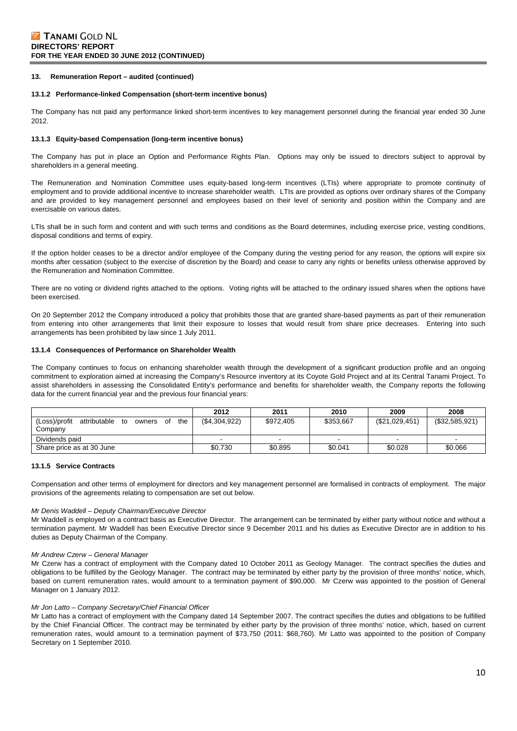#### **13.1.2 Performance-linked Compensation (short-term incentive bonus)**

The Company has not paid any performance linked short-term incentives to key management personnel during the financial year ended 30 June 2012.

#### **13.1.3 Equity-based Compensation (long-term incentive bonus)**

The Company has put in place an Option and Performance Rights Plan. Options may only be issued to directors subject to approval by shareholders in a general meeting.

The Remuneration and Nomination Committee uses equity-based long-term incentives (LTIs) where appropriate to promote continuity of employment and to provide additional incentive to increase shareholder wealth. LTIs are provided as options over ordinary shares of the Company and are provided to key management personnel and employees based on their level of seniority and position within the Company and are exercisable on various dates.

LTIs shall be in such form and content and with such terms and conditions as the Board determines, including exercise price, vesting conditions, disposal conditions and terms of expiry.

If the option holder ceases to be a director and/or employee of the Company during the vesting period for any reason, the options will expire six months after cessation (subject to the exercise of discretion by the Board) and cease to carry any rights or benefits unless otherwise approved by the Remuneration and Nomination Committee.

There are no voting or dividend rights attached to the options. Voting rights will be attached to the ordinary issued shares when the options have been exercised.

On 20 September 2012 the Company introduced a policy that prohibits those that are granted share-based payments as part of their remuneration from entering into other arrangements that limit their exposure to losses that would result from share price decreases. Entering into such arrangements has been prohibited by law since 1 July 2011.

#### **13.1.4 Consequences of Performance on Shareholder Wealth**

The Company continues to focus on enhancing shareholder wealth through the development of a significant production profile and an ongoing commitment to exploration aimed at increasing the Company's Resource inventory at its Coyote Gold Project and at its Central Tanami Project. To assist shareholders in assessing the Consolidated Entity's performance and benefits for shareholder wealth, the Company reports the following data for the current financial year and the previous four financial years:

|                                                            | 2012         | 2011      | 2010                     | 2009           | 2008           |
|------------------------------------------------------------|--------------|-----------|--------------------------|----------------|----------------|
| (Loss)/profit<br>the<br>attributable<br>to<br>owners<br>of | (S4.304.922) | \$972,405 | \$353.667                | (\$21,029,451) | (\$32,585,921) |
| Company                                                    |              |           |                          |                |                |
| Dividends paid                                             |              |           | $\overline{\phantom{0}}$ |                |                |
| Share price as at 30 June                                  | \$0.730      | \$0.895   | \$0.041                  | \$0.028        | \$0.066        |

#### **13.1.5 Service Contracts**

Compensation and other terms of employment for directors and key management personnel are formalised in contracts of employment. The major provisions of the agreements relating to compensation are set out below.

#### *Mr Denis Waddell – Deputy Chairman/Executive Director*

Mr Waddell is employed on a contract basis as Executive Director. The arrangement can be terminated by either party without notice and without a termination payment. Mr Waddell has been Executive Director since 9 December 2011 and his duties as Executive Director are in addition to his duties as Deputy Chairman of the Company.

#### *Mr Andrew Czerw – General Manager*

Mr Czerw has a contract of employment with the Company dated 10 October 2011 as Geology Manager. The contract specifies the duties and obligations to be fulfilled by the Geology Manager. The contract may be terminated by either party by the provision of three months' notice, which, based on current remuneration rates, would amount to a termination payment of \$90,000. Mr Czerw was appointed to the position of General Manager on 1 January 2012.

#### *Mr Jon Latto – Company Secretary/Chief Financial Officer*

Mr Latto has a contract of employment with the Company dated 14 September 2007. The contract specifies the duties and obligations to be fulfilled by the Chief Financial Officer. The contract may be terminated by either party by the provision of three months' notice, which, based on current remuneration rates, would amount to a termination payment of \$73,750 (2011: \$68,760). Mr Latto was appointed to the position of Company Secretary on 1 September 2010.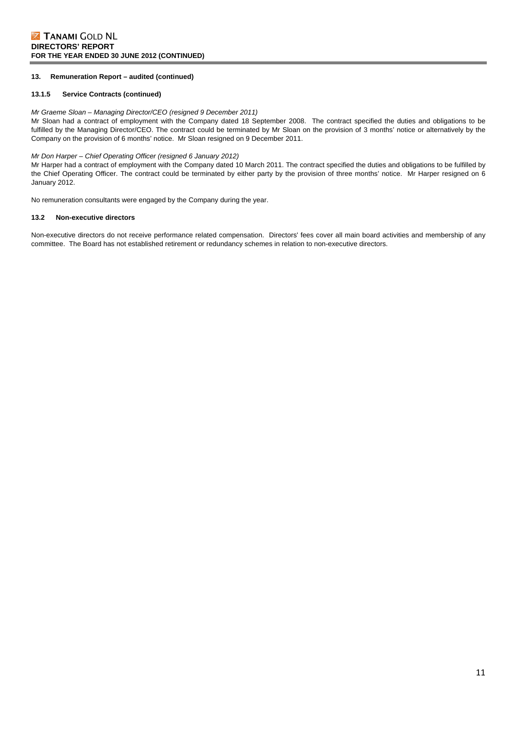#### **13.1.5 Service Contracts (continued)**

#### *Mr Graeme Sloan – Managing Director/CEO (resigned 9 December 2011)*

Mr Sloan had a contract of employment with the Company dated 18 September 2008. The contract specified the duties and obligations to be fulfilled by the Managing Director/CEO. The contract could be terminated by Mr Sloan on the provision of 3 months' notice or alternatively by the Company on the provision of 6 months' notice. Mr Sloan resigned on 9 December 2011.

#### *Mr Don Harper – Chief Operating Officer (resigned 6 January 2012)*

Mr Harper had a contract of employment with the Company dated 10 March 2011. The contract specified the duties and obligations to be fulfilled by the Chief Operating Officer. The contract could be terminated by either party by the provision of three months' notice. Mr Harper resigned on 6 January 2012.

No remuneration consultants were engaged by the Company during the year.

#### **13.2 Non-executive directors**

Non-executive directors do not receive performance related compensation. Directors' fees cover all main board activities and membership of any committee. The Board has not established retirement or redundancy schemes in relation to non-executive directors.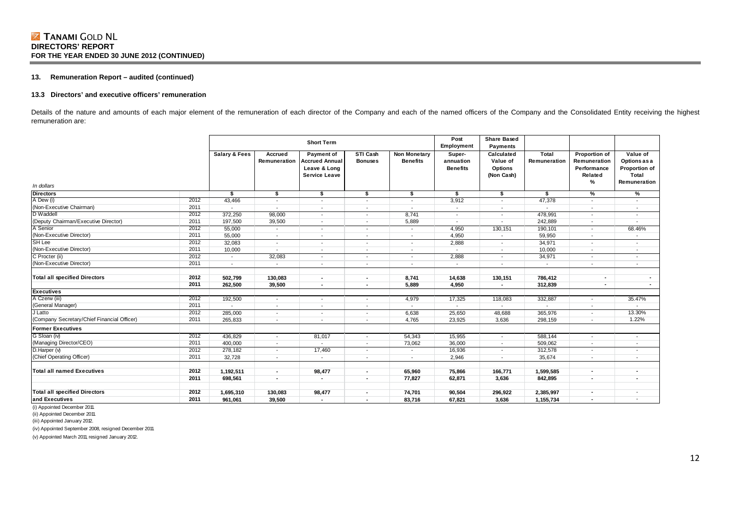#### **13.3 Directors' and executive officers' remuneration**

Details of the nature and amounts of each major element of the remuneration of each director of the Company and each of the named officers of the Company and the Consolidated Entity receiving the highest remuneration are:

|                                             |              | <b>Short Term</b>        |                          |                                                                             |                            | Post<br>Employment                     | <b>Share Based</b><br>Payments         |                                                        |                          |                                                                     |                                                                    |
|---------------------------------------------|--------------|--------------------------|--------------------------|-----------------------------------------------------------------------------|----------------------------|----------------------------------------|----------------------------------------|--------------------------------------------------------|--------------------------|---------------------------------------------------------------------|--------------------------------------------------------------------|
| In dollars                                  |              | <b>Salary &amp; Fees</b> | Accrued<br>Remuneration  | Payment of<br><b>Accrued Annual</b><br>Leave & Long<br><b>Service Leave</b> | STI Cash<br><b>Bonuses</b> | <b>Non Monetary</b><br><b>Benefits</b> | Super-<br>annuation<br><b>Benefits</b> | Calculated<br>Value of<br><b>Options</b><br>(Non Cash) | Total<br>Remuneration    | <b>Proportion of</b><br>Remuneration<br>Performance<br>Related<br>% | Value of<br>Options as a<br>Proportion of<br>Total<br>Remuneration |
| <b>Directors</b>                            |              | s.                       | \$                       | \$                                                                          | \$                         | \$                                     | \$                                     | \$                                                     | s.                       | %                                                                   | %                                                                  |
| A Dew (i)                                   | 2012         | 43,466                   | $\overline{\phantom{a}}$ | $\overline{\phantom{a}}$                                                    | $\overline{\phantom{a}}$   | $\overline{\phantom{a}}$               | 3,912                                  | $\overline{\phantom{a}}$                               | 47,378                   | $\overline{\phantom{a}}$                                            | $\overline{\phantom{a}}$                                           |
| (Non-Executive Chairman)                    | 2011         |                          | $\overline{\phantom{a}}$ | $\overline{\phantom{a}}$                                                    | $\overline{\phantom{a}}$   | $\overline{\phantom{a}}$               | $\sim$                                 | $\overline{\phantom{a}}$                               | $\overline{\phantom{a}}$ | $\overline{\phantom{a}}$                                            | $\overline{\phantom{a}}$                                           |
| D Waddell                                   | 2012         | 372,250                  | 98,000                   | $\overline{\phantom{a}}$                                                    | $\overline{\phantom{a}}$   | 8,741                                  | $\sim$                                 | $\overline{\phantom{a}}$                               | 478,991                  | $\overline{\phantom{a}}$                                            | $\overline{\phantom{a}}$                                           |
| (Deputy Chairman/Executive Director)        | 2011         | 197,500                  | 39,500                   | $\overline{\phantom{a}}$                                                    | $\overline{\phantom{a}}$   | 5,889                                  | $\overline{a}$                         | $\overline{\phantom{a}}$                               | 242,889                  | $\overline{\phantom{a}}$                                            | $\overline{\phantom{a}}$                                           |
| A Senior                                    | 2012         | 55,000                   | $\overline{\phantom{a}}$ | $\overline{\phantom{a}}$                                                    | $\overline{\phantom{a}}$   | $\overline{\phantom{a}}$               | 4,950                                  | 130,151                                                | 190,101                  | $\overline{\phantom{a}}$                                            | 68.46%                                                             |
| (Non-Executive Director)                    | 2011         | 55,000                   | $\overline{\phantom{a}}$ | $\overline{\phantom{a}}$                                                    | $\overline{\phantom{a}}$   | $\overline{\phantom{a}}$               | 4,950                                  | $\overline{\phantom{a}}$                               | 59,950                   | $\overline{\phantom{a}}$                                            | $\overline{\phantom{a}}$                                           |
| SH Lee                                      | 2012         | 32,083                   | $\overline{\phantom{a}}$ | $\overline{\phantom{a}}$                                                    | $\overline{\phantom{a}}$   | $\overline{\phantom{a}}$               | 2,888                                  | $\overline{\phantom{a}}$                               | 34,971                   | $\overline{\phantom{a}}$                                            | $\overline{\phantom{a}}$                                           |
| (Non-Executive Director)                    | 2011         | 10,000                   | $\overline{\phantom{a}}$ | $\overline{\phantom{a}}$                                                    | $\overline{\phantom{a}}$   | $\overline{\phantom{a}}$               | $\overline{a}$                         | $\overline{\phantom{a}}$                               | 10,000                   | $\overline{\phantom{a}}$                                            | $\overline{\phantom{a}}$                                           |
| C Procter (ii)                              | 2012         | $\overline{\phantom{a}}$ | 32,083                   | $\overline{\phantom{a}}$                                                    | $\overline{\phantom{a}}$   | $\overline{\phantom{a}}$               | 2,888                                  | $\overline{\phantom{a}}$                               | 34,971                   | $\overline{\phantom{a}}$                                            | $\overline{\phantom{a}}$                                           |
| (Non-Executive Director)                    | 2011         | $\overline{\phantom{a}}$ | $\overline{\phantom{a}}$ | $\overline{\phantom{a}}$                                                    | $\overline{\phantom{a}}$   | $\overline{\phantom{a}}$               | $\overline{\phantom{a}}$               | $\overline{\phantom{a}}$                               | $\overline{\phantom{a}}$ | $\overline{\phantom{a}}$                                            | $\sim$                                                             |
| <b>Total all specified Directors</b>        | 2012<br>2011 | 502,799<br>262.500       | 130,083<br>39,500        | $\overline{\phantom{a}}$                                                    | ٠<br>٠                     | 8,741<br>5.889                         | 14,638<br>4,950                        | 130,151                                                | 786,412<br>312,839       | ٠                                                                   | $\sim$<br>$\sim$                                                   |
| <b>Executives</b>                           |              |                          |                          |                                                                             |                            |                                        |                                        |                                                        |                          |                                                                     |                                                                    |
| A Czerw (iii)                               | 2012         | 192,500                  | $\sim$                   | $\overline{\phantom{a}}$                                                    | $\overline{\phantom{0}}$   | 4,979                                  | 17,325                                 | 118,083                                                | 332,887                  | $\overline{\phantom{a}}$                                            | 35.47%                                                             |
| (General Manager)                           | 2011         |                          | $\overline{\phantom{a}}$ |                                                                             | $\overline{\phantom{a}}$   | $\overline{\phantom{a}}$               |                                        |                                                        |                          | $\overline{\phantom{a}}$                                            | $\sim$                                                             |
| J Latto                                     | 2012         | 285,000                  | $\overline{\phantom{a}}$ | $\overline{\phantom{a}}$                                                    | $\overline{\phantom{a}}$   | 6,638                                  | 25,650                                 | 48,688                                                 | 365,976                  | $\overline{\phantom{a}}$                                            | 13.30%                                                             |
| (Company Secretary/Chief Financial Officer) | 2011         | 265,833                  | $\overline{\phantom{a}}$ | $\overline{\phantom{a}}$                                                    | $\overline{\phantom{a}}$   | 4,765                                  | 23,925                                 | 3,636                                                  | 298,159                  | $\overline{\phantom{a}}$                                            | 1.22%                                                              |
| Former Executives                           |              |                          |                          |                                                                             |                            |                                        |                                        |                                                        |                          |                                                                     |                                                                    |
| G Sloan (iv)                                | 2012         | 436,829                  | $\overline{\phantom{a}}$ | 81,017                                                                      | $\overline{\phantom{a}}$   | 54,343                                 | 15,955                                 | $\overline{\phantom{a}}$                               | 588,144                  | $\overline{\phantom{a}}$                                            | $\overline{\phantom{a}}$                                           |
| (Managing Director/CEO)                     | 2011         | 400,000                  | $\overline{\phantom{a}}$ |                                                                             | $\overline{\phantom{a}}$   | 73,062                                 | 36,000                                 | $\overline{\phantom{a}}$                               | 509,062                  | $\overline{\phantom{a}}$                                            | $\overline{\phantom{a}}$                                           |
| D.Harper(V)                                 | 2012         | 278,182                  | $\overline{\phantom{a}}$ | 17,460                                                                      | $\overline{\phantom{a}}$   | $\overline{\phantom{a}}$               | 16,936                                 | $\overline{\phantom{a}}$                               | 312,578                  | $\overline{\phantom{a}}$                                            |                                                                    |
| (Chief Operating Officer)                   | 2011         | 32,728                   | $\overline{\phantom{a}}$ |                                                                             | $\overline{\phantom{a}}$   | $\overline{\phantom{a}}$               | 2,946                                  | $\overline{\phantom{a}}$                               | 35,674                   | $\overline{\phantom{a}}$                                            | $\overline{\phantom{0}}$                                           |
| Total all named Executives                  | 2012         | 1,192,511                | $\blacksquare$           | 98,477                                                                      | ٠                          | 65,960                                 | 75,866                                 | 166,771                                                | 1,599,585                | $\blacksquare$                                                      |                                                                    |
|                                             | 2011         | 698,561                  | $\blacksquare$           | $\overline{\phantom{a}}$                                                    | ٠                          | 77,827                                 | 62,871                                 | 3,636                                                  | 842,895                  | $\overline{\phantom{a}}$                                            | $\blacksquare$                                                     |
| <b>Total all specified Directors</b>        | 2012         |                          | 130,083                  |                                                                             | $\blacksquare$             | 74,701                                 | 90,504                                 | 296,922                                                | 2,385,997                | $\overline{\phantom{a}}$                                            |                                                                    |
| and Executives                              | 2011         | 1,695,310                | 39,500                   | 98,477                                                                      |                            |                                        |                                        |                                                        | 1,155,734                |                                                                     | $\overline{\phantom{a}}$                                           |
|                                             |              | 961,061                  |                          | $\overline{\phantom{a}}$                                                    | $\overline{\phantom{a}}$   | 83,716                                 | 67,821                                 | 3,636                                                  |                          | ٠                                                                   |                                                                    |

(i) Appointed December 2011.

(ii) Appointed December 2011.

(iii) Appointed January 2012.

(iv) Appointed September 2008, resigned December 2011.

(v) Appointed March 2011, resigned January 2012.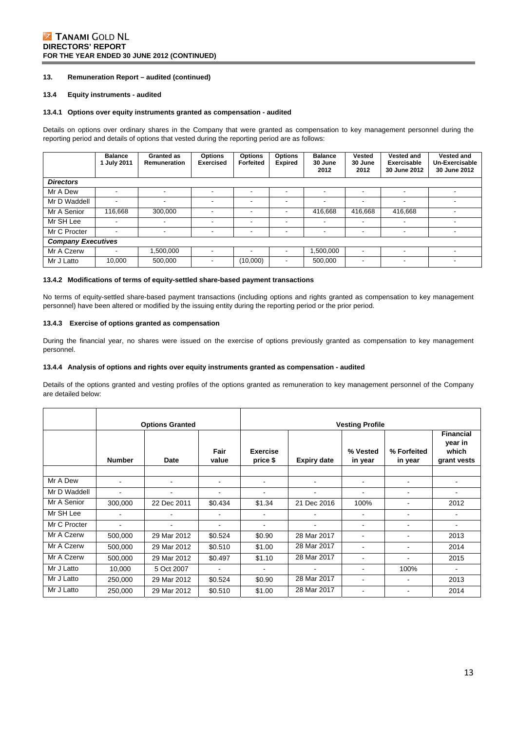### **Z TANAMI GOLD NL DIRECTORS' REPORT FOR THE YEAR ENDED 30 JUNE 2012 (CONTINUED)**

### **13. Remuneration Report – audited (continued)**

#### **13.4 Equity instruments - audited**

#### **13.4.1 Options over equity instruments granted as compensation - audited**

Details on options over ordinary shares in the Company that were granted as compensation to key management personnel during the reporting period and details of options that vested during the reporting period are as follows:

|                           | <b>Balance</b><br>1 July 2011 | Granted as<br><b>Remuneration</b> | <b>Options</b><br><b>Exercised</b> | Options<br>Forfeited | <b>Options</b><br><b>Expired</b> | <b>Balance</b><br>30 June<br>2012 | <b>Vested</b><br>30 June<br>2012 | Vested and<br>Exercisable<br>30 June 2012 | <b>Vested and</b><br>Un-Exercisable<br>30 June 2012 |
|---------------------------|-------------------------------|-----------------------------------|------------------------------------|----------------------|----------------------------------|-----------------------------------|----------------------------------|-------------------------------------------|-----------------------------------------------------|
| <b>Directors</b>          |                               |                                   |                                    |                      |                                  |                                   |                                  |                                           |                                                     |
| Mr A Dew                  | $\overline{\phantom{a}}$      | $\overline{\phantom{a}}$          |                                    |                      |                                  |                                   |                                  |                                           |                                                     |
| Mr D Waddell              | $\blacksquare$                | $\overline{\phantom{a}}$          | -                                  | -                    | -                                | $\overline{\phantom{a}}$          | $\overline{\phantom{a}}$         | $\overline{\phantom{a}}$                  |                                                     |
| Mr A Senior               | 116.668                       | 300,000                           | -                                  | ٠                    | -                                | 416,668                           | 416,668                          | 416,668                                   | -                                                   |
| Mr SH Lee                 | $\overline{\phantom{a}}$      | $\overline{\phantom{a}}$          | $\overline{\phantom{a}}$           | ٠                    | $\overline{\phantom{a}}$         | $\overline{\phantom{a}}$          | $\overline{\phantom{a}}$         | $\overline{\phantom{a}}$                  |                                                     |
| Mr C Procter              | $\overline{\phantom{a}}$      | $\overline{\phantom{a}}$          | $\overline{\phantom{a}}$           | -                    | -                                | $\overline{\phantom{a}}$          | $\overline{\phantom{0}}$         | $\overline{\phantom{a}}$                  | $\overline{\phantom{a}}$                            |
| <b>Company Executives</b> |                               |                                   |                                    |                      |                                  |                                   |                                  |                                           |                                                     |
| Mr A Czerw                | $\blacksquare$                | 1.500.000                         | -                                  | -                    | -                                | 1,500,000                         | $\overline{\phantom{0}}$         | $\overline{\phantom{a}}$                  |                                                     |
| Mr J Latto                | 10,000                        | 500,000                           | $\overline{\phantom{0}}$           | (10,000)             | $\overline{\phantom{a}}$         | 500,000                           | ٠                                | $\overline{\phantom{a}}$                  | -                                                   |

#### **13.4.2 Modifications of terms of equity-settled share-based payment transactions**

No terms of equity-settled share-based payment transactions (including options and rights granted as compensation to key management personnel) have been altered or modified by the issuing entity during the reporting period or the prior period.

#### **13.4.3 Exercise of options granted as compensation**

During the financial year, no shares were issued on the exercise of options previously granted as compensation to key management personnel.

#### **13.4.4 Analysis of options and rights over equity instruments granted as compensation - audited**

Details of the options granted and vesting profiles of the options granted as remuneration to key management personnel of the Company are detailed below:

|              | <b>Options Granted</b> |             |                | <b>Vesting Profile</b>      |                    |                          |                          |                                                     |  |
|--------------|------------------------|-------------|----------------|-----------------------------|--------------------|--------------------------|--------------------------|-----------------------------------------------------|--|
|              | <b>Number</b>          | Date        | Fair<br>value  | <b>Exercise</b><br>price \$ | <b>Expiry date</b> | % Vested<br>in year      | % Forfeited<br>in year   | <b>Financial</b><br>year in<br>which<br>grant vests |  |
| Mr A Dew     |                        | ۰           | $\blacksquare$ |                             | $\blacksquare$     |                          |                          |                                                     |  |
| Mr D Waddell |                        |             | ۰              |                             | $\blacksquare$     |                          |                          |                                                     |  |
| Mr A Senior  | 300,000                | 22 Dec 2011 | \$0.434        | \$1.34                      | 21 Dec 2016        | 100%                     |                          | 2012                                                |  |
| Mr SH Lee    |                        |             | ۰              |                             | $\blacksquare$     |                          |                          | ٠                                                   |  |
| Mr C Procter | $\blacksquare$         | ۰           | $\blacksquare$ |                             | $\blacksquare$     | $\blacksquare$           | $\overline{\phantom{0}}$ | ۰                                                   |  |
| Mr A Czerw   | 500,000                | 29 Mar 2012 | \$0.524        | \$0.90                      | 28 Mar 2017        | $\blacksquare$           |                          | 2013                                                |  |
| Mr A Czerw   | 500,000                | 29 Mar 2012 | \$0.510        | \$1.00                      | 28 Mar 2017        |                          |                          | 2014                                                |  |
| Mr A Czerw   | 500,000                | 29 Mar 2012 | \$0.497        | \$1.10                      | 28 Mar 2017        | $\blacksquare$           |                          | 2015                                                |  |
| Mr J Latto   | 10,000                 | 5 Oct 2007  |                |                             |                    | ٠                        | 100%                     | ٠                                                   |  |
| Mr J Latto   | 250,000                | 29 Mar 2012 | \$0.524        | \$0.90                      | 28 Mar 2017        | $\overline{\phantom{a}}$ |                          | 2013                                                |  |
| Mr J Latto   | 250,000                | 29 Mar 2012 | \$0.510        | \$1.00                      | 28 Mar 2017        | $\overline{\phantom{a}}$ | $\overline{\phantom{a}}$ | 2014                                                |  |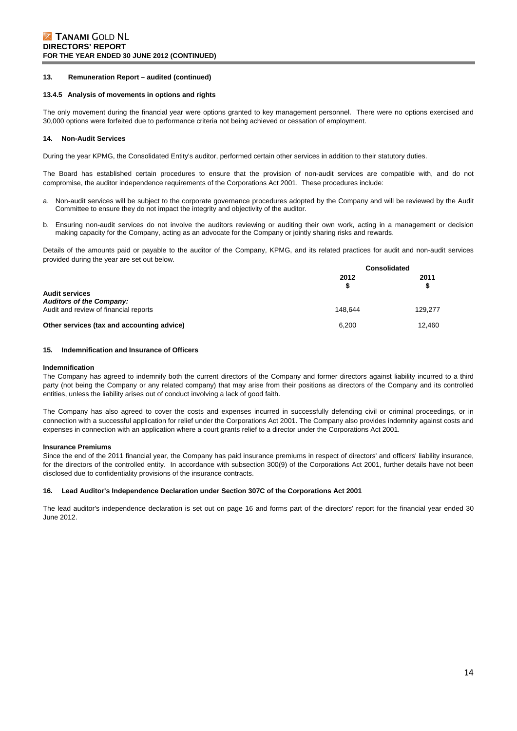#### **13.4.5 Analysis of movements in options and rights**

The only movement during the financial year were options granted to key management personnel. There were no options exercised and 30,000 options were forfeited due to performance criteria not being achieved or cessation of employment.

#### **14. Non-Audit Services**

During the year KPMG, the Consolidated Entity's auditor, performed certain other services in addition to their statutory duties.

The Board has established certain procedures to ensure that the provision of non-audit services are compatible with, and do not compromise, the auditor independence requirements of the Corporations Act 2001. These procedures include:

- a. Non-audit services will be subject to the corporate governance procedures adopted by the Company and will be reviewed by the Audit Committee to ensure they do not impact the integrity and objectivity of the auditor.
- b. Ensuring non-audit services do not involve the auditors reviewing or auditing their own work, acting in a management or decision making capacity for the Company, acting as an advocate for the Company or jointly sharing risks and rewards.

Details of the amounts paid or payable to the auditor of the Company, KPMG, and its related practices for audit and non-audit services provided during the year are set out below.

|                                                          | <b>Consolidated</b> |            |  |
|----------------------------------------------------------|---------------------|------------|--|
|                                                          | 2012                | 2011<br>\$ |  |
| <b>Audit services</b><br><b>Auditors of the Company:</b> |                     |            |  |
| Audit and review of financial reports                    | 148.644             | 129,277    |  |
| Other services (tax and accounting advice)               | 6.200               | 12.460     |  |

#### **15. Indemnification and Insurance of Officers**

#### **Indemnification**

The Company has agreed to indemnify both the current directors of the Company and former directors against liability incurred to a third party (not being the Company or any related company) that may arise from their positions as directors of the Company and its controlled entities, unless the liability arises out of conduct involving a lack of good faith.

The Company has also agreed to cover the costs and expenses incurred in successfully defending civil or criminal proceedings, or in connection with a successful application for relief under the Corporations Act 2001. The Company also provides indemnity against costs and expenses in connection with an application where a court grants relief to a director under the Corporations Act 2001.

#### **Insurance Premiums**

Since the end of the 2011 financial year, the Company has paid insurance premiums in respect of directors' and officers' liability insurance, for the directors of the controlled entity. In accordance with subsection 300(9) of the Corporations Act 2001, further details have not been disclosed due to confidentiality provisions of the insurance contracts.

#### **16. Lead Auditor's Independence Declaration under Section 307C of the Corporations Act 2001**

The lead auditor's independence declaration is set out on page 16 and forms part of the directors' report for the financial year ended 30 June 2012.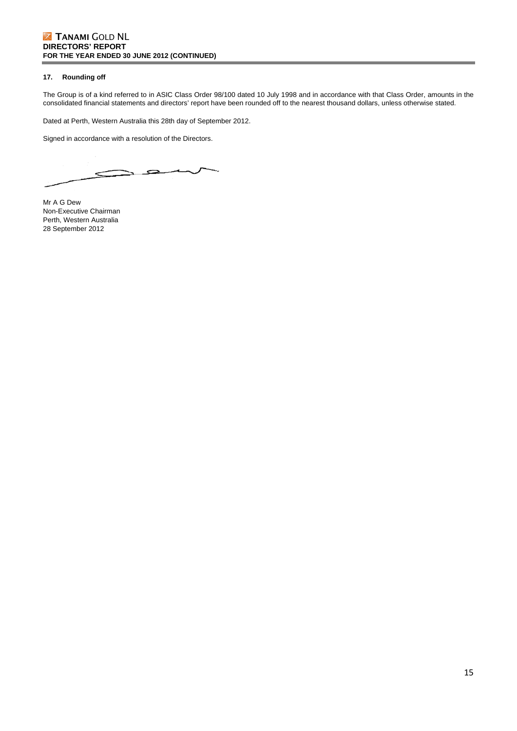### **Z TANAMI GOLD NL DIRECTORS' REPORT FOR THE YEAR ENDED 30 JUNE 2012 (CONTINUED)**

### **17. Rounding off**

The Group is of a kind referred to in ASIC Class Order 98/100 dated 10 July 1998 and in accordance with that Class Order, amounts in the consolidated financial statements and directors' report have been rounded off to the nearest thousand dollars, unless otherwise stated.

Dated at Perth, Western Australia this 28th day of September 2012.

Signed in accordance with a resolution of the Directors.

⋧  $\leq$ 

Mr A G Dew Non-Executive Chairman Perth, Western Australia 28 September 2012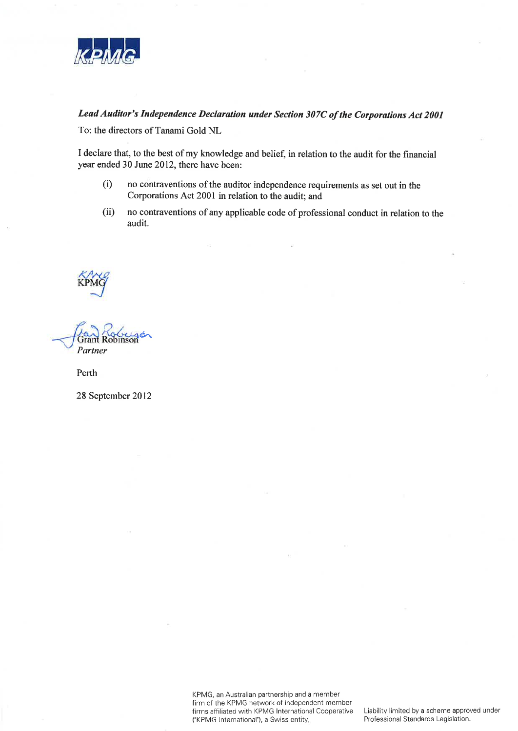

# Lead Auditor's Independence Declaration under Section 307C of the Corporations Act 2001

To: the directors of Tanami Gold NL

I declare that, to the best of my knowledge and belief, in relation to the audit for the financial year ended 30 June 2012, there have been:

- no contraventions of the auditor independence requirements as set out in the  $(i)$ Corporations Act 2001 in relation to the audit; and
- $(ii)$ no contraventions of any applicable code of professional conduct in relation to the audit.

Partner

Perth

28 September 2012

KPMG, an Australian partnership and a member firm of the KPMG network of independent member firms affiliated with KPMG International Cooperative ("KPMG International"), a Swiss entity.

Liability limited by a scheme approved under Professional Standards Legislation.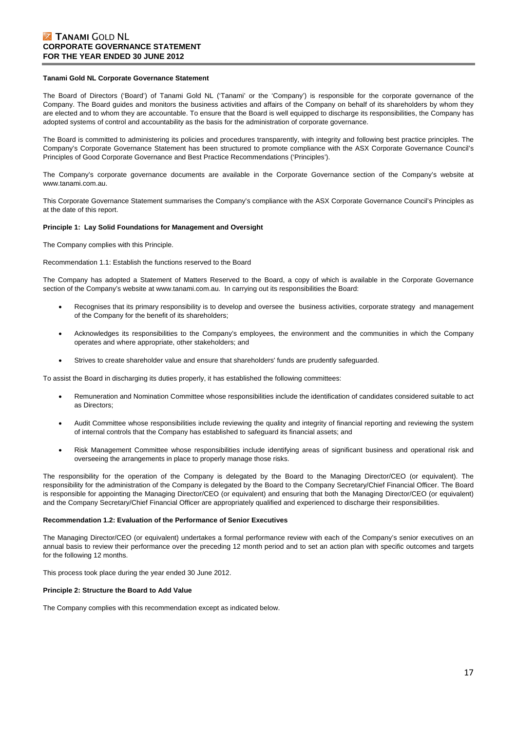### **Z TANAMI GOLD NL CORPORATE GOVERNANCE STATEMENT FOR THE YEAR ENDED 30 JUNE 2012**

#### **Tanami Gold NL Corporate Governance Statement**

The Board of Directors ('Board') of Tanami Gold NL ('Tanami' or the 'Company') is responsible for the corporate governance of the Company. The Board guides and monitors the business activities and affairs of the Company on behalf of its shareholders by whom they are elected and to whom they are accountable. To ensure that the Board is well equipped to discharge its responsibilities, the Company has adopted systems of control and accountability as the basis for the administration of corporate governance.

The Board is committed to administering its policies and procedures transparently, with integrity and following best practice principles. The Company's Corporate Governance Statement has been structured to promote compliance with the ASX Corporate Governance Council's Principles of Good Corporate Governance and Best Practice Recommendations ('Principles').

The Company's corporate governance documents are available in the Corporate Governance section of the Company's website at www.tanami.com.au.

This Corporate Governance Statement summarises the Company's compliance with the ASX Corporate Governance Council's Principles as at the date of this report.

#### **Principle 1: Lay Solid Foundations for Management and Oversight**

The Company complies with this Principle.

Recommendation 1.1: Establish the functions reserved to the Board

The Company has adopted a Statement of Matters Reserved to the Board, a copy of which is available in the Corporate Governance section of the Company's website at www.tanami.com.au. In carrying out its responsibilities the Board:

- Recognises that its primary responsibility is to develop and oversee the business activities, corporate strategy and management of the Company for the benefit of its shareholders;
- Acknowledges its responsibilities to the Company's employees, the environment and the communities in which the Company operates and where appropriate, other stakeholders; and
- Strives to create shareholder value and ensure that shareholders' funds are prudently safeguarded.

To assist the Board in discharging its duties properly, it has established the following committees:

- Remuneration and Nomination Committee whose responsibilities include the identification of candidates considered suitable to act as Directors;
- Audit Committee whose responsibilities include reviewing the quality and integrity of financial reporting and reviewing the system of internal controls that the Company has established to safeguard its financial assets; and
- Risk Management Committee whose responsibilities include identifying areas of significant business and operational risk and overseeing the arrangements in place to properly manage those risks.

The responsibility for the operation of the Company is delegated by the Board to the Managing Director/CEO (or equivalent). The responsibility for the administration of the Company is delegated by the Board to the Company Secretary/Chief Financial Officer. The Board is responsible for appointing the Managing Director/CEO (or equivalent) and ensuring that both the Managing Director/CEO (or equivalent) and the Company Secretary/Chief Financial Officer are appropriately qualified and experienced to discharge their responsibilities.

#### **Recommendation 1.2: Evaluation of the Performance of Senior Executives**

The Managing Director/CEO (or equivalent) undertakes a formal performance review with each of the Company's senior executives on an annual basis to review their performance over the preceding 12 month period and to set an action plan with specific outcomes and targets for the following 12 months.

This process took place during the year ended 30 June 2012.

#### **Principle 2: Structure the Board to Add Value**

The Company complies with this recommendation except as indicated below.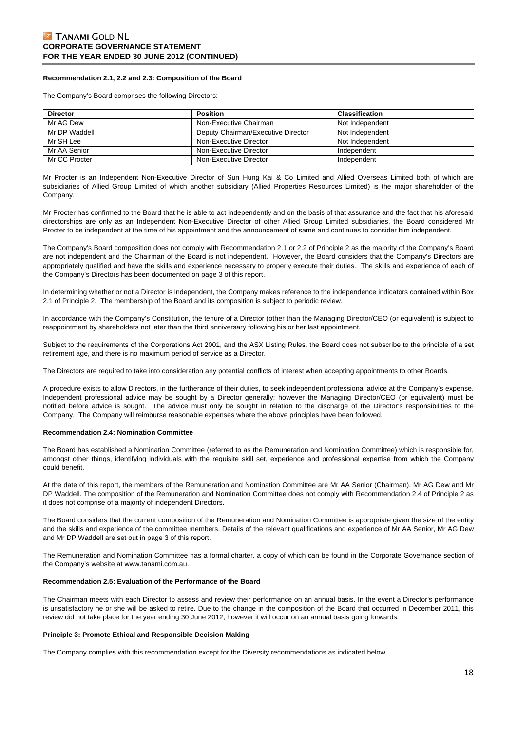#### **Recommendation 2.1, 2.2 and 2.3: Composition of the Board**

The Company's Board comprises the following Directors:

| <b>Director</b> | <b>Position</b>                    | <b>Classification</b> |
|-----------------|------------------------------------|-----------------------|
| Mr AG Dew       | Non-Executive Chairman             | Not Independent       |
| Mr DP Waddell   | Deputy Chairman/Executive Director | Not Independent       |
| Mr SH Lee       | Non-Executive Director             | Not Independent       |
| Mr AA Senior    | Non-Executive Director             | Independent           |
| Mr CC Procter   | Non-Executive Director             | Independent           |

Mr Procter is an Independent Non-Executive Director of Sun Hung Kai & Co Limited and Allied Overseas Limited both of which are subsidiaries of Allied Group Limited of which another subsidiary (Allied Properties Resources Limited) is the major shareholder of the Company.

Mr Procter has confirmed to the Board that he is able to act independently and on the basis of that assurance and the fact that his aforesaid directorships are only as an Independent Non-Executive Director of other Allied Group Limited subsidiaries, the Board considered Mr Procter to be independent at the time of his appointment and the announcement of same and continues to consider him independent.

The Company's Board composition does not comply with Recommendation 2.1 or 2.2 of Principle 2 as the majority of the Company's Board are not independent and the Chairman of the Board is not independent. However, the Board considers that the Company's Directors are appropriately qualified and have the skills and experience necessary to properly execute their duties. The skills and experience of each of the Company's Directors has been documented on page 3 of this report.

In determining whether or not a Director is independent, the Company makes reference to the independence indicators contained within Box 2.1 of Principle 2. The membership of the Board and its composition is subject to periodic review.

In accordance with the Company's Constitution, the tenure of a Director (other than the Managing Director/CEO (or equivalent) is subject to reappointment by shareholders not later than the third anniversary following his or her last appointment.

Subject to the requirements of the Corporations Act 2001, and the ASX Listing Rules, the Board does not subscribe to the principle of a set retirement age, and there is no maximum period of service as a Director.

The Directors are required to take into consideration any potential conflicts of interest when accepting appointments to other Boards.

A procedure exists to allow Directors, in the furtherance of their duties, to seek independent professional advice at the Company's expense. Independent professional advice may be sought by a Director generally; however the Managing Director/CEO (or equivalent) must be notified before advice is sought. The advice must only be sought in relation to the discharge of the Director's responsibilities to the Company. The Company will reimburse reasonable expenses where the above principles have been followed.

#### **Recommendation 2.4: Nomination Committee**

The Board has established a Nomination Committee (referred to as the Remuneration and Nomination Committee) which is responsible for, amongst other things, identifying individuals with the requisite skill set, experience and professional expertise from which the Company could benefit.

At the date of this report, the members of the Remuneration and Nomination Committee are Mr AA Senior (Chairman), Mr AG Dew and Mr DP Waddell. The composition of the Remuneration and Nomination Committee does not comply with Recommendation 2.4 of Principle 2 as it does not comprise of a majority of independent Directors.

The Board considers that the current composition of the Remuneration and Nomination Committee is appropriate given the size of the entity and the skills and experience of the committee members. Details of the relevant qualifications and experience of Mr AA Senior, Mr AG Dew and Mr DP Waddell are set out in page 3 of this report.

The Remuneration and Nomination Committee has a formal charter, a copy of which can be found in the Corporate Governance section of the Company's website at www.tanami.com.au.

#### **Recommendation 2.5: Evaluation of the Performance of the Board**

The Chairman meets with each Director to assess and review their performance on an annual basis. In the event a Director's performance is unsatisfactory he or she will be asked to retire. Due to the change in the composition of the Board that occurred in December 2011, this review did not take place for the year ending 30 June 2012; however it will occur on an annual basis going forwards.

#### **Principle 3: Promote Ethical and Responsible Decision Making**

The Company complies with this recommendation except for the Diversity recommendations as indicated below.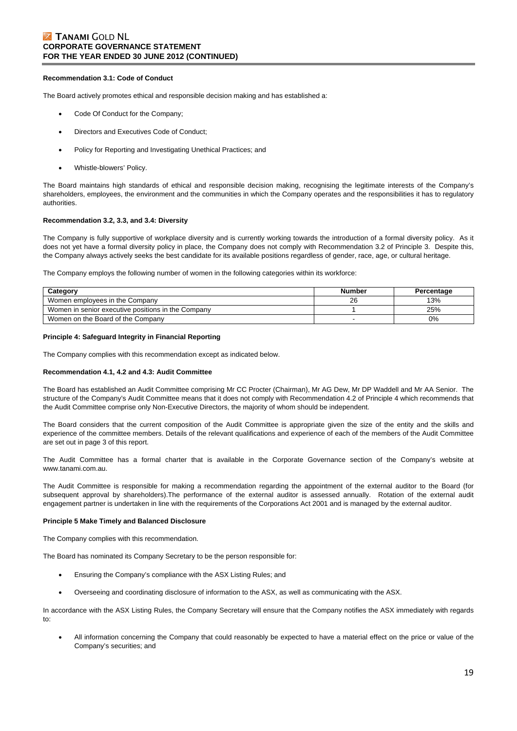### **Z TANAMI GOLD NL CORPORATE GOVERNANCE STATEMENT FOR THE YEAR ENDED 30 JUNE 2012 (CONTINUED)**

#### **Recommendation 3.1: Code of Conduct**

The Board actively promotes ethical and responsible decision making and has established a:

- Code Of Conduct for the Company;
- Directors and Executives Code of Conduct;
- Policy for Reporting and Investigating Unethical Practices; and
- Whistle-blowers' Policy.

The Board maintains high standards of ethical and responsible decision making, recognising the legitimate interests of the Company's shareholders, employees, the environment and the communities in which the Company operates and the responsibilities it has to regulatory authorities.

#### **Recommendation 3.2, 3.3, and 3.4: Diversity**

The Company is fully supportive of workplace diversity and is currently working towards the introduction of a formal diversity policy. As it does not yet have a formal diversity policy in place, the Company does not comply with Recommendation 3.2 of Principle 3. Despite this, the Company always actively seeks the best candidate for its available positions regardless of gender, race, age, or cultural heritage.

The Company employs the following number of women in the following categories within its workforce:

| Category                                           | Number | Percentage |
|----------------------------------------------------|--------|------------|
| Women employees in the Company                     | 26     | 13%        |
| Women in senior executive positions in the Company |        | 25%        |
| Women on the Board of the Company                  |        | 0%         |

#### **Principle 4: Safeguard Integrity in Financial Reporting**

The Company complies with this recommendation except as indicated below.

#### **Recommendation 4.1, 4.2 and 4.3: Audit Committee**

The Board has established an Audit Committee comprising Mr CC Procter (Chairman), Mr AG Dew, Mr DP Waddell and Mr AA Senior. The structure of the Company's Audit Committee means that it does not comply with Recommendation 4.2 of Principle 4 which recommends that the Audit Committee comprise only Non-Executive Directors, the majority of whom should be independent.

The Board considers that the current composition of the Audit Committee is appropriate given the size of the entity and the skills and experience of the committee members. Details of the relevant qualifications and experience of each of the members of the Audit Committee are set out in page 3 of this report.

The Audit Committee has a formal charter that is available in the Corporate Governance section of the Company's website at www.tanami.com.au.

The Audit Committee is responsible for making a recommendation regarding the appointment of the external auditor to the Board (for subsequent approval by shareholders).The performance of the external auditor is assessed annually. Rotation of the external audit engagement partner is undertaken in line with the requirements of the Corporations Act 2001 and is managed by the external auditor.

#### **Principle 5 Make Timely and Balanced Disclosure**

The Company complies with this recommendation.

The Board has nominated its Company Secretary to be the person responsible for:

- Ensuring the Company's compliance with the ASX Listing Rules; and
- Overseeing and coordinating disclosure of information to the ASX, as well as communicating with the ASX.

In accordance with the ASX Listing Rules, the Company Secretary will ensure that the Company notifies the ASX immediately with regards to:

 All information concerning the Company that could reasonably be expected to have a material effect on the price or value of the Company's securities; and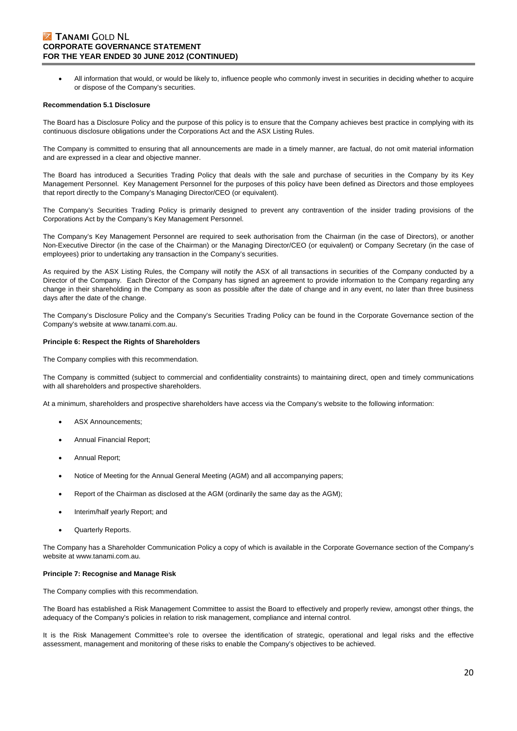### **Z TANAMI GOLD NL CORPORATE GOVERNANCE STATEMENT FOR THE YEAR ENDED 30 JUNE 2012 (CONTINUED)**

 All information that would, or would be likely to, influence people who commonly invest in securities in deciding whether to acquire or dispose of the Company's securities.

#### **Recommendation 5.1 Disclosure**

The Board has a Disclosure Policy and the purpose of this policy is to ensure that the Company achieves best practice in complying with its continuous disclosure obligations under the Corporations Act and the ASX Listing Rules.

The Company is committed to ensuring that all announcements are made in a timely manner, are factual, do not omit material information and are expressed in a clear and objective manner.

The Board has introduced a Securities Trading Policy that deals with the sale and purchase of securities in the Company by its Key Management Personnel. Key Management Personnel for the purposes of this policy have been defined as Directors and those employees that report directly to the Company's Managing Director/CEO (or equivalent).

The Company's Securities Trading Policy is primarily designed to prevent any contravention of the insider trading provisions of the Corporations Act by the Company's Key Management Personnel.

The Company's Key Management Personnel are required to seek authorisation from the Chairman (in the case of Directors), or another Non-Executive Director (in the case of the Chairman) or the Managing Director/CEO (or equivalent) or Company Secretary (in the case of employees) prior to undertaking any transaction in the Company's securities.

As required by the ASX Listing Rules, the Company will notify the ASX of all transactions in securities of the Company conducted by a Director of the Company. Each Director of the Company has signed an agreement to provide information to the Company regarding any change in their shareholding in the Company as soon as possible after the date of change and in any event, no later than three business days after the date of the change.

The Company's Disclosure Policy and the Company's Securities Trading Policy can be found in the Corporate Governance section of the Company's website at www.tanami.com.au.

#### **Principle 6: Respect the Rights of Shareholders**

The Company complies with this recommendation.

The Company is committed (subject to commercial and confidentiality constraints) to maintaining direct, open and timely communications with all shareholders and prospective shareholders.

At a minimum, shareholders and prospective shareholders have access via the Company's website to the following information:

- ASX Announcements;
- Annual Financial Report;
- Annual Report;
- Notice of Meeting for the Annual General Meeting (AGM) and all accompanying papers;
- Report of the Chairman as disclosed at the AGM (ordinarily the same day as the AGM);
- Interim/half yearly Report; and
- Quarterly Reports.

The Company has a Shareholder Communication Policy a copy of which is available in the Corporate Governance section of the Company's website at www.tanami.com.au.

#### **Principle 7: Recognise and Manage Risk**

The Company complies with this recommendation.

The Board has established a Risk Management Committee to assist the Board to effectively and properly review, amongst other things, the adequacy of the Company's policies in relation to risk management, compliance and internal control.

It is the Risk Management Committee's role to oversee the identification of strategic, operational and legal risks and the effective assessment, management and monitoring of these risks to enable the Company's objectives to be achieved.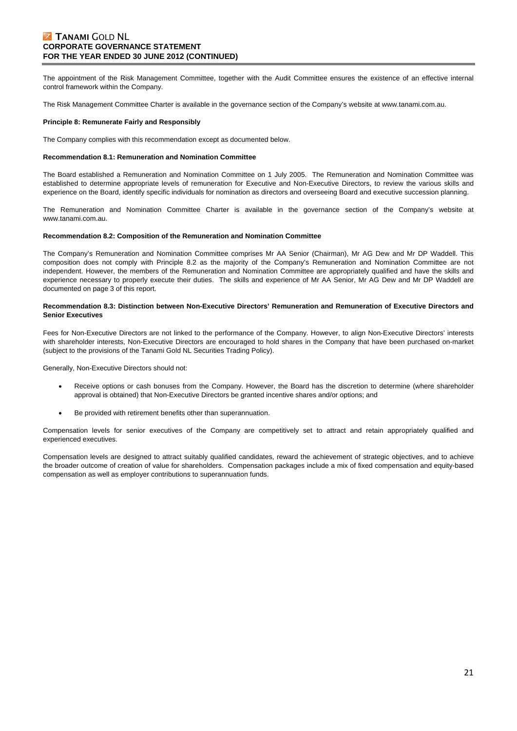## **Z TANAMI GOLD NL CORPORATE GOVERNANCE STATEMENT FOR THE YEAR ENDED 30 JUNE 2012 (CONTINUED)**

The appointment of the Risk Management Committee, together with the Audit Committee ensures the existence of an effective internal control framework within the Company.

The Risk Management Committee Charter is available in the governance section of the Company's website at www.tanami.com.au.

#### **Principle 8: Remunerate Fairly and Responsibly**

The Company complies with this recommendation except as documented below.

#### **Recommendation 8.1: Remuneration and Nomination Committee**

The Board established a Remuneration and Nomination Committee on 1 July 2005. The Remuneration and Nomination Committee was established to determine appropriate levels of remuneration for Executive and Non-Executive Directors, to review the various skills and experience on the Board, identify specific individuals for nomination as directors and overseeing Board and executive succession planning.

The Remuneration and Nomination Committee Charter is available in the governance section of the Company's website at www.tanami.com.au.

#### **Recommendation 8.2: Composition of the Remuneration and Nomination Committee**

The Company's Remuneration and Nomination Committee comprises Mr AA Senior (Chairman), Mr AG Dew and Mr DP Waddell. This composition does not comply with Principle 8.2 as the majority of the Company's Remuneration and Nomination Committee are not independent. However, the members of the Remuneration and Nomination Committee are appropriately qualified and have the skills and experience necessary to properly execute their duties. The skills and experience of Mr AA Senior, Mr AG Dew and Mr DP Waddell are documented on page 3 of this report.

#### **Recommendation 8.3: Distinction between Non-Executive Directors' Remuneration and Remuneration of Executive Directors and Senior Executives**

Fees for Non-Executive Directors are not linked to the performance of the Company. However, to align Non-Executive Directors' interests with shareholder interests, Non-Executive Directors are encouraged to hold shares in the Company that have been purchased on-market (subject to the provisions of the Tanami Gold NL Securities Trading Policy).

Generally, Non-Executive Directors should not:

- Receive options or cash bonuses from the Company. However, the Board has the discretion to determine (where shareholder approval is obtained) that Non-Executive Directors be granted incentive shares and/or options; and
- Be provided with retirement benefits other than superannuation.

Compensation levels for senior executives of the Company are competitively set to attract and retain appropriately qualified and experienced executives.

Compensation levels are designed to attract suitably qualified candidates, reward the achievement of strategic objectives, and to achieve the broader outcome of creation of value for shareholders. Compensation packages include a mix of fixed compensation and equity-based compensation as well as employer contributions to superannuation funds.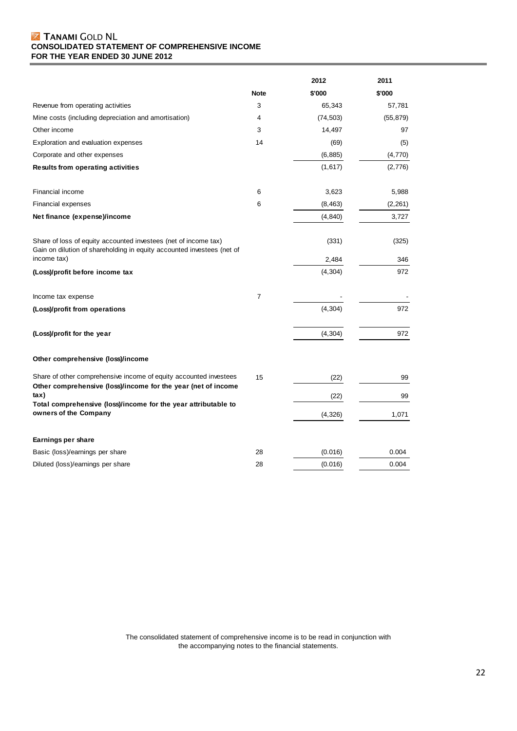### **Z TANAMI GOLD NL CONSOLIDATED STATEMENT OF COMPREHENSIVE INCOME FOR THE YEAR ENDED 30 JUNE 2012**

|                                                                                                                                           |                | 2012      | 2011      |  |
|-------------------------------------------------------------------------------------------------------------------------------------------|----------------|-----------|-----------|--|
|                                                                                                                                           | <b>Note</b>    | \$'000    | \$'000    |  |
| Revenue from operating activities                                                                                                         | 3              | 65,343    | 57,781    |  |
| Mine costs (including depreciation and amortisation)                                                                                      | 4              | (74, 503) | (55, 879) |  |
| Other income                                                                                                                              | 3              | 14,497    | 97        |  |
| Exploration and evaluation expenses                                                                                                       | 14             | (69)      | (5)       |  |
| Corporate and other expenses                                                                                                              |                | (6, 885)  | (4,770)   |  |
| <b>Results from operating activities</b>                                                                                                  |                | (1,617)   | (2,776)   |  |
| Financial income                                                                                                                          | 6              | 3,623     | 5,988     |  |
| <b>Financial expenses</b>                                                                                                                 | 6              | (8, 463)  | (2, 261)  |  |
| Net finance (expense)/income                                                                                                              |                | (4, 840)  | 3,727     |  |
| Share of loss of equity accounted investees (net of income tax)<br>Gain on dilution of shareholding in equity accounted investees (net of |                | (331)     | (325)     |  |
| income tax)                                                                                                                               |                | 2,484     | 346       |  |
| (Loss)/profit before income tax                                                                                                           |                | (4, 304)  | 972       |  |
| Income tax expense                                                                                                                        | $\overline{7}$ |           |           |  |
| (Loss)/profit from operations                                                                                                             |                | (4, 304)  | 972       |  |
| (Loss)/profit for the year                                                                                                                |                | (4, 304)  | 972       |  |
| Other comprehensive (loss)/income                                                                                                         |                |           |           |  |
| Share of other comprehensive income of equity accounted investees<br>Other comprehensive (loss)/income for the year (net of income        | 15             | (22)      | 99        |  |
| tax)                                                                                                                                      |                | (22)      | 99        |  |
| Total comprehensive (loss)/income for the year attributable to<br>owners of the Company                                                   |                | (4, 326)  | 1,071     |  |
| Earnings per share                                                                                                                        |                |           |           |  |
| Basic (loss)/earnings per share                                                                                                           | 28             | (0.016)   | 0.004     |  |
| Diluted (loss)/earnings per share                                                                                                         | 28             | (0.016)   | 0.004     |  |

The consolidated statement of comprehensive income is to be read in conjunction with the accompanying notes to the financial statements.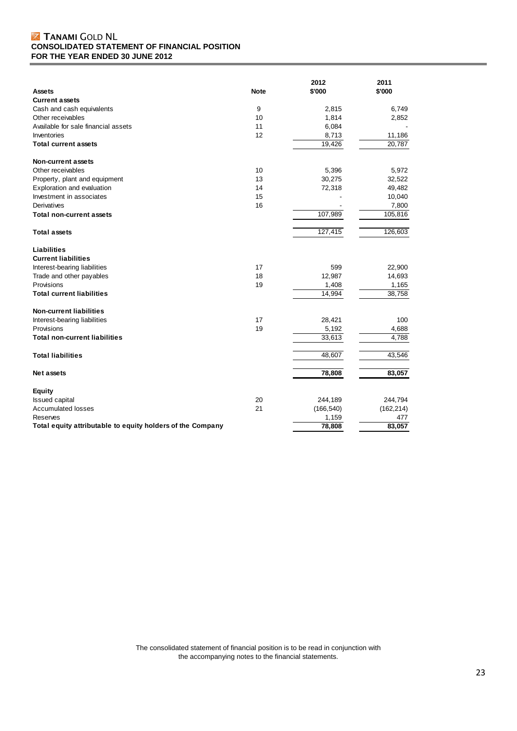### **Z TANAMI GOLD NL CONSOLIDATED STATEMENT OF FINANCIAL POSITION FOR THE YEAR ENDED 30 JUNE 2012**

|                                                            |             | 2012       | 2011       |
|------------------------------------------------------------|-------------|------------|------------|
| <b>Assets</b>                                              | <b>Note</b> | \$'000     | \$'000     |
| <b>Current assets</b>                                      |             |            |            |
| Cash and cash equivalents                                  | 9           | 2,815      | 6,749      |
| Other receivables                                          | 10          | 1,814      | 2,852      |
| Available for sale financial assets                        | 11          | 6,084      |            |
| Inventories                                                | 12          | 8,713      | 11,186     |
| <b>Total current assets</b>                                |             | 19,426     | 20,787     |
| Non-current assets                                         |             |            |            |
| Other receivables                                          | 10          | 5,396      | 5,972      |
| Property, plant and equipment                              | 13          | 30,275     | 32,522     |
| Exploration and evaluation                                 | 14          | 72,318     | 49,482     |
| Investment in associates                                   | 15          |            | 10,040     |
| Derivatives                                                | 16          |            | 7,800      |
| <b>Total non-current assets</b>                            |             | 107,989    | 105,816    |
|                                                            |             |            |            |
| <b>Total assets</b>                                        |             | 127,415    | 126,603    |
| <b>Liabilities</b>                                         |             |            |            |
| <b>Current liabilities</b>                                 |             |            |            |
| Interest-bearing liabilities                               | 17          | 599        | 22,900     |
| Trade and other payables                                   | 18          | 12,987     | 14,693     |
| Provisions                                                 | 19          | 1,408      | 1,165      |
| <b>Total current liabilities</b>                           |             | 14,994     | 38,758     |
| <b>Non-current liabilities</b>                             |             |            |            |
| Interest-bearing liabilities                               | 17          | 28,421     | 100        |
| Provisions                                                 | 19          | 5,192      | 4,688      |
| <b>Total non-current liabilities</b>                       |             | 33,613     | 4,788      |
| <b>Total liabilities</b>                                   |             | 48,607     | 43,546     |
| Net assets                                                 |             | 78,808     | 83,057     |
| <b>Equity</b>                                              |             |            |            |
| <b>Issued capital</b>                                      | 20          | 244,189    | 244,794    |
| <b>Accumulated losses</b>                                  | 21          | (166, 540) | (162, 214) |
| Reserves                                                   |             | 1,159      | 477        |
| Total equity attributable to equity holders of the Company |             | 78,808     | 83,057     |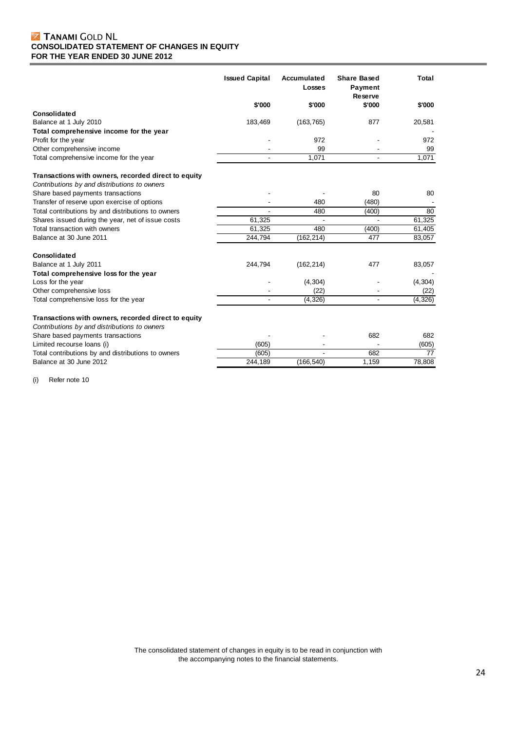## **Z TANAMI GOLD NL CONSOLIDATED STATEMENT OF CHANGES IN EQUITY FOR THE YEAR ENDED 30 JUNE 2012**

|                                                                                                     | <b>Issued Capital</b> | Accumulated<br><b>Losses</b> | <b>Share Based</b><br><b>Payment</b><br>Reserve | Total    |
|-----------------------------------------------------------------------------------------------------|-----------------------|------------------------------|-------------------------------------------------|----------|
|                                                                                                     | \$'000                | \$'000                       | \$'000                                          | \$'000   |
| Consolidated                                                                                        |                       |                              |                                                 |          |
| Balance at 1 July 2010                                                                              | 183,469               | (163, 765)                   | 877                                             | 20,581   |
| Total comprehensive income for the year                                                             |                       |                              |                                                 |          |
| Profit for the year                                                                                 |                       | 972                          |                                                 | 972      |
| Other comprehensive income                                                                          |                       | 99                           |                                                 | 99       |
| Total comprehensive income for the year                                                             |                       | 1,071                        |                                                 | 1,071    |
| Transactions with owners, recorded direct to equity                                                 |                       |                              |                                                 |          |
| Contributions by and distributions to owners                                                        |                       |                              |                                                 |          |
| Share based payments transactions                                                                   |                       |                              | 80                                              | 80       |
| Transfer of reserve upon exercise of options                                                        |                       | 480                          | (480)                                           |          |
| Total contributions by and distributions to owners                                                  |                       | 480                          | (400)                                           | 80       |
| Shares issued during the year, net of issue costs                                                   | 61,325                |                              |                                                 | 61,325   |
| Total transaction with owners                                                                       | 61,325                | 480                          | (400)                                           | 61,405   |
| Balance at 30 June 2011                                                                             | 244,794               | (162, 214)                   | 477                                             | 83,057   |
| Consolidated                                                                                        |                       |                              |                                                 |          |
| Balance at 1 July 2011                                                                              | 244,794               | (162, 214)                   | 477                                             | 83,057   |
| Total comprehensive loss for the year                                                               |                       |                              |                                                 |          |
| Loss for the year                                                                                   |                       | (4, 304)                     |                                                 | (4, 304) |
| Other comprehensive loss                                                                            |                       | (22)                         |                                                 | (22)     |
| Total comprehensive loss for the year                                                               |                       | (4, 326)                     |                                                 | (4, 326) |
| Transactions with owners, recorded direct to equity<br>Contributions by and distributions to owners |                       |                              |                                                 |          |
| Share based payments transactions                                                                   |                       |                              | 682                                             | 682      |
| Limited recourse loans (i)                                                                          | (605)                 |                              |                                                 | (605)    |
| Total contributions by and distributions to owners                                                  | (605)                 |                              | 682                                             | 77       |
| Balance at 30 June 2012                                                                             | 244,189               | (166, 540)                   | 1,159                                           | 78,808   |

(i) Refer note 10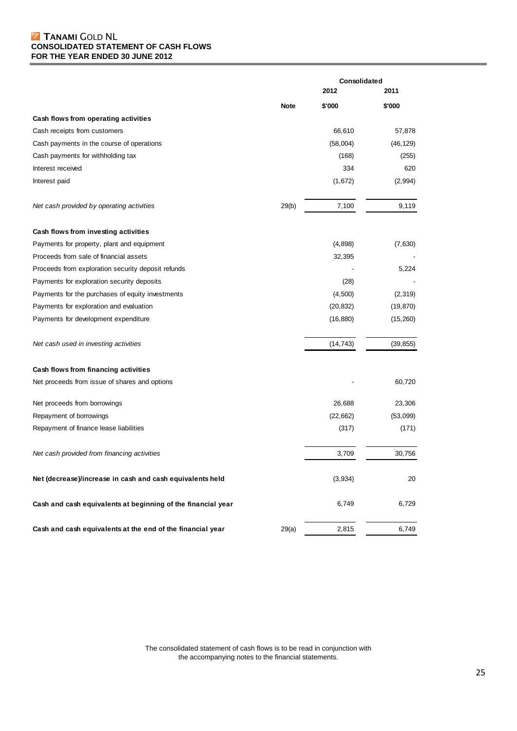### **Z TANAMI GOLD NL CONSOLIDATED STATEMENT OF CASH FLOWS FOR THE YEAR ENDED 30 JUNE 2012**

|                                                              |             | Consolidated |           |  |
|--------------------------------------------------------------|-------------|--------------|-----------|--|
|                                                              | 2012        |              | 2011      |  |
|                                                              | <b>Note</b> | \$'000       | \$'000    |  |
| Cash flows from operating activities                         |             |              |           |  |
| Cash receipts from customers                                 |             | 66,610       | 57,878    |  |
| Cash payments in the course of operations                    |             | (58,004)     | (46, 129) |  |
| Cash payments for withholding tax                            |             | (168)        | (255)     |  |
| Interest received                                            |             | 334          | 620       |  |
| Interest paid                                                |             | (1,672)      | (2,994)   |  |
| Net cash provided by operating activities                    | 29(b)       | 7,100        | 9,119     |  |
| Cash flows from investing activities                         |             |              |           |  |
| Payments for property, plant and equipment                   |             | (4,898)      | (7,630)   |  |
| Proceeds from sale of financial assets                       |             | 32,395       |           |  |
| Proceeds from exploration security deposit refunds           |             |              | 5,224     |  |
| Payments for exploration security deposits                   |             | (28)         |           |  |
| Payments for the purchases of equity investments             |             | (4,500)      | (2, 319)  |  |
| Payments for exploration and evaluation                      |             | (20, 832)    | (19, 870) |  |
| Payments for development expenditure                         |             | (16, 880)    | (15,260)  |  |
| Net cash used in investing activities                        |             | (14, 743)    | (39, 855) |  |
| Cash flows from financing activities                         |             |              |           |  |
| Net proceeds from issue of shares and options                |             |              | 60,720    |  |
| Net proceeds from borrowings                                 |             | 26,688       | 23,306    |  |
| Repayment of borrowings                                      |             | (22, 662)    | (53,099)  |  |
| Repayment of finance lease liabilities                       |             | (317)        | (171)     |  |
| Net cash provided from financing activities                  |             | 3,709        | 30,756    |  |
| Net (decrease)/increase in cash and cash equivalents held    |             | (3,934)      | 20        |  |
| Cash and cash equivalents at beginning of the financial year |             | 6,749        | 6,729     |  |
| Cash and cash equivalents at the end of the financial year   | 29(a)       | 2,815        | 6,749     |  |

The consolidated statement of cash flows is to be read in conjunction with the accompanying notes to the financial statements.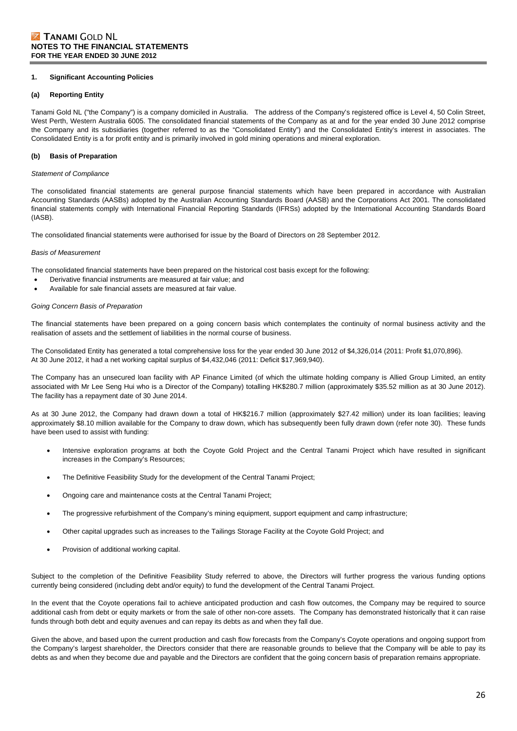#### **1. Significant Accounting Policies**

#### **(a) Reporting Entity**

Tanami Gold NL ("the Company") is a company domiciled in Australia. The address of the Company's registered office is Level 4, 50 Colin Street, West Perth, Western Australia 6005. The consolidated financial statements of the Company as at and for the year ended 30 June 2012 comprise the Company and its subsidiaries (together referred to as the "Consolidated Entity") and the Consolidated Entity's interest in associates. The Consolidated Entity is a for profit entity and is primarily involved in gold mining operations and mineral exploration.

#### **(b) Basis of Preparation**

#### *Statement of Compliance*

The consolidated financial statements are general purpose financial statements which have been prepared in accordance with Australian Accounting Standards (AASBs) adopted by the Australian Accounting Standards Board (AASB) and the Corporations Act 2001. The consolidated financial statements comply with International Financial Reporting Standards (IFRSs) adopted by the International Accounting Standards Board (IASB).

The consolidated financial statements were authorised for issue by the Board of Directors on 28 September 2012.

#### *Basis of Measurement*

The consolidated financial statements have been prepared on the historical cost basis except for the following:

- Derivative financial instruments are measured at fair value; and
- Available for sale financial assets are measured at fair value.

#### *Going Concern Basis of Preparation*

The financial statements have been prepared on a going concern basis which contemplates the continuity of normal business activity and the realisation of assets and the settlement of liabilities in the normal course of business.

The Consolidated Entity has generated a total comprehensive loss for the year ended 30 June 2012 of \$4,326,014 (2011: Profit \$1,070,896). At 30 June 2012, it had a net working capital surplus of \$4,432,046 (2011: Deficit \$17,969,940).

The Company has an unsecured loan facility with AP Finance Limited (of which the ultimate holding company is Allied Group Limited, an entity associated with Mr Lee Seng Hui who is a Director of the Company) totalling HK\$280.7 million (approximately \$35.52 million as at 30 June 2012). The facility has a repayment date of 30 June 2014.

As at 30 June 2012, the Company had drawn down a total of HK\$216.7 million (approximately \$27.42 million) under its loan facilities; leaving approximately \$8.10 million available for the Company to draw down, which has subsequently been fully drawn down (refer note 30). These funds have been used to assist with funding:

- Intensive exploration programs at both the Coyote Gold Project and the Central Tanami Project which have resulted in significant increases in the Company's Resources;
- The Definitive Feasibility Study for the development of the Central Tanami Project;
- Ongoing care and maintenance costs at the Central Tanami Project;
- The progressive refurbishment of the Company's mining equipment, support equipment and camp infrastructure;
- Other capital upgrades such as increases to the Tailings Storage Facility at the Coyote Gold Project; and
- Provision of additional working capital.

Subject to the completion of the Definitive Feasibility Study referred to above, the Directors will further progress the various funding options currently being considered (including debt and/or equity) to fund the development of the Central Tanami Project.

In the event that the Coyote operations fail to achieve anticipated production and cash flow outcomes, the Company may be required to source additional cash from debt or equity markets or from the sale of other non-core assets. The Company has demonstrated historically that it can raise funds through both debt and equity avenues and can repay its debts as and when they fall due.

Given the above, and based upon the current production and cash flow forecasts from the Company's Coyote operations and ongoing support from the Company's largest shareholder, the Directors consider that there are reasonable grounds to believe that the Company will be able to pay its debts as and when they become due and payable and the Directors are confident that the going concern basis of preparation remains appropriate.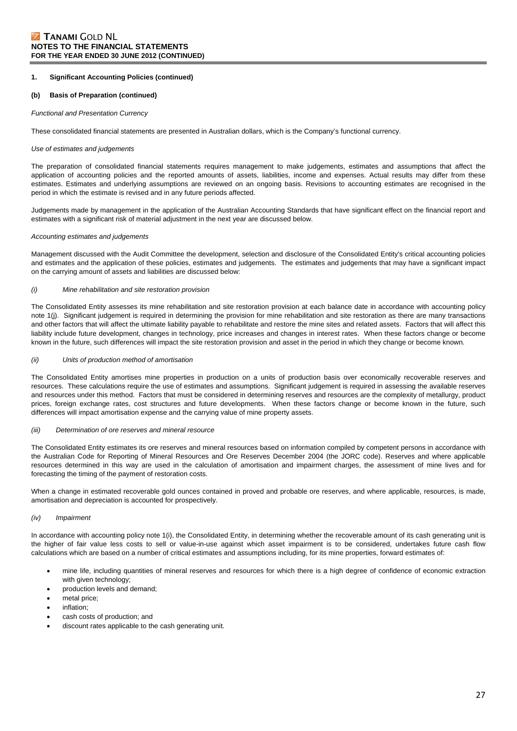#### **(b) Basis of Preparation (continued)**

#### *Functional and Presentation Currency*

These consolidated financial statements are presented in Australian dollars, which is the Company's functional currency.

#### *Use of estimates and judgements*

The preparation of consolidated financial statements requires management to make judgements, estimates and assumptions that affect the application of accounting policies and the reported amounts of assets, liabilities, income and expenses. Actual results may differ from these estimates. Estimates and underlying assumptions are reviewed on an ongoing basis. Revisions to accounting estimates are recognised in the period in which the estimate is revised and in any future periods affected.

Judgements made by management in the application of the Australian Accounting Standards that have significant effect on the financial report and estimates with a significant risk of material adjustment in the next year are discussed below.

#### *Accounting estimates and judgements*

Management discussed with the Audit Committee the development, selection and disclosure of the Consolidated Entity's critical accounting policies and estimates and the application of these policies, estimates and judgements. The estimates and judgements that may have a significant impact on the carrying amount of assets and liabilities are discussed below:

#### *(i) Mine rehabilitation and site restoration provision*

The Consolidated Entity assesses its mine rehabilitation and site restoration provision at each balance date in accordance with accounting policy note 1(j). Significant judgement is required in determining the provision for mine rehabilitation and site restoration as there are many transactions and other factors that will affect the ultimate liability payable to rehabilitate and restore the mine sites and related assets. Factors that will affect this liability include future development, changes in technology, price increases and changes in interest rates. When these factors change or become known in the future, such differences will impact the site restoration provision and asset in the period in which they change or become known.

#### *(ii) Units of production method of amortisation*

The Consolidated Entity amortises mine properties in production on a units of production basis over economically recoverable reserves and resources. These calculations require the use of estimates and assumptions. Significant judgement is required in assessing the available reserves and resources under this method. Factors that must be considered in determining reserves and resources are the complexity of metallurgy, product prices, foreign exchange rates, cost structures and future developments. When these factors change or become known in the future, such differences will impact amortisation expense and the carrying value of mine property assets.

#### *(iii) Determination of ore reserves and mineral resource*

The Consolidated Entity estimates its ore reserves and mineral resources based on information compiled by competent persons in accordance with the Australian Code for Reporting of Mineral Resources and Ore Reserves December 2004 (the JORC code). Reserves and where applicable resources determined in this way are used in the calculation of amortisation and impairment charges, the assessment of mine lives and for forecasting the timing of the payment of restoration costs.

When a change in estimated recoverable gold ounces contained in proved and probable ore reserves, and where applicable, resources, is made, amortisation and depreciation is accounted for prospectively.

#### *(iv) Impairment*

In accordance with accounting policy note 1(i), the Consolidated Entity, in determining whether the recoverable amount of its cash generating unit is the higher of fair value less costs to sell or value-in-use against which asset impairment is to be considered, undertakes future cash flow calculations which are based on a number of critical estimates and assumptions including, for its mine properties, forward estimates of:

- mine life, including quantities of mineral reserves and resources for which there is a high degree of confidence of economic extraction with given technology;
- production levels and demand;
- metal price;
- inflation;
- cash costs of production; and
- discount rates applicable to the cash generating unit.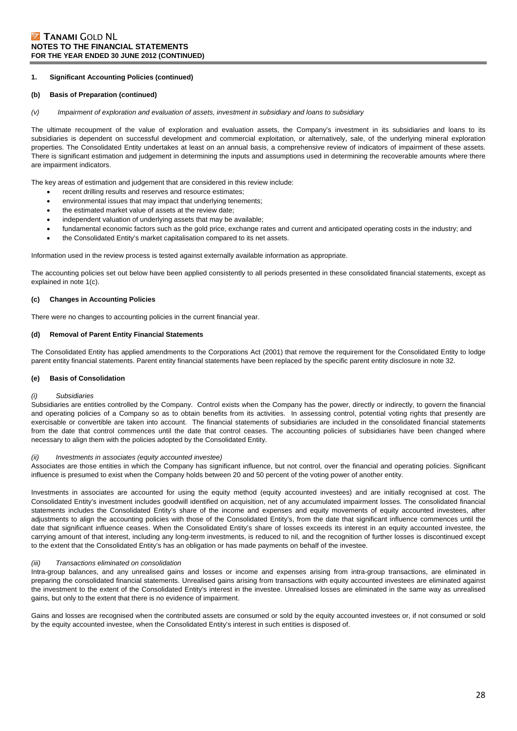#### **(b) Basis of Preparation (continued)**

*(v) Impairment of exploration and evaluation of assets, investment in subsidiary and loans to subsidiary* 

The ultimate recoupment of the value of exploration and evaluation assets, the Company's investment in its subsidiaries and loans to its subsidiaries is dependent on successful development and commercial exploitation, or alternatively, sale, of the underlying mineral exploration properties. The Consolidated Entity undertakes at least on an annual basis, a comprehensive review of indicators of impairment of these assets. There is significant estimation and judgement in determining the inputs and assumptions used in determining the recoverable amounts where there are impairment indicators.

The key areas of estimation and judgement that are considered in this review include:

- recent drilling results and reserves and resource estimates;
- environmental issues that may impact that underlying tenements;
- the estimated market value of assets at the review date;
- independent valuation of underlying assets that may be available;
- fundamental economic factors such as the gold price, exchange rates and current and anticipated operating costs in the industry; and
- the Consolidated Entity's market capitalisation compared to its net assets.

Information used in the review process is tested against externally available information as appropriate.

The accounting policies set out below have been applied consistently to all periods presented in these consolidated financial statements, except as explained in note 1(c).

#### **(c) Changes in Accounting Policies**

There were no changes to accounting policies in the current financial year.

#### **(d) Removal of Parent Entity Financial Statements**

The Consolidated Entity has applied amendments to the Corporations Act (2001) that remove the requirement for the Consolidated Entity to lodge parent entity financial statements. Parent entity financial statements have been replaced by the specific parent entity disclosure in note 32.

#### **(e) Basis of Consolidation**

#### *(i) Subsidiaries*

Subsidiaries are entities controlled by the Company. Control exists when the Company has the power, directly or indirectly, to govern the financial and operating policies of a Company so as to obtain benefits from its activities. In assessing control, potential voting rights that presently are exercisable or convertible are taken into account. The financial statements of subsidiaries are included in the consolidated financial statements from the date that control commences until the date that control ceases. The accounting policies of subsidiaries have been changed where necessary to align them with the policies adopted by the Consolidated Entity.

#### *(ii) Investments in associates (equity accounted investee)*

Associates are those entities in which the Company has significant influence, but not control, over the financial and operating policies. Significant influence is presumed to exist when the Company holds between 20 and 50 percent of the voting power of another entity.

Investments in associates are accounted for using the equity method (equity accounted investees) and are initially recognised at cost. The Consolidated Entity's investment includes goodwill identified on acquisition, net of any accumulated impairment losses. The consolidated financial statements includes the Consolidated Entity's share of the income and expenses and equity movements of equity accounted investees, after adjustments to align the accounting policies with those of the Consolidated Entity's, from the date that significant influence commences until the date that significant influence ceases. When the Consolidated Entity's share of losses exceeds its interest in an equity accounted investee, the carrying amount of that interest, including any long-term investments, is reduced to nil, and the recognition of further losses is discontinued except to the extent that the Consolidated Entity's has an obligation or has made payments on behalf of the investee.

#### *(iii) Transactions eliminated on consolidation*

Intra-group balances, and any unrealised gains and losses or income and expenses arising from intra-group transactions, are eliminated in preparing the consolidated financial statements. Unrealised gains arising from transactions with equity accounted investees are eliminated against the investment to the extent of the Consolidated Entity's interest in the investee. Unrealised losses are eliminated in the same way as unrealised gains, but only to the extent that there is no evidence of impairment.

Gains and losses are recognised when the contributed assets are consumed or sold by the equity accounted investees or, if not consumed or sold by the equity accounted investee, when the Consolidated Entity's interest in such entities is disposed of.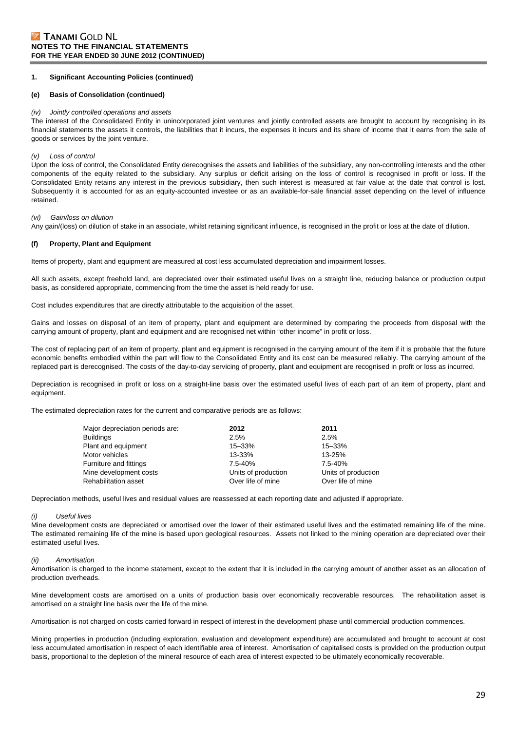#### **(e) Basis of Consolidation (continued)**

#### *(iv) Jointly controlled operations and assets*

The interest of the Consolidated Entity in unincorporated joint ventures and jointly controlled assets are brought to account by recognising in its financial statements the assets it controls, the liabilities that it incurs, the expenses it incurs and its share of income that it earns from the sale of goods or services by the joint venture.

#### *(v) Loss of control*

Upon the loss of control, the Consolidated Entity derecognises the assets and liabilities of the subsidiary, any non-controlling interests and the other components of the equity related to the subsidiary. Any surplus or deficit arising on the loss of control is recognised in profit or loss. If the Consolidated Entity retains any interest in the previous subsidiary, then such interest is measured at fair value at the date that control is lost. Subsequently it is accounted for as an equity-accounted investee or as an available-for-sale financial asset depending on the level of influence retained.

#### *(vi) Gain/loss on dilution*

Any gain/(loss) on dilution of stake in an associate, whilst retaining significant influence, is recognised in the profit or loss at the date of dilution.

#### **(f) Property, Plant and Equipment**

Items of property, plant and equipment are measured at cost less accumulated depreciation and impairment losses.

All such assets, except freehold land, are depreciated over their estimated useful lives on a straight line, reducing balance or production output basis, as considered appropriate, commencing from the time the asset is held ready for use.

Cost includes expenditures that are directly attributable to the acquisition of the asset.

Gains and losses on disposal of an item of property, plant and equipment are determined by comparing the proceeds from disposal with the carrying amount of property, plant and equipment and are recognised net within "other income" in profit or loss.

The cost of replacing part of an item of property, plant and equipment is recognised in the carrying amount of the item if it is probable that the future economic benefits embodied within the part will flow to the Consolidated Entity and its cost can be measured reliably. The carrying amount of the replaced part is derecognised. The costs of the day-to-day servicing of property, plant and equipment are recognised in profit or loss as incurred.

Depreciation is recognised in profit or loss on a straight-line basis over the estimated useful lives of each part of an item of property, plant and equipment.

The estimated depreciation rates for the current and comparative periods are as follows:

| 2012                | 2011                |
|---------------------|---------------------|
| 2.5%                | 2.5%                |
| 15-33%              | 15-33%              |
| 13-33%              | 13-25%              |
| $7.5 - 40%$         | $7.5 - 40%$         |
| Units of production | Units of production |
| Over life of mine   | Over life of mine   |
|                     |                     |

Depreciation methods, useful lives and residual values are reassessed at each reporting date and adjusted if appropriate.

#### *(i) Useful lives*

Mine development costs are depreciated or amortised over the lower of their estimated useful lives and the estimated remaining life of the mine. The estimated remaining life of the mine is based upon geological resources. Assets not linked to the mining operation are depreciated over their estimated useful lives.

#### *(ii) Amortisation*

Amortisation is charged to the income statement, except to the extent that it is included in the carrying amount of another asset as an allocation of production overheads.

Mine development costs are amortised on a units of production basis over economically recoverable resources. The rehabilitation asset is amortised on a straight line basis over the life of the mine.

Amortisation is not charged on costs carried forward in respect of interest in the development phase until commercial production commences.

Mining properties in production (including exploration, evaluation and development expenditure) are accumulated and brought to account at cost less accumulated amortisation in respect of each identifiable area of interest. Amortisation of capitalised costs is provided on the production output basis, proportional to the depletion of the mineral resource of each area of interest expected to be ultimately economically recoverable.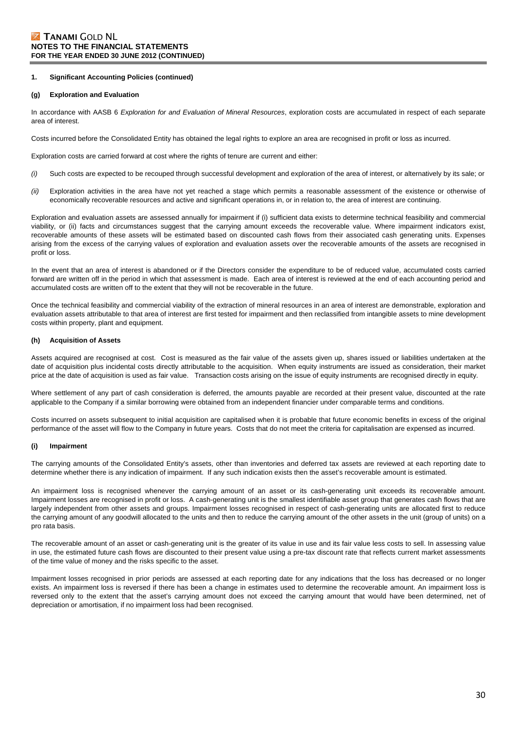#### **(g) Exploration and Evaluation**

In accordance with AASB 6 *Exploration for and Evaluation of Mineral Resources*, exploration costs are accumulated in respect of each separate area of interest.

Costs incurred before the Consolidated Entity has obtained the legal rights to explore an area are recognised in profit or loss as incurred.

Exploration costs are carried forward at cost where the rights of tenure are current and either:

- *(i)* Such costs are expected to be recouped through successful development and exploration of the area of interest, or alternatively by its sale; or
- *(ii)* Exploration activities in the area have not yet reached a stage which permits a reasonable assessment of the existence or otherwise of economically recoverable resources and active and significant operations in, or in relation to, the area of interest are continuing.

Exploration and evaluation assets are assessed annually for impairment if (i) sufficient data exists to determine technical feasibility and commercial viability, or (ii) facts and circumstances suggest that the carrying amount exceeds the recoverable value. Where impairment indicators exist, recoverable amounts of these assets will be estimated based on discounted cash flows from their associated cash generating units. Expenses arising from the excess of the carrying values of exploration and evaluation assets over the recoverable amounts of the assets are recognised in profit or loss.

In the event that an area of interest is abandoned or if the Directors consider the expenditure to be of reduced value, accumulated costs carried forward are written off in the period in which that assessment is made. Each area of interest is reviewed at the end of each accounting period and accumulated costs are written off to the extent that they will not be recoverable in the future.

Once the technical feasibility and commercial viability of the extraction of mineral resources in an area of interest are demonstrable, exploration and evaluation assets attributable to that area of interest are first tested for impairment and then reclassified from intangible assets to mine development costs within property, plant and equipment.

#### **(h) Acquisition of Assets**

Assets acquired are recognised at cost. Cost is measured as the fair value of the assets given up, shares issued or liabilities undertaken at the date of acquisition plus incidental costs directly attributable to the acquisition. When equity instruments are issued as consideration, their market price at the date of acquisition is used as fair value. Transaction costs arising on the issue of equity instruments are recognised directly in equity.

Where settlement of any part of cash consideration is deferred, the amounts payable are recorded at their present value, discounted at the rate applicable to the Company if a similar borrowing were obtained from an independent financier under comparable terms and conditions.

Costs incurred on assets subsequent to initial acquisition are capitalised when it is probable that future economic benefits in excess of the original performance of the asset will flow to the Company in future years. Costs that do not meet the criteria for capitalisation are expensed as incurred.

#### **(i) Impairment**

The carrying amounts of the Consolidated Entity's assets, other than inventories and deferred tax assets are reviewed at each reporting date to determine whether there is any indication of impairment. If any such indication exists then the asset's recoverable amount is estimated.

An impairment loss is recognised whenever the carrying amount of an asset or its cash-generating unit exceeds its recoverable amount. Impairment losses are recognised in profit or loss. A cash-generating unit is the smallest identifiable asset group that generates cash flows that are largely independent from other assets and groups. Impairment losses recognised in respect of cash-generating units are allocated first to reduce the carrying amount of any goodwill allocated to the units and then to reduce the carrying amount of the other assets in the unit (group of units) on a pro rata basis.

The recoverable amount of an asset or cash-generating unit is the greater of its value in use and its fair value less costs to sell. In assessing value in use, the estimated future cash flows are discounted to their present value using a pre-tax discount rate that reflects current market assessments of the time value of money and the risks specific to the asset.

Impairment losses recognised in prior periods are assessed at each reporting date for any indications that the loss has decreased or no longer exists. An impairment loss is reversed if there has been a change in estimates used to determine the recoverable amount. An impairment loss is reversed only to the extent that the asset's carrying amount does not exceed the carrying amount that would have been determined, net of depreciation or amortisation, if no impairment loss had been recognised.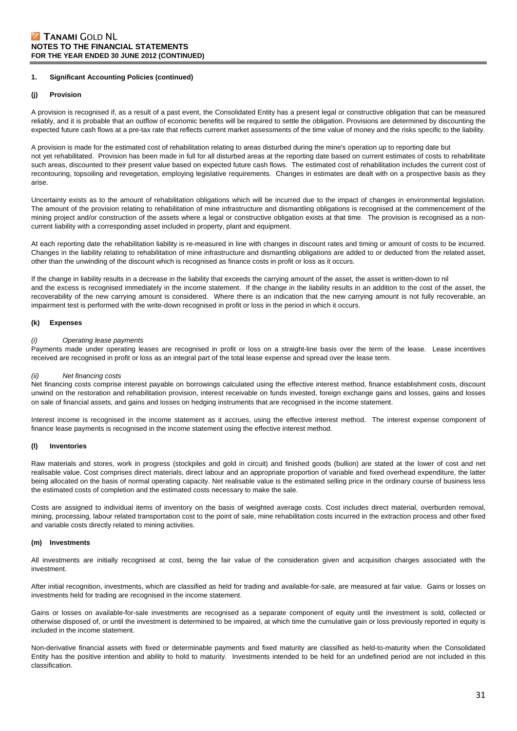#### **(j) Provision**

A provision is recognised if, as a result of a past event, the Consolidated Entity has a present legal or constructive obligation that can be measured reliably, and it is probable that an outflow of economic benefits will be required to settle the obligation. Provisions are determined by discounting the expected future cash flows at a pre-tax rate that reflects current market assessments of the time value of money and the risks specific to the liability.

A provision is made for the estimated cost of rehabilitation relating to areas disturbed during the mine's operation up to reporting date but not yet rehabilitated. Provision has been made in full for all disturbed areas at the reporting date based on current estimates of costs to rehabilitate such areas, discounted to their present value based on expected future cash flows. The estimated cost of rehabilitation includes the current cost of recontouring, topsoiling and revegetation, employing legislative requirements. Changes in estimates are dealt with on a prospective basis as they arise.

Uncertainty exists as to the amount of rehabilitation obligations which will be incurred due to the impact of changes in environmental legislation. The amount of the provision relating to rehabilitation of mine infrastructure and dismantling obligations is recognised at the commencement of the mining project and/or construction of the assets where a legal or constructive obligation exists at that time. The provision is recognised as a noncurrent liability with a corresponding asset included in property, plant and equipment.

At each reporting date the rehabilitation liability is re-measured in line with changes in discount rates and timing or amount of costs to be incurred. Changes in the liability relating to rehabilitation of mine infrastructure and dismantling obligations are added to or deducted from the related asset, other than the unwinding of the discount which is recognised as finance costs in profit or loss as it occurs.

If the change in liability results in a decrease in the liability that exceeds the carrying amount of the asset, the asset is written-down to nil and the excess is recognised immediately in the income statement. If the change in the liability results in an addition to the cost of the asset, the recoverability of the new carrying amount is considered. Where there is an indication that the new carrying amount is not fully recoverable, an impairment test is performed with the write-down recognised in profit or loss in the period in which it occurs.

#### **(k) Expenses**

#### **Operating lease payments**

Payments made under operating leases are recognised in profit or loss on a straight-line basis over the term of the lease. Lease incentives received are recognised in profit or loss as an integral part of the total lease expense and spread over the lease term.

#### *(ii) Net financing costs*

Net financing costs comprise interest payable on borrowings calculated using the effective interest method, finance establishment costs, discount unwind on the restoration and rehabilitation provision, interest receivable on funds invested, foreign exchange gains and losses, gains and losses on sale of financial assets, and gains and losses on hedging instruments that are recognised in the income statement.

Interest income is recognised in the income statement as it accrues, using the effective interest method. The interest expense component of finance lease payments is recognised in the income statement using the effective interest method.

#### **(l) Inventories**

Raw materials and stores, work in progress (stockpiles and gold in circuit) and finished goods (bullion) are stated at the lower of cost and net realisable value. Cost comprises direct materials, direct labour and an appropriate proportion of variable and fixed overhead expenditure, the latter being allocated on the basis of normal operating capacity. Net realisable value is the estimated selling price in the ordinary course of business less the estimated costs of completion and the estimated costs necessary to make the sale.

Costs are assigned to individual items of inventory on the basis of weighted average costs. Cost includes direct material, overburden removal, mining, processing, labour related transportation cost to the point of sale, mine rehabilitation costs incurred in the extraction process and other fixed and variable costs directly related to mining activities.

#### **(m) Investments**

All investments are initially recognised at cost, being the fair value of the consideration given and acquisition charges associated with the investment.

After initial recognition, investments, which are classified as held for trading and available-for-sale, are measured at fair value. Gains or losses on investments held for trading are recognised in the income statement.

Gains or losses on available-for-sale investments are recognised as a separate component of equity until the investment is sold, collected or otherwise disposed of, or until the investment is determined to be impaired, at which time the cumulative gain or loss previously reported in equity is included in the income statement.

Non-derivative financial assets with fixed or determinable payments and fixed maturity are classified as held-to-maturity when the Consolidated Entity has the positive intention and ability to hold to maturity. Investments intended to be held for an undefined period are not included in this classification.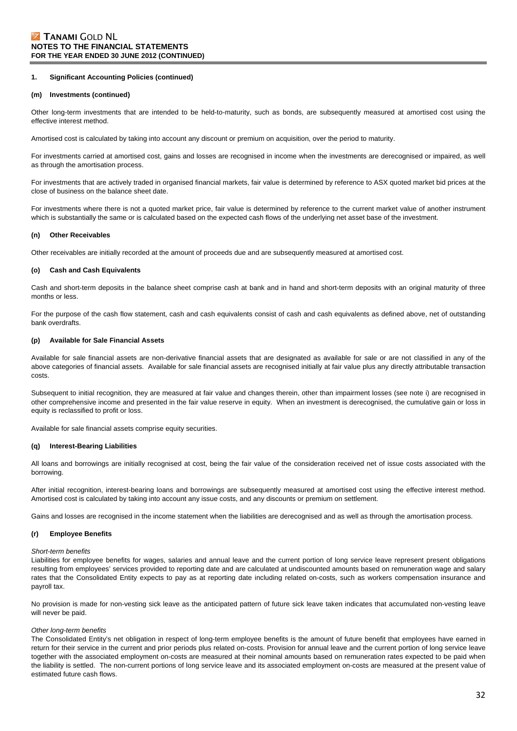#### **(m) Investments (continued)**

Other long-term investments that are intended to be held-to-maturity, such as bonds, are subsequently measured at amortised cost using the effective interest method.

Amortised cost is calculated by taking into account any discount or premium on acquisition, over the period to maturity.

For investments carried at amortised cost, gains and losses are recognised in income when the investments are derecognised or impaired, as well as through the amortisation process.

For investments that are actively traded in organised financial markets, fair value is determined by reference to ASX quoted market bid prices at the close of business on the balance sheet date.

For investments where there is not a quoted market price, fair value is determined by reference to the current market value of another instrument which is substantially the same or is calculated based on the expected cash flows of the underlying net asset base of the investment.

#### **(n) Other Receivables**

Other receivables are initially recorded at the amount of proceeds due and are subsequently measured at amortised cost.

#### **(o) Cash and Cash Equivalents**

Cash and short-term deposits in the balance sheet comprise cash at bank and in hand and short-term deposits with an original maturity of three months or less.

For the purpose of the cash flow statement, cash and cash equivalents consist of cash and cash equivalents as defined above, net of outstanding bank overdrafts.

#### **(p) Available for Sale Financial Assets**

Available for sale financial assets are non-derivative financial assets that are designated as available for sale or are not classified in any of the above categories of financial assets. Available for sale financial assets are recognised initially at fair value plus any directly attributable transaction costs.

Subsequent to initial recognition, they are measured at fair value and changes therein, other than impairment losses (see note i) are recognised in other comprehensive income and presented in the fair value reserve in equity. When an investment is derecognised, the cumulative gain or loss in equity is reclassified to profit or loss.

Available for sale financial assets comprise equity securities.

#### **(q) Interest-Bearing Liabilities**

All loans and borrowings are initially recognised at cost, being the fair value of the consideration received net of issue costs associated with the borrowing.

After initial recognition, interest-bearing loans and borrowings are subsequently measured at amortised cost using the effective interest method. Amortised cost is calculated by taking into account any issue costs, and any discounts or premium on settlement.

Gains and losses are recognised in the income statement when the liabilities are derecognised and as well as through the amortisation process.

#### **(r) Employee Benefits**

#### *Short-term benefits*

Liabilities for employee benefits for wages, salaries and annual leave and the current portion of long service leave represent present obligations resulting from employees' services provided to reporting date and are calculated at undiscounted amounts based on remuneration wage and salary rates that the Consolidated Entity expects to pay as at reporting date including related on-costs, such as workers compensation insurance and payroll tax.

No provision is made for non-vesting sick leave as the anticipated pattern of future sick leave taken indicates that accumulated non-vesting leave will never be paid.

#### *Other long-term benefits*

The Consolidated Entity's net obligation in respect of long-term employee benefits is the amount of future benefit that employees have earned in return for their service in the current and prior periods plus related on-costs. Provision for annual leave and the current portion of long service leave together with the associated employment on-costs are measured at their nominal amounts based on remuneration rates expected to be paid when the liability is settled. The non-current portions of long service leave and its associated employment on-costs are measured at the present value of estimated future cash flows.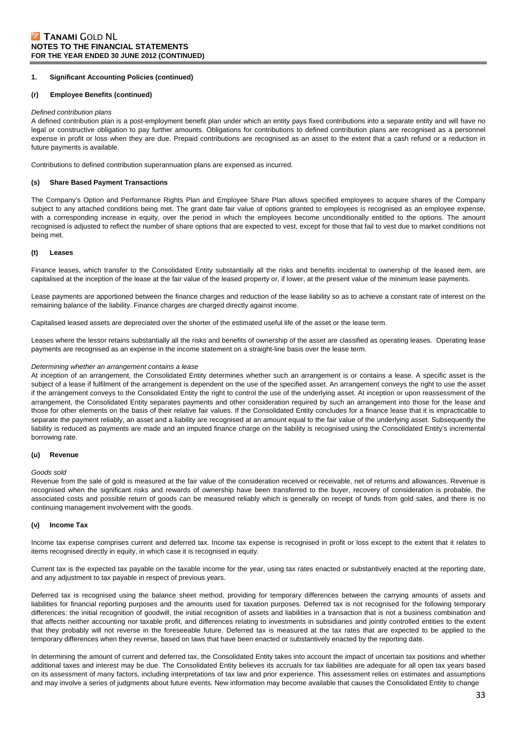#### **(r) Employee Benefits (continued)**

#### *Defined contribution plans*

A defined contribution plan is a post-employment benefit plan under which an entity pays fixed contributions into a separate entity and will have no legal or constructive obligation to pay further amounts. Obligations for contributions to defined contribution plans are recognised as a personnel expense in profit or loss when they are due. Prepaid contributions are recognised as an asset to the extent that a cash refund or a reduction in future payments is available.

Contributions to defined contribution superannuation plans are expensed as incurred.

#### **(s) Share Based Payment Transactions**

The Company's Option and Performance Rights Plan and Employee Share Plan allows specified employees to acquire shares of the Company subject to any attached conditions being met. The grant date fair value of options granted to employees is recognised as an employee expense, with a corresponding increase in equity, over the period in which the employees become unconditionally entitled to the options. The amount recognised is adjusted to reflect the number of share options that are expected to vest, except for those that fail to vest due to market conditions not being met.

#### **(t) Leases**

Finance leases, which transfer to the Consolidated Entity substantially all the risks and benefits incidental to ownership of the leased item, are capitalised at the inception of the lease at the fair value of the leased property or, if lower, at the present value of the minimum lease payments.

Lease payments are apportioned between the finance charges and reduction of the lease liability so as to achieve a constant rate of interest on the remaining balance of the liability. Finance charges are charged directly against income.

Capitalised leased assets are depreciated over the shorter of the estimated useful life of the asset or the lease term.

Leases where the lessor retains substantially all the risks and benefits of ownership of the asset are classified as operating leases. Operating lease payments are recognised as an expense in the income statement on a straight-line basis over the lease term.

#### *Determining whether an arrangement contains a lease*

At inception of an arrangement, the Consolidated Entity determines whether such an arrangement is or contains a lease. A specific asset is the subject of a lease if fulfilment of the arrangement is dependent on the use of the specified asset. An arrangement conveys the right to use the asset if the arrangement conveys to the Consolidated Entity the right to control the use of the underlying asset. At inception or upon reassessment of the arrangement, the Consolidated Entity separates payments and other consideration required by such an arrangement into those for the lease and those for other elements on the basis of their relative fair values. If the Consolidated Entity concludes for a finance lease that it is impracticable to separate the payment reliably, an asset and a liability are recognised at an amount equal to the fair value of the underlying asset. Subsequently the liability is reduced as payments are made and an imputed finance charge on the liability is recognised using the Consolidated Entity's incremental borrowing rate.

#### **(u) Revenue**

#### *Goods sold*

Revenue from the sale of gold is measured at the fair value of the consideration received or receivable, net of returns and allowances. Revenue is recognised when the significant risks and rewards of ownership have been transferred to the buyer, recovery of consideration is probable, the associated costs and possible return of goods can be measured reliably which is generally on receipt of funds from gold sales, and there is no continuing management involvement with the goods.

#### **(v) Income Tax**

Income tax expense comprises current and deferred tax. Income tax expense is recognised in profit or loss except to the extent that it relates to items recognised directly in equity, in which case it is recognised in equity.

Current tax is the expected tax payable on the taxable income for the year, using tax rates enacted or substantively enacted at the reporting date, and any adjustment to tax payable in respect of previous years.

Deferred tax is recognised using the balance sheet method, providing for temporary differences between the carrying amounts of assets and liabilities for financial reporting purposes and the amounts used for taxation purposes. Deferred tax is not recognised for the following temporary differences: the initial recognition of goodwill, the initial recognition of assets and liabilities in a transaction that is not a business combination and that affects neither accounting nor taxable profit, and differences relating to investments in subsidiaries and jointly controlled entities to the extent that they probably will not reverse in the foreseeable future. Deferred tax is measured at the tax rates that are expected to be applied to the temporary differences when they reverse, based on laws that have been enacted or substantively enacted by the reporting date.

In determining the amount of current and deferred tax, the Consolidated Entity takes into account the impact of uncertain tax positions and whether additional taxes and interest may be due. The Consolidated Entity believes its accruals for tax liabilities are adequate for all open tax years based on its assessment of many factors, including interpretations of tax law and prior experience. This assessment relies on estimates and assumptions and may involve a series of judgments about future events. New information may become available that causes the Consolidated Entity to change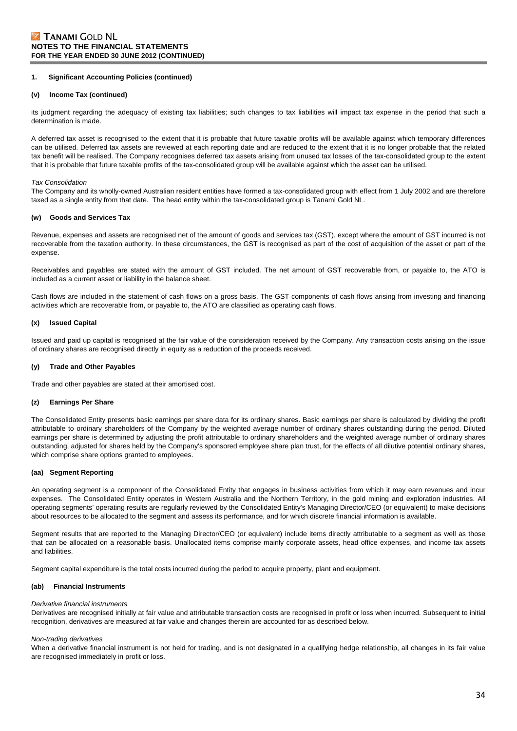#### **(v) Income Tax (continued)**

its judgment regarding the adequacy of existing tax liabilities; such changes to tax liabilities will impact tax expense in the period that such a determination is made.

A deferred tax asset is recognised to the extent that it is probable that future taxable profits will be available against which temporary differences can be utilised. Deferred tax assets are reviewed at each reporting date and are reduced to the extent that it is no longer probable that the related tax benefit will be realised. The Company recognises deferred tax assets arising from unused tax losses of the tax-consolidated group to the extent that it is probable that future taxable profits of the tax-consolidated group will be available against which the asset can be utilised.

#### *Tax Consolidation*

The Company and its wholly-owned Australian resident entities have formed a tax-consolidated group with effect from 1 July 2002 and are therefore taxed as a single entity from that date. The head entity within the tax-consolidated group is Tanami Gold NL.

#### **(w) Goods and Services Tax**

Revenue, expenses and assets are recognised net of the amount of goods and services tax (GST), except where the amount of GST incurred is not recoverable from the taxation authority. In these circumstances, the GST is recognised as part of the cost of acquisition of the asset or part of the expense.

Receivables and payables are stated with the amount of GST included. The net amount of GST recoverable from, or payable to, the ATO is included as a current asset or liability in the balance sheet.

Cash flows are included in the statement of cash flows on a gross basis. The GST components of cash flows arising from investing and financing activities which are recoverable from, or payable to, the ATO are classified as operating cash flows.

#### **(x) Issued Capital**

Issued and paid up capital is recognised at the fair value of the consideration received by the Company. Any transaction costs arising on the issue of ordinary shares are recognised directly in equity as a reduction of the proceeds received.

#### **(y) Trade and Other Payables**

Trade and other payables are stated at their amortised cost.

#### **(z) Earnings Per Share**

The Consolidated Entity presents basic earnings per share data for its ordinary shares. Basic earnings per share is calculated by dividing the profit attributable to ordinary shareholders of the Company by the weighted average number of ordinary shares outstanding during the period. Diluted earnings per share is determined by adjusting the profit attributable to ordinary shareholders and the weighted average number of ordinary shares outstanding, adjusted for shares held by the Company's sponsored employee share plan trust, for the effects of all dilutive potential ordinary shares, which comprise share options granted to employees.

#### **(aa) Segment Reporting**

An operating segment is a component of the Consolidated Entity that engages in business activities from which it may earn revenues and incur expenses. The Consolidated Entity operates in Western Australia and the Northern Territory, in the gold mining and exploration industries. All operating segments' operating results are regularly reviewed by the Consolidated Entity's Managing Director/CEO (or equivalent) to make decisions about resources to be allocated to the segment and assess its performance, and for which discrete financial information is available.

Segment results that are reported to the Managing Director/CEO (or equivalent) include items directly attributable to a segment as well as those that can be allocated on a reasonable basis. Unallocated items comprise mainly corporate assets, head office expenses, and income tax assets and liabilities.

Segment capital expenditure is the total costs incurred during the period to acquire property, plant and equipment.

#### **(ab) Financial Instruments**

#### *Derivative financial instruments*

Derivatives are recognised initially at fair value and attributable transaction costs are recognised in profit or loss when incurred. Subsequent to initial recognition, derivatives are measured at fair value and changes therein are accounted for as described below.

#### *Non-trading derivatives*

When a derivative financial instrument is not held for trading, and is not designated in a qualifying hedge relationship, all changes in its fair value are recognised immediately in profit or loss.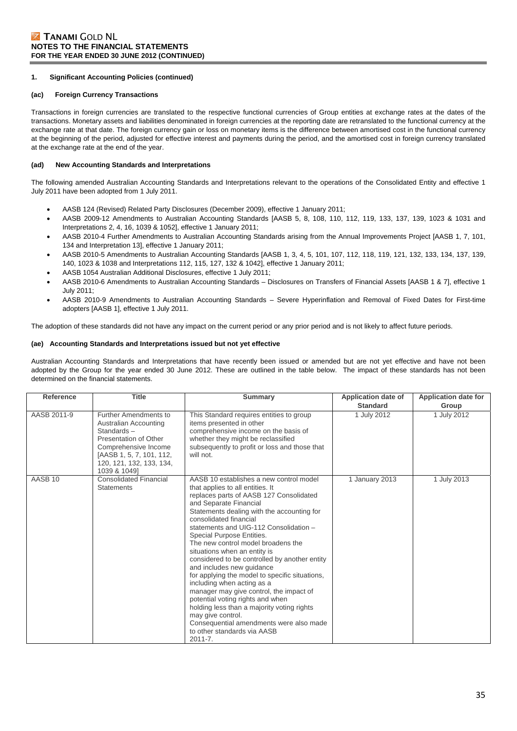#### **(ac) Foreign Currency Transactions**

Transactions in foreign currencies are translated to the respective functional currencies of Group entities at exchange rates at the dates of the transactions. Monetary assets and liabilities denominated in foreign currencies at the reporting date are retranslated to the functional currency at the exchange rate at that date. The foreign currency gain or loss on monetary items is the difference between amortised cost in the functional currency at the beginning of the period, adjusted for effective interest and payments during the period, and the amortised cost in foreign currency translated at the exchange rate at the end of the year.

#### **(ad) New Accounting Standards and Interpretations**

The following amended Australian Accounting Standards and Interpretations relevant to the operations of the Consolidated Entity and effective 1 July 2011 have been adopted from 1 July 2011.

- AASB 124 (Revised) Related Party Disclosures (December 2009), effective 1 January 2011;
- AASB 2009-12 Amendments to Australian Accounting Standards [AASB 5, 8, 108, 110, 112, 119, 133, 137, 139, 1023 & 1031 and Interpretations 2, 4, 16, 1039 & 1052], effective 1 January 2011;
- AASB 2010-4 Further Amendments to Australian Accounting Standards arising from the Annual Improvements Project [AASB 1, 7, 101, 134 and Interpretation 13], effective 1 January 2011;
- AASB 2010-5 Amendments to Australian Accounting Standards [AASB 1, 3, 4, 5, 101, 107, 112, 118, 119, 121, 132, 133, 134, 137, 139, 140, 1023 & 1038 and Interpretations 112, 115, 127, 132 & 1042], effective 1 January 2011;
- AASB 1054 Australian Additional Disclosures, effective 1 July 2011;
- AASB 2010-6 Amendments to Australian Accounting Standards Disclosures on Transfers of Financial Assets [AASB 1 & 7], effective 1 July 2011;
- AASB 2010-9 Amendments to Australian Accounting Standards Severe Hyperinflation and Removal of Fixed Dates for First-time adopters [AASB 1], effective 1 July 2011.

The adoption of these standards did not have any impact on the current period or any prior period and is not likely to affect future periods.

#### **(ae) Accounting Standards and Interpretations issued but not yet effective**

Australian Accounting Standards and Interpretations that have recently been issued or amended but are not yet effective and have not been adopted by the Group for the year ended 30 June 2012. These are outlined in the table below. The impact of these standards has not been determined on the financial statements.

| <b>Reference</b>   | <b>Title</b>                                                                                                                                                                          | Summary                                                                                                                                                                                                                                                                                                                                                                                                                                                                                                                                                                                                                                                                                                                                                                        | Application date of<br><b>Standard</b> | Application date for<br>Group |
|--------------------|---------------------------------------------------------------------------------------------------------------------------------------------------------------------------------------|--------------------------------------------------------------------------------------------------------------------------------------------------------------------------------------------------------------------------------------------------------------------------------------------------------------------------------------------------------------------------------------------------------------------------------------------------------------------------------------------------------------------------------------------------------------------------------------------------------------------------------------------------------------------------------------------------------------------------------------------------------------------------------|----------------------------------------|-------------------------------|
| AASB 2011-9        | Further Amendments to<br>Australian Accounting<br>Standards-<br>Presentation of Other<br>Comprehensive Income<br>[AASB 1, 5, 7, 101, 112,<br>120, 121, 132, 133, 134,<br>1039 & 1049] | This Standard requires entities to group<br>items presented in other<br>comprehensive income on the basis of<br>whether they might be reclassified<br>subsequently to profit or loss and those that<br>will not.                                                                                                                                                                                                                                                                                                                                                                                                                                                                                                                                                               | 1 July 2012                            | 1 July 2012                   |
| AASB <sub>10</sub> | <b>Consolidated Financial</b><br><b>Statements</b>                                                                                                                                    | AASB 10 establishes a new control model<br>that applies to all entities. It<br>replaces parts of AASB 127 Consolidated<br>and Separate Financial<br>Statements dealing with the accounting for<br>consolidated financial<br>statements and UIG-112 Consolidation -<br>Special Purpose Entities.<br>The new control model broadens the<br>situations when an entity is<br>considered to be controlled by another entity<br>and includes new guidance<br>for applying the model to specific situations,<br>including when acting as a<br>manager may give control, the impact of<br>potential voting rights and when<br>holding less than a majority voting rights<br>may give control.<br>Consequential amendments were also made<br>to other standards via AASB<br>$2011 - 7.$ | 1 January 2013                         | 1 July 2013                   |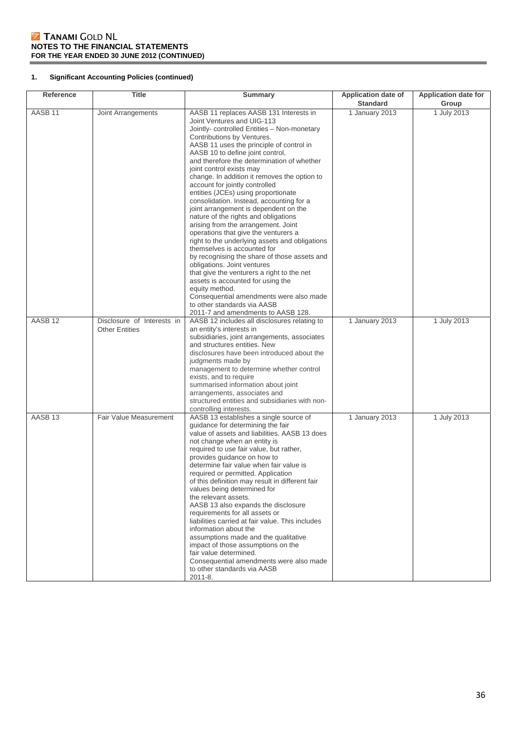# **1. Significant Accounting Policies (continued)**

| <b>Reference</b>   | <b>Title</b>                                        | <b>Summary</b>                                                                                                                                                                                                                                                                                                                                                                                                                                                                                                                                                                                                                                                                                                                                                                                                                                                                                                                                                                                                                        | <b>Application date of</b> | Application date for |
|--------------------|-----------------------------------------------------|---------------------------------------------------------------------------------------------------------------------------------------------------------------------------------------------------------------------------------------------------------------------------------------------------------------------------------------------------------------------------------------------------------------------------------------------------------------------------------------------------------------------------------------------------------------------------------------------------------------------------------------------------------------------------------------------------------------------------------------------------------------------------------------------------------------------------------------------------------------------------------------------------------------------------------------------------------------------------------------------------------------------------------------|----------------------------|----------------------|
|                    |                                                     |                                                                                                                                                                                                                                                                                                                                                                                                                                                                                                                                                                                                                                                                                                                                                                                                                                                                                                                                                                                                                                       | <b>Standard</b>            | Group                |
| AASB <sub>11</sub> | Joint Arrangements                                  | AASB 11 replaces AASB 131 Interests in<br>Joint Ventures and UIG-113<br>Jointly- controlled Entities - Non-monetary<br>Contributions by Ventures.<br>AASB 11 uses the principle of control in<br>AASB 10 to define joint control,<br>and therefore the determination of whether<br>joint control exists may<br>change. In addition it removes the option to<br>account for jointly controlled<br>entities (JCEs) using proportionate<br>consolidation. Instead, accounting for a<br>joint arrangement is dependent on the<br>nature of the rights and obligations<br>arising from the arrangement. Joint<br>operations that give the venturers a<br>right to the underlying assets and obligations<br>themselves is accounted for<br>by recognising the share of those assets and<br>obligations. Joint ventures<br>that give the venturers a right to the net<br>assets is accounted for using the<br>equity method.<br>Consequential amendments were also made<br>to other standards via AASB<br>2011-7 and amendments to AASB 128. | 1 January 2013             | 1 July 2013          |
| AASB <sub>12</sub> | Disclosure of Interests in<br><b>Other Entities</b> | AASB 12 includes all disclosures relating to<br>an entity's interests in<br>subsidiaries, joint arrangements, associates<br>and structures entities. New<br>disclosures have been introduced about the<br>judgments made by<br>management to determine whether control<br>exists, and to require<br>summarised information about joint<br>arrangements, associates and<br>structured entities and subsidiaries with non-<br>controlling interests.                                                                                                                                                                                                                                                                                                                                                                                                                                                                                                                                                                                    | 1 January 2013             | 1 July 2013          |
| AASB <sub>13</sub> | Fair Value Measurement                              | AASB 13 establishes a single source of<br>quidance for determining the fair<br>value of assets and liabilities. AASB 13 does<br>not change when an entity is<br>required to use fair value, but rather,<br>provides guidance on how to<br>determine fair value when fair value is<br>required or permitted. Application<br>of this definition may result in different fair<br>values being determined for<br>the relevant assets.<br>AASB 13 also expands the disclosure<br>requirements for all assets or<br>liabilities carried at fair value. This includes<br>information about the<br>assumptions made and the qualitative<br>impact of those assumptions on the<br>fair value determined.<br>Consequential amendments were also made<br>to other standards via AASB<br>2011-8.                                                                                                                                                                                                                                                  | 1 January 2013             | 1 July 2013          |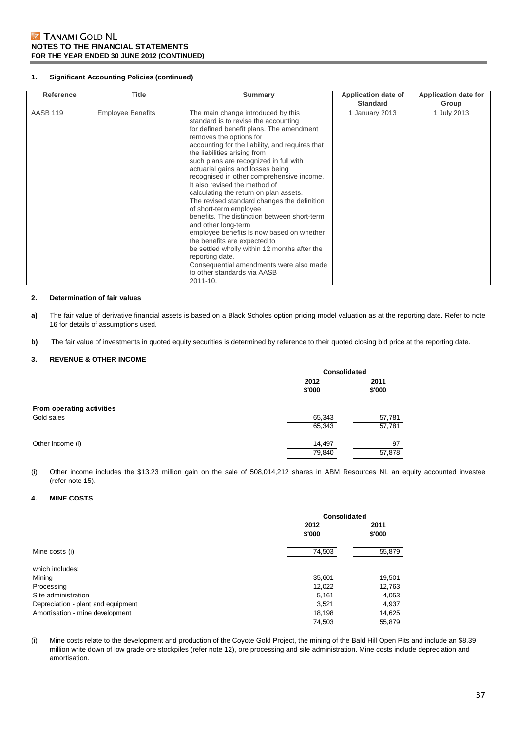#### **1. Significant Accounting Policies (continued)**

| <b>Reference</b> | Title                    | Summary                                                                                                                                                                                                                                                                                                                                                                                                                                                                                                                                                                                                                                                                                                                                                                                                                              | Application date of<br><b>Standard</b> | <b>Application date for</b><br>Group |
|------------------|--------------------------|--------------------------------------------------------------------------------------------------------------------------------------------------------------------------------------------------------------------------------------------------------------------------------------------------------------------------------------------------------------------------------------------------------------------------------------------------------------------------------------------------------------------------------------------------------------------------------------------------------------------------------------------------------------------------------------------------------------------------------------------------------------------------------------------------------------------------------------|----------------------------------------|--------------------------------------|
| <b>AASB 119</b>  | <b>Employee Benefits</b> | The main change introduced by this<br>standard is to revise the accounting<br>for defined benefit plans. The amendment<br>removes the options for<br>accounting for the liability, and requires that<br>the liabilities arising from<br>such plans are recognized in full with<br>actuarial gains and losses being<br>recognised in other comprehensive income.<br>It also revised the method of<br>calculating the return on plan assets.<br>The revised standard changes the definition<br>of short-term employee<br>benefits. The distinction between short-term<br>and other long-term<br>employee benefits is now based on whether<br>the benefits are expected to<br>be settled wholly within 12 months after the<br>reporting date.<br>Consequential amendments were also made<br>to other standards via AASB<br>$2011 - 10.$ | 1 January 2013                         | 1 July 2013                          |

#### **2. Determination of fair values**

- **a)** The fair value of derivative financial assets is based on a Black Scholes option pricing model valuation as at the reporting date. Refer to note 16 for details of assumptions used.
- **b)** The fair value of investments in quoted equity securities is determined by reference to their quoted closing bid price at the reporting date.

### **3. REVENUE & OTHER INCOME**

|                           | Consolidated |        |  |
|---------------------------|--------------|--------|--|
|                           | 2012         | 2011   |  |
|                           | \$'000       | \$'000 |  |
| From operating activities |              |        |  |
| Gold sales                | 65,343       | 57,781 |  |
|                           | 65,343       | 57,781 |  |
| Other income (i)          | 14,497       | 97     |  |
|                           | 79,840       | 57,878 |  |

(i) Other income includes the \$13.23 million gain on the sale of 508,014,212 shares in ABM Resources NL an equity accounted investee (refer note 15).

### **4. MINE COSTS**

|                                    | Consolidated |        |
|------------------------------------|--------------|--------|
|                                    | 2012         | 2011   |
|                                    | \$'000       | \$'000 |
| Mine costs (i)                     | 74,503       | 55,879 |
| which includes:                    |              |        |
| Mining                             | 35,601       | 19,501 |
| Processing                         | 12,022       | 12,763 |
| Site administration                | 5,161        | 4,053  |
| Depreciation - plant and equipment | 3,521        | 4,937  |
| Amortisation - mine development    | 18,198       | 14,625 |
|                                    | 74,503       | 55,879 |

(i) Mine costs relate to the development and production of the Coyote Gold Project, the mining of the Bald Hill Open Pits and include an \$8.39 million write down of low grade ore stockpiles (refer note 12), ore processing and site administration. Mine costs include depreciation and amortisation.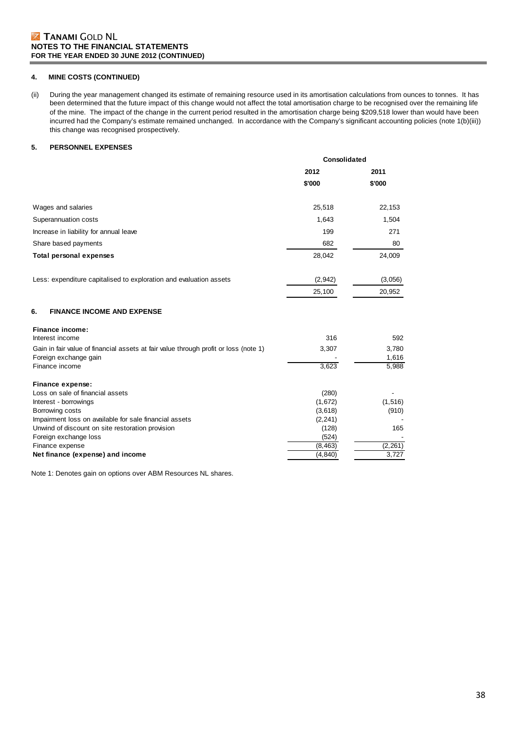### **4. MINE COSTS (CONTINUED)**

(ii) During the year management changed its estimate of remaining resource used in its amortisation calculations from ounces to tonnes. It has been determined that the future impact of this change would not affect the total amortisation charge to be recognised over the remaining life of the mine. The impact of the change in the current period resulted in the amortisation charge being \$209,518 lower than would have been incurred had the Company's estimate remained unchanged. In accordance with the Company's significant accounting policies (note 1(b)(iii)) this change was recognised prospectively.

### **5. PERSONNEL EXPENSES**

|                                                                                                               | Consolidated |                   |
|---------------------------------------------------------------------------------------------------------------|--------------|-------------------|
|                                                                                                               | 2012         | 2011              |
|                                                                                                               | \$'000       | \$'000            |
| Wages and salaries                                                                                            | 25,518       | 22,153            |
| Superannuation costs                                                                                          | 1,643        | 1,504             |
| Increase in liability for annual leave                                                                        | 199          | 271               |
| Share based payments                                                                                          | 682          | 80                |
| <b>Total personal expenses</b>                                                                                | 28,042       | 24,009            |
| Less: expenditure capitalised to exploration and evaluation assets                                            | (2,942)      | (3,056)           |
|                                                                                                               | 25,100       | 20,952            |
| 6.<br><b>FINANCE INCOME AND EXPENSE</b>                                                                       |              |                   |
| Finance income:<br>Interest income                                                                            | 316          | 592               |
| Gain in fair value of financial assets at fair value through profit or loss (note 1)<br>Foreign exchange gain | 3,307        | 3,780<br>1,616    |
| Finance income                                                                                                | 3.623        | 5,988             |
| Finance expense:                                                                                              |              |                   |
| Loss on sale of financial assets                                                                              | (280)        |                   |
| Interest - borrowings                                                                                         | (1,672)      | (1, 516)          |
| Borrowing costs                                                                                               | (3,618)      | (910)             |
| Impairment loss on available for sale financial assets                                                        | (2, 241)     |                   |
| Unwind of discount on site restoration provision                                                              | (128)        | 165               |
| Foreign exchange loss                                                                                         | (524)        |                   |
| Finance expense                                                                                               | (8, 463)     | (2, 261)<br>3,727 |
| Net finance (expense) and income                                                                              | (4, 840)     |                   |

Note 1: Denotes gain on options over ABM Resources NL shares.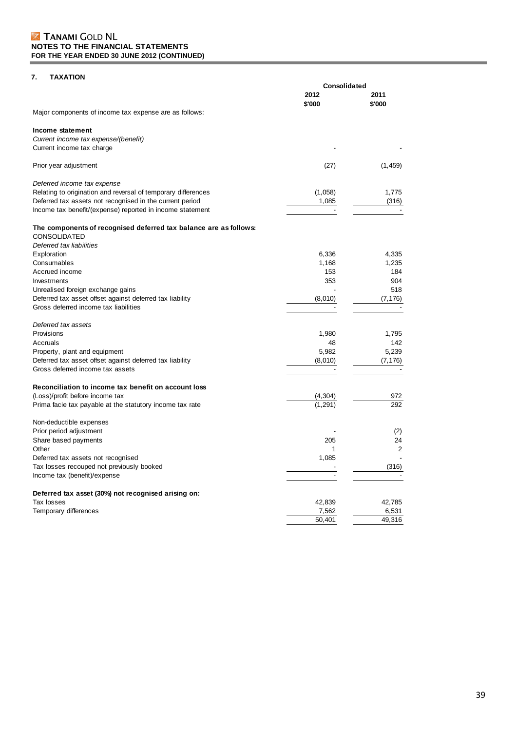## **7. TAXATION**

|                                                                                          | Consolidated   |                |  |
|------------------------------------------------------------------------------------------|----------------|----------------|--|
|                                                                                          | 2012<br>\$'000 | 2011<br>\$'000 |  |
| Major components of income tax expense are as follows:                                   |                |                |  |
| Income statement                                                                         |                |                |  |
| Current income tax expense/(benefit)                                                     |                |                |  |
| Current income tax charge                                                                |                |                |  |
| Prior year adjustment                                                                    | (27)           | (1, 459)       |  |
| Deferred income tax expense                                                              |                |                |  |
| Relating to origination and reversal of temporary differences                            | (1,058)        | 1,775          |  |
| Deferred tax assets not recognised in the current period                                 | 1,085          | (316)          |  |
| Income tax benefit/(expense) reported in income statement                                |                |                |  |
| The components of recognised deferred tax balance are as follows:<br><b>CONSOLIDATED</b> |                |                |  |
| Deferred tax liabilities                                                                 |                |                |  |
| Exploration                                                                              | 6,336          | 4,335          |  |
| Consumables                                                                              | 1,168          | 1,235          |  |
| Accrued income                                                                           | 153            | 184            |  |
| Investments                                                                              | 353            | 904            |  |
| Unrealised foreign exchange gains                                                        |                | 518            |  |
| Deferred tax asset offset against deferred tax liability                                 | (8,010)        | (7, 176)       |  |
| Gross deferred income tax liabilities                                                    |                |                |  |
| Deferred tax assets                                                                      |                |                |  |
| Provisions                                                                               | 1,980          | 1,795          |  |
| Accruals                                                                                 | 48             | 142            |  |
| Property, plant and equipment                                                            | 5,982          | 5,239          |  |
| Deferred tax asset offset against deferred tax liability                                 | (8,010)        | (7, 176)       |  |
| Gross deferred income tax assets                                                         |                |                |  |
| Reconciliation to income tax benefit on account loss                                     |                |                |  |
| (Loss)/profit before income tax                                                          | (4,304)        | 972            |  |
| Prima facie tax payable at the statutory income tax rate                                 |                | 292            |  |
| Non-deductible expenses                                                                  |                |                |  |
| Prior period adjustment                                                                  |                | (2)            |  |
| Share based payments                                                                     | 205            | 24             |  |
| Other                                                                                    | 1              | 2              |  |
| Deferred tax assets not recognised                                                       | 1,085          |                |  |
| Tax losses recouped not previously booked                                                |                | (316)          |  |
| Income tax (benefit)/expense                                                             |                |                |  |
| Deferred tax asset (30%) not recognised arising on:                                      |                |                |  |
| Tax losses                                                                               | 42,839         | 42,785         |  |
| Temporary differences                                                                    | 7,562          | 6,531          |  |
|                                                                                          | 50,401         | 49,316         |  |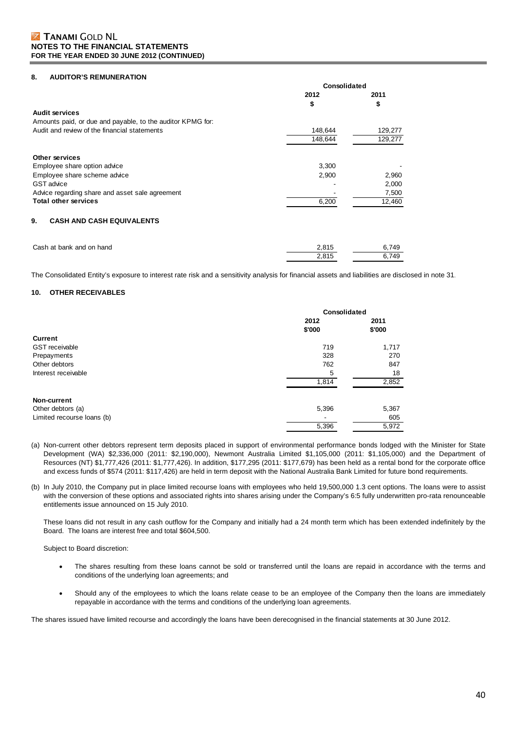#### **8. AUDITOR'S REMUNERATION**

|                                                            | Consolidated |         |
|------------------------------------------------------------|--------------|---------|
|                                                            | 2012         | 2011    |
|                                                            | \$           | \$      |
| Audit services                                             |              |         |
| Amounts paid, or due and payable, to the auditor KPMG for: |              |         |
| Audit and review of the financial statements               | 148,644      | 129,277 |
|                                                            | 148.644      | 129,277 |
| Other services                                             |              |         |
| Employee share option advice                               | 3,300        |         |
| Employee share scheme advice                               | 2.900        | 2,960   |
| <b>GST</b> advice                                          |              | 2,000   |
| Advice regarding share and asset sale agreement            |              | 7,500   |
| <b>Total other services</b>                                | 6,200        | 12,460  |
| 9.<br><b>CASH AND CASH EQUIVALENTS</b>                     |              |         |
|                                                            |              |         |

| Cash at bank and on hand | 2.815 | 6.749 |
|--------------------------|-------|-------|
|                          | 2.815 | 6.749 |

The Consolidated Entity's exposure to interest rate risk and a sensitivity analysis for financial assets and liabilities are disclosed in note 31.

### **10. OTHER RECEIVABLES**

|                            | Consolidated   |                |
|----------------------------|----------------|----------------|
|                            | 2012<br>\$'000 | 2011<br>\$'000 |
| Current                    |                |                |
| <b>GST</b> receivable      | 719            | 1,717          |
| Prepayments                | 328            | 270            |
| Other debtors              | 762            | 847            |
| Interest receivable        | 5              | 18             |
|                            | 1,814          | 2,852          |
| Non-current                |                |                |
| Other debtors (a)          | 5,396          | 5,367          |
| Limited recourse loans (b) |                | 605            |
|                            | 5,396          | 5,972          |

- (a) Non-current other debtors represent term deposits placed in support of environmental performance bonds lodged with the Minister for State Development (WA) \$2,336,000 (2011: \$2,190,000), Newmont Australia Limited \$1,105,000 (2011: \$1,105,000) and the Department of Resources (NT) \$1,777,426 (2011: \$1,777,426). In addition, \$177,295 (2011: \$177,679) has been held as a rental bond for the corporate office and excess funds of \$574 (2011: \$117,426) are held in term deposit with the National Australia Bank Limited for future bond requirements.
- (b) In July 2010, the Company put in place limited recourse loans with employees who held 19,500,000 1.3 cent options. The loans were to assist with the conversion of these options and associated rights into shares arising under the Company's 6:5 fully underwritten pro-rata renounceable entitlements issue announced on 15 July 2010.

These loans did not result in any cash outflow for the Company and initially had a 24 month term which has been extended indefinitely by the Board. The loans are interest free and total \$604,500.

Subject to Board discretion:

- The shares resulting from these loans cannot be sold or transferred until the loans are repaid in accordance with the terms and conditions of the underlying loan agreements; and
- Should any of the employees to which the loans relate cease to be an employee of the Company then the loans are immediately repayable in accordance with the terms and conditions of the underlying loan agreements.

The shares issued have limited recourse and accordingly the loans have been derecognised in the financial statements at 30 June 2012.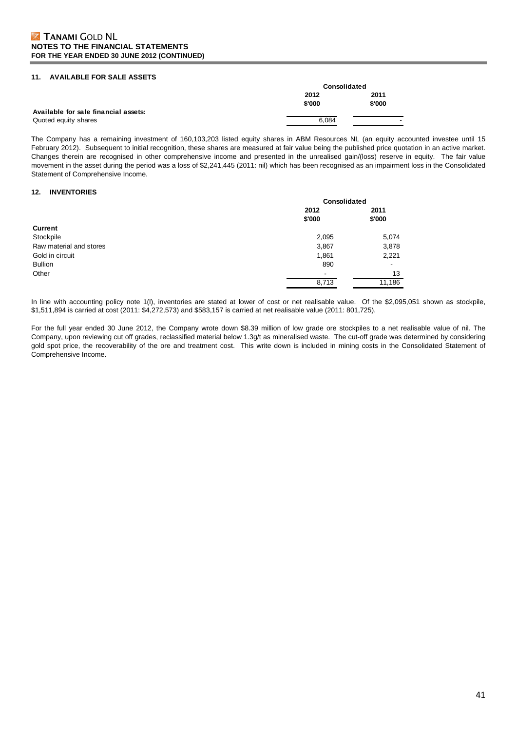#### **11. AVAILABLE FOR SALE ASSETS**

|                                      | Consolidated |        |
|--------------------------------------|--------------|--------|
|                                      | 2012         | 2011   |
|                                      | \$'000       | \$'000 |
| Available for sale financial assets: |              |        |
| Quoted equity shares                 | 6.084        | -      |

The Company has a remaining investment of 160,103,203 listed equity shares in ABM Resources NL (an equity accounted investee until 15 February 2012). Subsequent to initial recognition, these shares are measured at fair value being the published price quotation in an active market. Changes therein are recognised in other comprehensive income and presented in the unrealised gain/(loss) reserve in equity. The fair value movement in the asset during the period was a loss of \$2,241,445 (2011: nil) which has been recognised as an impairment loss in the Consolidated Statement of Comprehensive Income.

#### **12. INVENTORIES**

|                         | Consolidated             |                |
|-------------------------|--------------------------|----------------|
|                         | 2012<br>\$'000           | 2011<br>\$'000 |
| <b>Current</b>          |                          |                |
| Stockpile               | 2,095                    | 5,074          |
| Raw material and stores | 3,867                    | 3,878          |
| Gold in circuit         | 1,861                    | 2,221          |
| <b>Bullion</b>          | 890                      |                |
| Other                   | $\overline{\phantom{a}}$ | 13             |
|                         | 8,713                    | 11,186         |

In line with accounting policy note 1(l), inventories are stated at lower of cost or net realisable value. Of the \$2,095,051 shown as stockpile, \$1,511,894 is carried at cost (2011: \$4,272,573) and \$583,157 is carried at net realisable value (2011: 801,725).

For the full year ended 30 June 2012, the Company wrote down \$8.39 million of low grade ore stockpiles to a net realisable value of nil. The Company, upon reviewing cut off grades, reclassified material below 1.3g/t as mineralised waste. The cut-off grade was determined by considering gold spot price, the recoverability of the ore and treatment cost. This write down is included in mining costs in the Consolidated Statement of Comprehensive Income.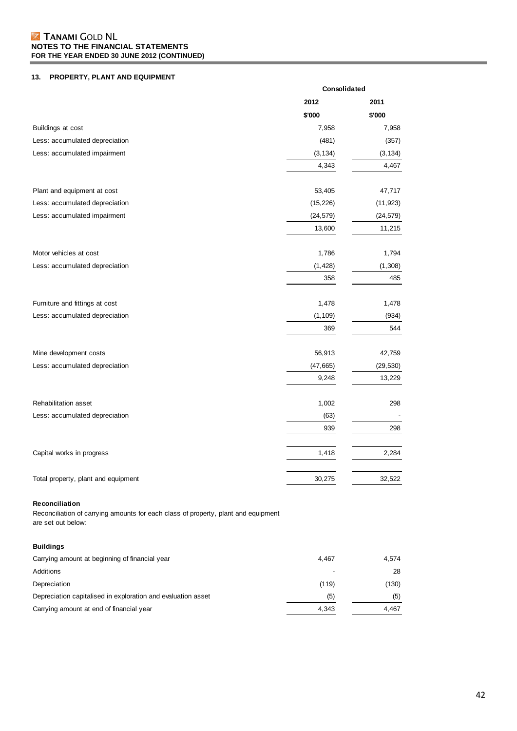## **13. PROPERTY, PLANT AND EQUIPMENT**

|                                                                                                      |           | Consolidated |  |
|------------------------------------------------------------------------------------------------------|-----------|--------------|--|
|                                                                                                      | 2012      | 2011         |  |
|                                                                                                      | \$'000    | \$'000       |  |
| Buildings at cost                                                                                    | 7,958     | 7,958        |  |
| Less: accumulated depreciation                                                                       | (481)     | (357)        |  |
| Less: accumulated impairment                                                                         | (3, 134)  | (3, 134)     |  |
|                                                                                                      | 4,343     | 4,467        |  |
| Plant and equipment at cost                                                                          | 53,405    | 47,717       |  |
| Less: accumulated depreciation                                                                       | (15, 226) | (11, 923)    |  |
| Less: accumulated impairment                                                                         | (24, 579) | (24, 579)    |  |
|                                                                                                      | 13,600    | 11,215       |  |
| Motor vehicles at cost                                                                               | 1,786     | 1,794        |  |
| Less: accumulated depreciation                                                                       | (1, 428)  | (1,308)      |  |
|                                                                                                      | 358       | 485          |  |
| Furniture and fittings at cost                                                                       | 1,478     | 1,478        |  |
| Less: accumulated depreciation                                                                       | (1, 109)  | (934)        |  |
|                                                                                                      | 369       | 544          |  |
| Mine development costs                                                                               | 56,913    | 42,759       |  |
| Less: accumulated depreciation                                                                       | (47, 665) | (29, 530)    |  |
|                                                                                                      | 9,248     | 13,229       |  |
| Rehabilitation asset                                                                                 | 1,002     | 298          |  |
| Less: accumulated depreciation                                                                       | (63)      |              |  |
|                                                                                                      | 939       | 298          |  |
| Capital works in progress                                                                            | 1,418     | 2,284        |  |
| Total property, plant and equipment                                                                  | 30,275    | 32,522       |  |
| Reconciliation<br>Reconciliation of carrying amounts for each class of property, plant and equipment |           |              |  |

are set out below:

## **Buildings**

| Carrying amount at beginning of financial year               | 4.467 | 4.574 |
|--------------------------------------------------------------|-------|-------|
| Additions                                                    | ٠     | 28    |
| Depreciation                                                 | (119) | (130) |
| Depreciation capitalised in exploration and evaluation asset | (5)   | (5)   |
| Carrying amount at end of financial year                     | 4.343 | 4.467 |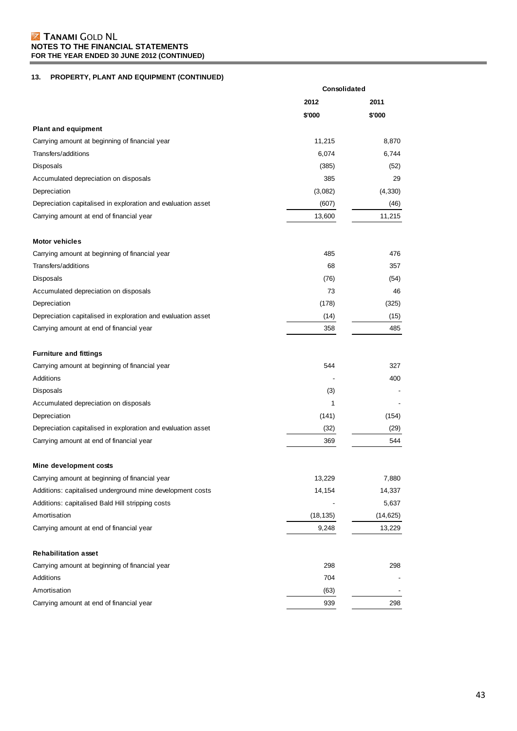## **13. PROPERTY, PLANT AND EQUIPMENT (CONTINUED)**

|                                                              | Consolidated |           |
|--------------------------------------------------------------|--------------|-----------|
|                                                              | 2012         | 2011      |
|                                                              | \$'000       | \$'000    |
| <b>Plant and equipment</b>                                   |              |           |
| Carrying amount at beginning of financial year               | 11,215       | 8,870     |
| Transfers/additions                                          | 6,074        | 6,744     |
| Disposals                                                    | (385)        | (52)      |
| Accumulated depreciation on disposals                        | 385          | 29        |
| Depreciation                                                 | (3,082)      | (4, 330)  |
| Depreciation capitalised in exploration and evaluation asset | (607)        | (46)      |
| Carrying amount at end of financial year                     | 13,600       | 11,215    |
| <b>Motor vehicles</b>                                        |              |           |
| Carrying amount at beginning of financial year               | 485          | 476       |
| Transfers/additions                                          | 68           | 357       |
| Disposals                                                    | (76)         | (54)      |
| Accumulated depreciation on disposals                        | 73           | 46        |
| Depreciation                                                 | (178)        | (325)     |
| Depreciation capitalised in exploration and evaluation asset | (14)         | (15)      |
| Carrying amount at end of financial year                     | 358          | 485       |
| <b>Furniture and fittings</b>                                |              |           |
| Carrying amount at beginning of financial year               | 544          | 327       |
| Additions                                                    |              | 400       |
| Disposals                                                    | (3)          |           |
| Accumulated depreciation on disposals                        | 1            |           |
| Depreciation                                                 | (141)        | (154)     |
| Depreciation capitalised in exploration and evaluation asset | (32)         | (29)      |
| Carrying amount at end of financial year                     | 369          | 544       |
| Mine development costs                                       |              |           |
| Carrying amount at beginning of financial year               | 13,229       | 7,880     |
| Additions: capitalised underground mine development costs    | 14,154       | 14,337    |
| Additions: capitalised Bald Hill stripping costs             |              | 5,637     |
| Amortisation                                                 | (18, 135)    | (14, 625) |
| Carrying amount at end of financial year                     | 9,248        | 13,229    |
| <b>Rehabilitation asset</b>                                  |              |           |
| Carrying amount at beginning of financial year               | 298          | 298       |
| Additions                                                    | 704          |           |
| Amortisation                                                 | (63)         |           |
| Carrying amount at end of financial year                     | 939          | 298       |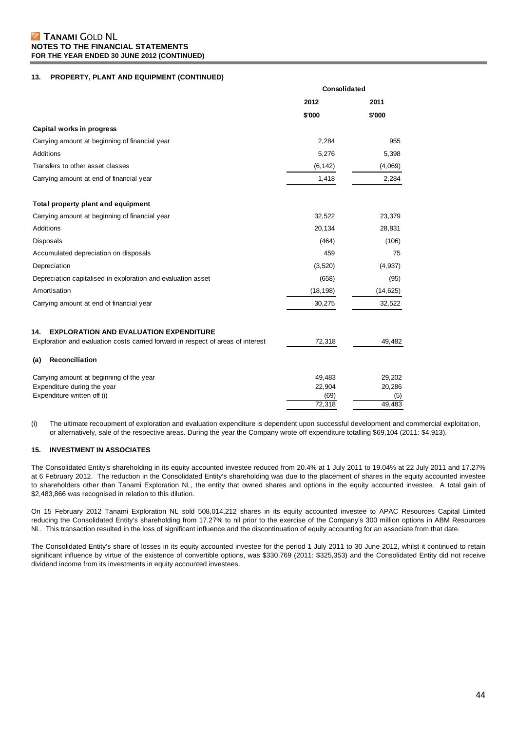### **13. PROPERTY, PLANT AND EQUIPMENT (CONTINUED)**

|                                                                                  | Consolidated   |               |
|----------------------------------------------------------------------------------|----------------|---------------|
|                                                                                  | 2012           | 2011          |
|                                                                                  | \$'000         | \$'000        |
| Capital works in progress                                                        |                |               |
| Carrying amount at beginning of financial year                                   | 2,284          | 955           |
| Additions                                                                        | 5,276          | 5,398         |
| Transfers to other asset classes                                                 | (6, 142)       | (4,069)       |
| Carrying amount at end of financial year                                         | 1,418          | 2,284         |
| Total property plant and equipment                                               |                |               |
| Carrying amount at beginning of financial year                                   | 32,522         | 23,379        |
| Additions                                                                        | 20,134         | 28,831        |
| Disposals                                                                        | (464)          | (106)         |
| Accumulated depreciation on disposals                                            | 459            | 75            |
| Depreciation                                                                     | (3,520)        | (4,937)       |
| Depreciation capitalised in exploration and evaluation asset                     | (658)          | (95)          |
| Amortisation                                                                     | (18, 198)      | (14, 625)     |
| Carrying amount at end of financial year                                         | 30,275         | 32,522        |
| 14.<br><b>EXPLORATION AND EVALUATION EXPENDITURE</b>                             |                |               |
| Exploration and evaluation costs carried forward in respect of areas of interest | 72,318         | 49,482        |
| Reconciliation<br>(a)                                                            |                |               |
| Carrying amount at beginning of the year                                         | 49,483         | 29,202        |
| Expenditure during the year                                                      | 22,904         | 20,286        |
| Expenditure written off (i)                                                      | (69)<br>72,318 | (5)<br>49,483 |
|                                                                                  |                |               |

(i) The ultimate recoupment of exploration and evaluation expenditure is dependent upon successful development and commercial exploitation, or alternatively, sale of the respective areas. During the year the Company wrote off expenditure totalling \$69,104 (2011: \$4,913).

#### **15. INVESTMENT IN ASSOCIATES**

The Consolidated Entity's shareholding in its equity accounted investee reduced from 20.4% at 1 July 2011 to 19.04% at 22 July 2011 and 17.27% at 6 February 2012. The reduction in the Consolidated Entity's shareholding was due to the placement of shares in the equity accounted investee to shareholders other than Tanami Exploration NL, the entity that owned shares and options in the equity accounted investee. A total gain of \$2,483,866 was recognised in relation to this dilution.

On 15 February 2012 Tanami Exploration NL sold 508,014,212 shares in its equity accounted investee to APAC Resources Capital Limited reducing the Consolidated Entity's shareholding from 17.27% to nil prior to the exercise of the Company's 300 million options in ABM Resources NL. This transaction resulted in the loss of significant influence and the discontinuation of equity accounting for an associate from that date.

The Consolidated Entity's share of losses in its equity accounted investee for the period 1 July 2011 to 30 June 2012, whilst it continued to retain significant influence by virtue of the existence of convertible options, was \$330,769 (2011: \$325,353) and the Consolidated Entity did not receive dividend income from its investments in equity accounted investees.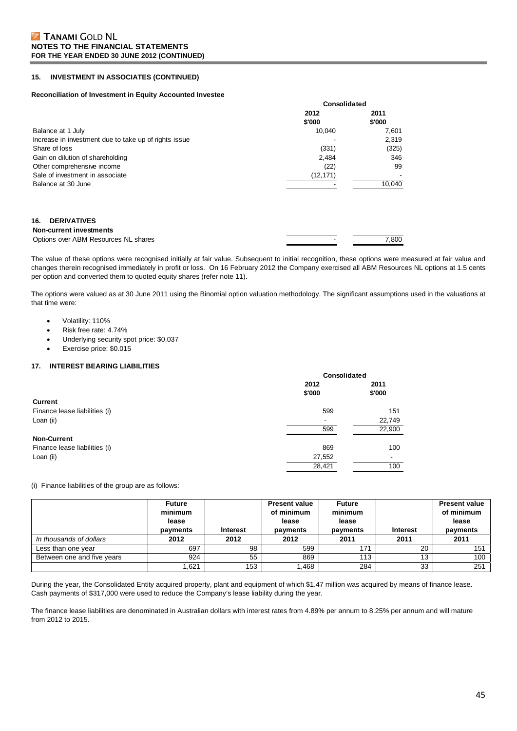#### **15. INVESTMENT IN ASSOCIATES (CONTINUED)**

#### **Reconciliation of Investment in Equity Accounted Investee**

|                                                       | <b>Consolidated</b> |        |
|-------------------------------------------------------|---------------------|--------|
|                                                       | 2012                | 2011   |
|                                                       | \$'000              | \$'000 |
| Balance at 1 July                                     | 10.040              | 7,601  |
| Increase in investment due to take up of rights issue |                     | 2,319  |
| Share of loss                                         | (331)               | (325)  |
| Gain on dilution of shareholding                      | 2,484               | 346    |
| Other comprehensive income                            | (22)                | 99     |
| Sale of investment in associate                       | (12,171)            |        |
| Balance at 30 June                                    |                     | 10.040 |

#### **16. DERIVATIVES**

#### **Non-current investments**

| Non-current investments              |       |
|--------------------------------------|-------|
| Options over ABM Resources NL shares | 7.800 |
|                                      |       |

The value of these options were recognised initially at fair value. Subsequent to initial recognition, these options were measured at fair value and changes therein recognised immediately in profit or loss. On 16 February 2012 the Company exercised all ABM Resources NL options at 1.5 cents per option and converted them to quoted equity shares (refer note 11).

The options were valued as at 30 June 2011 using the Binomial option valuation methodology. The significant assumptions used in the valuations at that time were:

**Consolidated**

- Volatility: 110%
- Risk free rate: 4.74%
- Underlying security spot price: \$0.037
- Exercise price: \$0.015

### **17. INTEREST BEARING LIABILITIES**

|                               | <b>UUIISUIIUAIGU</b> |        |
|-------------------------------|----------------------|--------|
|                               | 2012                 | 2011   |
|                               | \$'000               | \$'000 |
| <b>Current</b>                |                      |        |
| Finance lease liabilities (i) | 599                  | 151    |
| Loan (ii)                     |                      | 22,749 |
|                               | 599                  | 22,900 |
| <b>Non-Current</b>            |                      |        |
| Finance lease liabilities (i) | 869                  | 100    |
| Loan (ii)                     | 27,552               |        |
|                               | 28,421               | 100    |

(i) Finance liabilities of the group are as follows:

|                            | <b>Future</b><br>minimum<br>lease<br>payments | <b>Interest</b> | <b>Present value</b><br>of minimum<br>lease<br>payments | <b>Future</b><br>minimum<br>lease<br>payments | <b>Interest</b> | <b>Present value</b><br>of minimum<br>lease<br>payments |
|----------------------------|-----------------------------------------------|-----------------|---------------------------------------------------------|-----------------------------------------------|-----------------|---------------------------------------------------------|
| In thousands of dollars    | 2012                                          | 2012            | 2012                                                    | 2011                                          | 2011            | 2011                                                    |
| Less than one year         | 697                                           | 98              | 599                                                     | 171                                           | 20              | 151                                                     |
| Between one and five years | 924                                           | 55              | 869                                                     | 113                                           | 13              | 100                                                     |
|                            | .621                                          | 153             | .468                                                    | 284                                           | 33              | 251                                                     |

During the year, the Consolidated Entity acquired property, plant and equipment of which \$1.47 million was acquired by means of finance lease. Cash payments of \$317,000 were used to reduce the Company's lease liability during the year.

The finance lease liabilities are denominated in Australian dollars with interest rates from 4.89% per annum to 8.25% per annum and will mature from 2012 to 2015.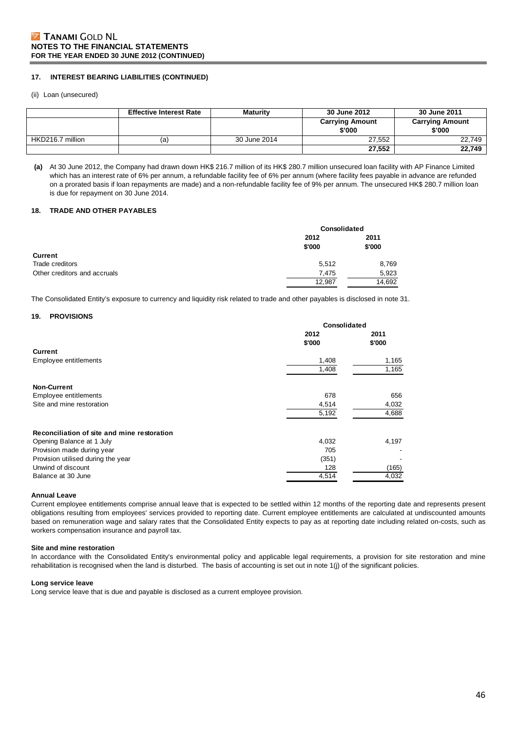#### **17. INTEREST BEARING LIABILITIES (CONTINUED)**

(ii) Loan (unsecured)

|                  | <b>Effective Interest Rate</b> | Maturity     | 30 June 2012                     | 30 June 2011                     |
|------------------|--------------------------------|--------------|----------------------------------|----------------------------------|
|                  |                                |              | <b>Carrying Amount</b><br>\$'000 | <b>Carrying Amount</b><br>\$'000 |
| HKD216.7 million | (a)                            | 30 June 2014 | 27.552                           | 22.749                           |
|                  |                                |              | 27,552                           | 22,749                           |

**(a)** At 30 June 2012, the Company had drawn down HK\$ 216.7 million of its HK\$ 280.7 million unsecured loan facility with AP Finance Limited which has an interest rate of 6% per annum, a refundable facility fee of 6% per annum (where facility fees payable in advance are refunded on a prorated basis if loan repayments are made) and a non-refundable facility fee of 9% per annum. The unsecured HK\$ 280.7 million loan is due for repayment on 30 June 2014.

#### **18. TRADE AND OTHER PAYABLES**

|                              | Consolidated |        |  |
|------------------------------|--------------|--------|--|
|                              | 2012         | 2011   |  |
|                              | \$'000       | \$'000 |  |
| <b>Current</b>               |              |        |  |
| Trade creditors              | 5,512        | 8,769  |  |
| Other creditors and accruals | 7.475        | 5,923  |  |
|                              | 12,987       | 14,692 |  |

The Consolidated Entity's exposure to currency and liquidity risk related to trade and other payables is disclosed in note 31.

#### **19. PROVISIONS**

|                                             | Consolidated |        |
|---------------------------------------------|--------------|--------|
|                                             | 2012         | 2011   |
|                                             | \$'000       | \$'000 |
| <b>Current</b>                              |              |        |
| Employee entitlements                       | 1,408        | 1,165  |
|                                             | 1,408        | 1,165  |
| <b>Non-Current</b>                          |              |        |
| Employee entitlements                       | 678          | 656    |
| Site and mine restoration                   | 4,514        | 4,032  |
|                                             | 5,192        | 4,688  |
| Reconciliation of site and mine restoration |              |        |
| Opening Balance at 1 July                   | 4,032        | 4,197  |
| Provision made during year                  | 705          |        |
| Provision utilised during the year          | (351)        |        |
| Unwind of discount                          | 128          | (165)  |
| Balance at 30 June                          | 4,514        | 4,032  |

**Annual Leave** 

Current employee entitlements comprise annual leave that is expected to be settled within 12 months of the reporting date and represents present obligations resulting from employees' services provided to reporting date. Current employee entitlements are calculated at undiscounted amounts based on remuneration wage and salary rates that the Consolidated Entity expects to pay as at reporting date including related on-costs, such as workers compensation insurance and payroll tax.

#### **Site and mine restoration**

In accordance with the Consolidated Entity's environmental policy and applicable legal requirements, a provision for site restoration and mine rehabilitation is recognised when the land is disturbed. The basis of accounting is set out in note 1(j) of the significant policies.

#### **Long service leave**

Long service leave that is due and payable is disclosed as a current employee provision.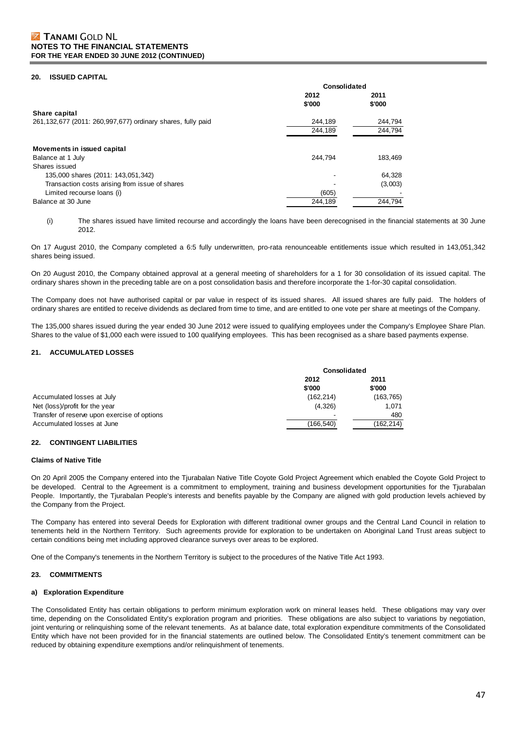#### **20. ISSUED CAPITAL**

|                                                             | Consolidated |         |  |
|-------------------------------------------------------------|--------------|---------|--|
|                                                             | 2012         | 2011    |  |
|                                                             | \$'000       | \$'000  |  |
| Share capital                                               |              |         |  |
| 261,132,677 (2011: 260,997,677) ordinary shares, fully paid | 244,189      | 244,794 |  |
|                                                             | 244.189      | 244.794 |  |
| Movements in issued capital                                 |              |         |  |
| Balance at 1 July                                           | 244.794      | 183.469 |  |
| Shares issued                                               |              |         |  |
| 135,000 shares (2011: 143,051,342)                          |              | 64,328  |  |
| Transaction costs arising from issue of shares              |              | (3,003) |  |
| Limited recourse loans (i)                                  | (605)        |         |  |
| Balance at 30 June                                          | 244,189      | 244.794 |  |

(i) The shares issued have limited recourse and accordingly the loans have been derecognised in the financial statements at 30 June 2012.

On 17 August 2010, the Company completed a 6:5 fully underwritten, pro-rata renounceable entitlements issue which resulted in 143,051,342 shares being issued.

On 20 August 2010, the Company obtained approval at a general meeting of shareholders for a 1 for 30 consolidation of its issued capital. The ordinary shares shown in the preceding table are on a post consolidation basis and therefore incorporate the 1-for-30 capital consolidation.

The Company does not have authorised capital or par value in respect of its issued shares. All issued shares are fully paid. The holders of ordinary shares are entitled to receive dividends as declared from time to time, and are entitled to one vote per share at meetings of the Company.

The 135,000 shares issued during the year ended 30 June 2012 were issued to qualifying employees under the Company's Employee Share Plan. Shares to the value of \$1,000 each were issued to 100 qualifying employees. This has been recognised as a share based payments expense.

#### **21. ACCUMULATED LOSSES**

|                                              | Consolidated |           |
|----------------------------------------------|--------------|-----------|
|                                              | 2012         | 2011      |
|                                              | \$'000       | \$'000    |
| Accumulated losses at July                   | (162, 214)   | (163,765) |
| Net (loss)/profit for the year               | (4,326)      | 1.071     |
| Transfer of reserve upon exercise of options | -            | 480       |
| Accumulated losses at June                   | (166,540)    | (162,214) |

#### **22. CONTINGENT LIABILITIES**

#### **Claims of Native Title**

On 20 April 2005 the Company entered into the Tjurabalan Native Title Coyote Gold Project Agreement which enabled the Coyote Gold Project to be developed. Central to the Agreement is a commitment to employment, training and business development opportunities for the Tjurabalan People. Importantly, the Tjurabalan People's interests and benefits payable by the Company are aligned with gold production levels achieved by the Company from the Project.

The Company has entered into several Deeds for Exploration with different traditional owner groups and the Central Land Council in relation to tenements held in the Northern Territory. Such agreements provide for exploration to be undertaken on Aboriginal Land Trust areas subject to certain conditions being met including approved clearance surveys over areas to be explored.

One of the Company's tenements in the Northern Territory is subject to the procedures of the Native Title Act 1993.

#### **23. COMMITMENTS**

#### **a) Exploration Expenditure**

The Consolidated Entity has certain obligations to perform minimum exploration work on mineral leases held. These obligations may vary over time, depending on the Consolidated Entity's exploration program and priorities. These obligations are also subject to variations by negotiation, joint venturing or relinquishing some of the relevant tenements. As at balance date, total exploration expenditure commitments of the Consolidated Entity which have not been provided for in the financial statements are outlined below. The Consolidated Entity's tenement commitment can be reduced by obtaining expenditure exemptions and/or relinquishment of tenements.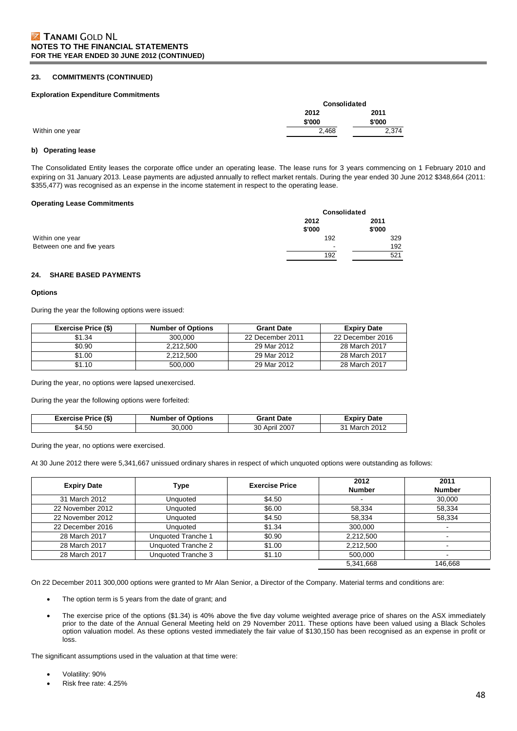#### **23. COMMITMENTS (CONTINUED)**

#### **Exploration Expenditure Commitments**

|                 | Consolidated |        |  |
|-----------------|--------------|--------|--|
|                 | 2012         | 2011   |  |
|                 | \$'000       | \$'000 |  |
| Within one year | 2,468        | 2,374  |  |

#### **b) Operating lease**

The Consolidated Entity leases the corporate office under an operating lease. The lease runs for 3 years commencing on 1 February 2010 and expiring on 31 January 2013. Lease payments are adjusted annually to reflect market rentals. During the year ended 30 June 2012 \$348,664 (2011: \$355,477) was recognised as an expense in the income statement in respect to the operating lease.

#### **Operating Lease Commitments**

|                            | Consolidated             |        |
|----------------------------|--------------------------|--------|
|                            | 2012                     | 2011   |
|                            | \$'000                   | \$'000 |
| Within one year            | 192                      | 329    |
| Between one and five years | $\overline{\phantom{0}}$ | 192    |
|                            | 192                      | 521    |

#### **24. SHARE BASED PAYMENTS**

#### **Options**

During the year the following options were issued:

| <b>Exercise Price (\$)</b> | <b>Number of Options</b> | <b>Grant Date</b> | <b>Expiry Date</b> |
|----------------------------|--------------------------|-------------------|--------------------|
| \$1.34                     | 300,000                  | 22 December 2011  | 22 December 2016   |
| \$0.90                     | 2.212.500                | 29 Mar 2012       | 28 March 2017      |
| \$1.00                     | 2.212.500                | 29 Mar 2012       | 28 March 2017      |
| \$1.10                     | 500.000                  | 29 Mar 2012       | 28 March 2017      |

During the year, no options were lapsed unexercised.

During the year the following options were forfeited:

| <b>Exercise Price (\$)</b> | <b>Number of Options</b> | <b>Grant Date</b> | Expiry Date   |
|----------------------------|--------------------------|-------------------|---------------|
| \$4.50                     | 30.000                   | 30 April 2007     | 31 March 2012 |

During the year, no options were exercised.

At 30 June 2012 there were 5,341,667 unissued ordinary shares in respect of which unquoted options were outstanding as follows:

| <b>Expiry Date</b> | Type                      | <b>Exercise Price</b> | 2012<br><b>Number</b> | 2011<br><b>Number</b> |
|--------------------|---------------------------|-----------------------|-----------------------|-----------------------|
|                    |                           |                       |                       |                       |
| 31 March 2012      | Unquoted                  | \$4.50                |                       | 30,000                |
| 22 November 2012   | Unquoted                  | \$6.00                | 58,334                | 58,334                |
| 22 November 2012   | Unauoted                  | \$4.50                | 58.334                | 58.334                |
| 22 December 2016   | Unquoted                  | \$1.34                | 300,000               |                       |
| 28 March 2017      | <b>Unquoted Tranche 1</b> | \$0.90                | 2.212.500             |                       |
| 28 March 2017      | Unquoted Tranche 2        | \$1.00                | 2,212,500             |                       |
| 28 March 2017      | Unquoted Tranche 3        | \$1.10                | 500.000               |                       |
|                    |                           |                       | 5,341,668             | 146,668               |

On 22 December 2011 300,000 options were granted to Mr Alan Senior, a Director of the Company. Material terms and conditions are:

- The option term is 5 years from the date of grant; and
- The exercise price of the options (\$1.34) is 40% above the five day volume weighted average price of shares on the ASX immediately prior to the date of the Annual General Meeting held on 29 November 2011. These options have been valued using a Black Scholes option valuation model. As these options vested immediately the fair value of \$130,150 has been recognised as an expense in profit or loss.

The significant assumptions used in the valuation at that time were:

- Volatility: 90%
- Risk free rate: 4.25%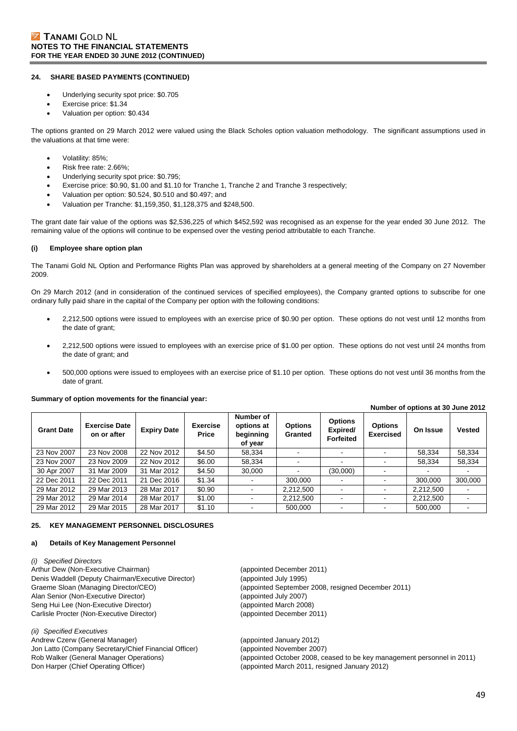#### **24. SHARE BASED PAYMENTS (CONTINUED)**

- Underlying security spot price: \$0.705
- Exercise price: \$1.34
- Valuation per option: \$0.434

The options granted on 29 March 2012 were valued using the Black Scholes option valuation methodology. The significant assumptions used in the valuations at that time were:

- Volatility: 85%;
- Risk free rate: 2.66%;
- Underlying security spot price: \$0.795;
- Exercise price: \$0.90, \$1.00 and \$1.10 for Tranche 1, Tranche 2 and Tranche 3 respectively;
- Valuation per option: \$0.524, \$0.510 and \$0.497; and
- Valuation per Tranche: \$1,159,350, \$1,128,375 and \$248,500.

The grant date fair value of the options was \$2,536,225 of which \$452,592 was recognised as an expense for the year ended 30 June 2012. The remaining value of the options will continue to be expensed over the vesting period attributable to each Tranche.

#### **(i) Employee share option plan**

The Tanami Gold NL Option and Performance Rights Plan was approved by shareholders at a general meeting of the Company on 27 November 2009.

On 29 March 2012 (and in consideration of the continued services of specified employees), the Company granted options to subscribe for one ordinary fully paid share in the capital of the Company per option with the following conditions:

- 2,212,500 options were issued to employees with an exercise price of \$0.90 per option. These options do not vest until 12 months from the date of grant;
- 2,212,500 options were issued to employees with an exercise price of \$1.00 per option. These options do not vest until 24 months from the date of grant; and
- 500,000 options were issued to employees with an exercise price of \$1.10 per option. These options do not vest until 36 months from the date of grant.

#### **Summary of option movements for the financial year:**

| <b>Grant Date</b> | <b>Exercise Date</b><br>on or after | <b>Expiry Date</b> | <b>Exercise</b><br><b>Price</b> | Number of<br>options at<br>beginning<br>of year | <b>Options</b><br>Granted | <b>Options</b><br>Expired/<br><b>Forfeited</b> | <b>Options</b><br><b>Exercised</b> | On Issue  | <b>Vested</b> |
|-------------------|-------------------------------------|--------------------|---------------------------------|-------------------------------------------------|---------------------------|------------------------------------------------|------------------------------------|-----------|---------------|
| 23 Nov 2007       | 23 Nov 2008                         | 22 Nov 2012        | \$4.50                          | 58.334                                          |                           |                                                |                                    | 58.334    | 58,334        |
| 23 Nov 2007       | 23 Nov 2009                         | 22 Nov 2012        | \$6.00                          | 58.334                                          |                           |                                                |                                    | 58,334    | 58,334        |
| 30 Apr 2007       | 31 Mar 2009                         | 31 Mar 2012        | \$4.50                          | 30.000                                          |                           | (30,000)                                       |                                    |           |               |
| 22 Dec 2011       | 22 Dec 2011                         | 21 Dec 2016        | \$1.34                          | ۰.                                              | 300.000                   |                                                |                                    | 300,000   | 300,000       |
| 29 Mar 2012       | 29 Mar 2013                         | 28 Mar 2017        | \$0.90                          | ٠                                               | 2.212.500                 |                                                | $\,$                               | 2,212,500 |               |
| 29 Mar 2012       | 29 Mar 2014                         | 28 Mar 2017        | \$1.00                          | $\blacksquare$                                  | 2,212,500                 |                                                |                                    | 2,212,500 |               |
| 29 Mar 2012       | 29 Mar 2015                         | 28 Mar 2017        | \$1.10                          | $\blacksquare$                                  | 500.000                   |                                                |                                    | 500.000   |               |

#### **25. KEY MANAGEMENT PERSONNEL DISCLOSURES**

#### **a) Details of Key Management Personnel**

*(i) Specified Directors*  Arthur Dew (Non-Executive Chairman) (appointed December 2011) Denis Waddell (Deputy Chairman/Executive Director) (appointed July 1995) Alan Senior (Non-Executive Director) (appointed July 2007) Seng Hui Lee (Non-Executive Director) (appointed March 2008) Carlisle Procter (Non-Executive Director) (appointed December 2011)

*(ii) Specified Executives*  Andrew Czerw (General Manager) (appointed January 2012) Jon Latto (Company Secretary/Chief Financial Officer) (appointed November 2007) Don Harper (Chief Operating Officer) (appointed March 2011, resigned January 2012)

Graeme Sloan (Managing Director/CEO) (appointed September 2008, resigned December 2011)

Rob Walker (General Manager Operations) (appointed October 2008, ceased to be key management personnel in 2011)

**Number of options at 30 June 2012**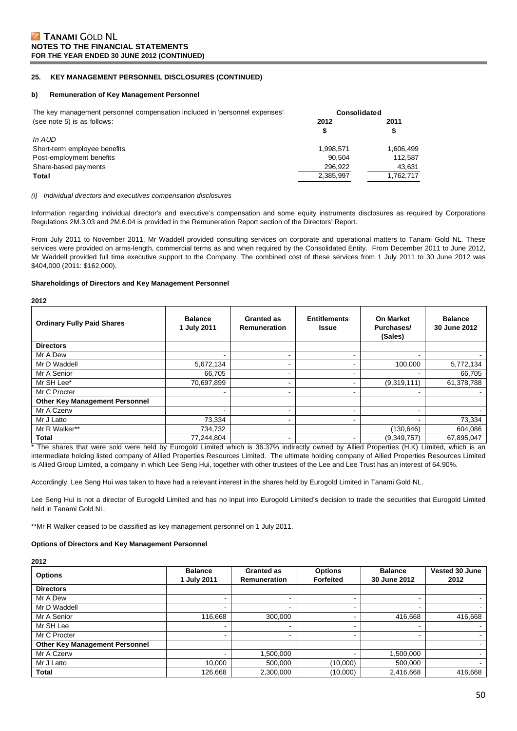### **25. KEY MANAGEMENT PERSONNEL DISCLOSURES (CONTINUED)**

#### **b) Remuneration of Key Management Personnel**

| The key management personnel compensation included in 'personnel expenses' | Consolidated |           |
|----------------------------------------------------------------------------|--------------|-----------|
| (see note 5) is as follows:                                                | 2012         | 2011      |
|                                                                            | \$           | \$        |
| In AUD                                                                     |              |           |
| Short-term employee benefits                                               | 1.998.571    | 1,606,499 |
| Post-employment benefits                                                   | 90.504       | 112.587   |
| Share-based payments                                                       | 296.922      | 43.631    |
| Total                                                                      | 2,385,997    | 1,762,717 |
|                                                                            |              |           |

#### *(i) Individual directors and executives compensation disclosures*

Information regarding individual director's and executive's compensation and some equity instruments disclosures as required by Corporations Regulations 2M.3.03 and 2M.6.04 is provided in the Remuneration Report section of the Directors' Report.

From July 2011 to November 2011, Mr Waddell provided consulting services on corporate and operational matters to Tanami Gold NL. These services were provided on arms-length, commercial terms as and when required by the Consolidated Entity. From December 2011 to June 2012, Mr Waddell provided full time executive support to the Company. The combined cost of these services from 1 July 2011 to 30 June 2012 was \$404,000 (2011: \$162,000).

#### **Shareholdings of Directors and Key Management Personnel**

**2012** 

| <b>Ordinary Fully Paid Shares</b>     | <b>Balance</b><br>1 July 2011 | <b>Granted as</b><br>Remuneration | <b>Entitlements</b><br><b>Issue</b> | <b>On Market</b><br>Purchases/<br>(Sales) | <b>Balance</b><br>30 June 2012 |
|---------------------------------------|-------------------------------|-----------------------------------|-------------------------------------|-------------------------------------------|--------------------------------|
| <b>Directors</b>                      |                               |                                   |                                     |                                           |                                |
| Mr A Dew                              |                               | $\overline{\phantom{a}}$          |                                     |                                           |                                |
| Mr D Waddell                          | 5,672,134                     | $\blacksquare$                    |                                     | 100,000                                   | 5,772,134                      |
| Mr A Senior                           | 66,705                        | $\overline{\phantom{a}}$          |                                     |                                           | 66,705                         |
| Mr SH Lee*                            | 70,697,899                    | $\blacksquare$                    |                                     | (9,319,111)                               | 61,378,788                     |
| Mr C Procter                          |                               | $\blacksquare$                    | -                                   |                                           |                                |
| <b>Other Key Management Personnel</b> |                               |                                   |                                     |                                           |                                |
| Mr A Czerw                            |                               | $\overline{\phantom{a}}$          | -                                   |                                           |                                |
| Mr J Latto                            | 73,334                        | $\overline{\phantom{a}}$          | -                                   |                                           | 73,334                         |
| Mr R Walker**                         | 734,732                       |                                   |                                     | (130,646)                                 | 604,086                        |
| <b>Total</b>                          | 77,244,804                    | ٠                                 |                                     | (9,349,757)                               | 67,895,047                     |

\* The shares that were sold were held by Eurogold Limited which is 36.37% indirectly owned by Allied Properties (H.K) Limited, which is an intermediate holding listed company of Allied Properties Resources Limited. The ultimate holding company of Allied Properties Resources Limited is Allied Group Limited, a company in which Lee Seng Hui, together with other trustees of the Lee and Lee Trust has an interest of 64.90%.

Accordingly, Lee Seng Hui was taken to have had a relevant interest in the shares held by Eurogold Limited in Tanami Gold NL.

Lee Seng Hui is not a director of Eurogold Limited and has no input into Eurogold Limited's decision to trade the securities that Eurogold Limited held in Tanami Gold NL.

\*\*Mr R Walker ceased to be classified as key management personnel on 1 July 2011.

#### **Options of Directors and Key Management Personnel**

**2012** 

| <b>Options</b>                        | <b>Balance</b><br>1 July 2011 | <b>Granted as</b><br>Remuneration | <b>Options</b><br><b>Forfeited</b> | <b>Balance</b><br>30 June 2012 | Vested 30 June<br>2012 |
|---------------------------------------|-------------------------------|-----------------------------------|------------------------------------|--------------------------------|------------------------|
| <b>Directors</b>                      |                               |                                   |                                    |                                |                        |
| Mr A Dew                              | $\blacksquare$                | $\overline{\phantom{0}}$          |                                    |                                |                        |
| Mr D Waddell                          | -                             | $\overline{\phantom{0}}$          |                                    |                                |                        |
| Mr A Senior                           | 116.668                       | 300,000                           |                                    | 416,668                        | 416,668                |
| Mr SH Lee                             |                               | $\blacksquare$                    | -                                  |                                |                        |
| Mr C Procter                          | $\sim$                        | $\overline{\phantom{0}}$          | -                                  |                                |                        |
| <b>Other Key Management Personnel</b> |                               |                                   |                                    |                                |                        |
| Mr A Czerw                            | ۰.                            | 1,500,000                         | -                                  | 1,500,000                      |                        |
| Mr J Latto                            | 10.000                        | 500.000                           | (10,000)                           | 500,000                        |                        |
| Total                                 | 126,668                       | 2,300,000                         | (10,000)                           | 2,416,668                      | 416,668                |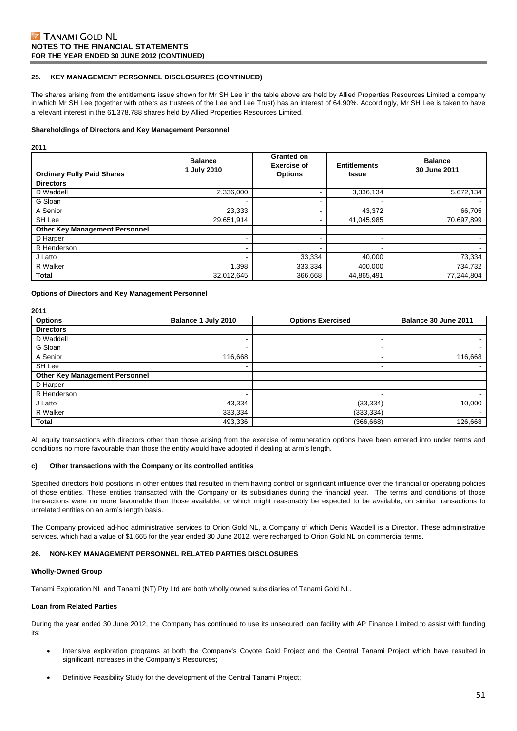#### **25. KEY MANAGEMENT PERSONNEL DISCLOSURES (CONTINUED)**

The shares arising from the entitlements issue shown for Mr SH Lee in the table above are held by Allied Properties Resources Limited a company in which Mr SH Lee (together with others as trustees of the Lee and Lee Trust) has an interest of 64.90%. Accordingly, Mr SH Lee is taken to have a relevant interest in the 61,378,788 shares held by Allied Properties Resources Limited.

#### **Shareholdings of Directors and Key Management Personnel**

**2011** 

| <b>Ordinary Fully Paid Shares</b>     | <b>Balance</b><br>1 July 2010 | <b>Granted on</b><br><b>Exercise of</b><br><b>Options</b> | <b>Entitlements</b><br><b>Issue</b> | <b>Balance</b><br>30 June 2011 |
|---------------------------------------|-------------------------------|-----------------------------------------------------------|-------------------------------------|--------------------------------|
| <b>Directors</b>                      |                               |                                                           |                                     |                                |
| D Waddell                             | 2.336.000                     |                                                           | 3,336,134                           | 5,672,134                      |
| G Sloan                               | $\overline{\phantom{a}}$      | $\overline{\phantom{0}}$                                  |                                     |                                |
| A Senior                              | 23,333                        | $\overline{\phantom{0}}$                                  | 43,372                              | 66,705                         |
| SH Lee                                | 29,651,914                    |                                                           | 41,045,985                          | 70,697,899                     |
| <b>Other Key Management Personnel</b> |                               |                                                           |                                     |                                |
| D Harper                              |                               |                                                           |                                     |                                |
| R Henderson                           | -                             |                                                           |                                     |                                |
| J Latto                               | ۰                             | 33,334                                                    | 40,000                              | 73,334                         |
| R Walker                              | 1,398                         | 333,334                                                   | 400,000                             | 734,732                        |
| Total                                 | 32,012,645                    | 366,668                                                   | 44,865,491                          | 77,244,804                     |

**Options of Directors and Key Management Personnel** 

**2011** 

| <b>Options</b>                        | Balance 1 July 2010      | <b>Options Exercised</b> | Balance 30 June 2011 |
|---------------------------------------|--------------------------|--------------------------|----------------------|
| <b>Directors</b>                      |                          |                          |                      |
| D Waddell                             | -                        |                          |                      |
| G Sloan                               | -                        | $\overline{\phantom{0}}$ |                      |
| A Senior                              | 116,668                  | $\overline{\phantom{0}}$ | 116,668              |
| SH Lee                                | $\overline{\phantom{0}}$ | $\blacksquare$           |                      |
| <b>Other Key Management Personnel</b> |                          |                          |                      |
| D Harper                              | -                        | $\overline{\phantom{0}}$ |                      |
| R Henderson                           | ۰                        | $\overline{\phantom{0}}$ | $\sim$               |
| J Latto                               | 43,334                   | (33, 334)                | 10,000               |
| R Walker                              | 333,334                  | (333, 334)               |                      |
| <b>Total</b>                          | 493,336                  | (366,668)                | 126,668              |

All equity transactions with directors other than those arising from the exercise of remuneration options have been entered into under terms and conditions no more favourable than those the entity would have adopted if dealing at arm's length.

#### **c) Other transactions with the Company or its controlled entities**

Specified directors hold positions in other entities that resulted in them having control or significant influence over the financial or operating policies of those entities. These entities transacted with the Company or its subsidiaries during the financial year. The terms and conditions of those transactions were no more favourable than those available, or which might reasonably be expected to be available, on similar transactions to unrelated entities on an arm's length basis.

The Company provided ad-hoc administrative services to Orion Gold NL, a Company of which Denis Waddell is a Director. These administrative services, which had a value of \$1,665 for the year ended 30 June 2012, were recharged to Orion Gold NL on commercial terms.

#### **26. NON-KEY MANAGEMENT PERSONNEL RELATED PARTIES DISCLOSURES**

#### **Wholly-Owned Group**

Tanami Exploration NL and Tanami (NT) Pty Ltd are both wholly owned subsidiaries of Tanami Gold NL.

#### **Loan from Related Parties**

During the year ended 30 June 2012, the Company has continued to use its unsecured loan facility with AP Finance Limited to assist with funding its:

- Intensive exploration programs at both the Company's Coyote Gold Project and the Central Tanami Project which have resulted in significant increases in the Company's Resources;
- Definitive Feasibility Study for the development of the Central Tanami Project;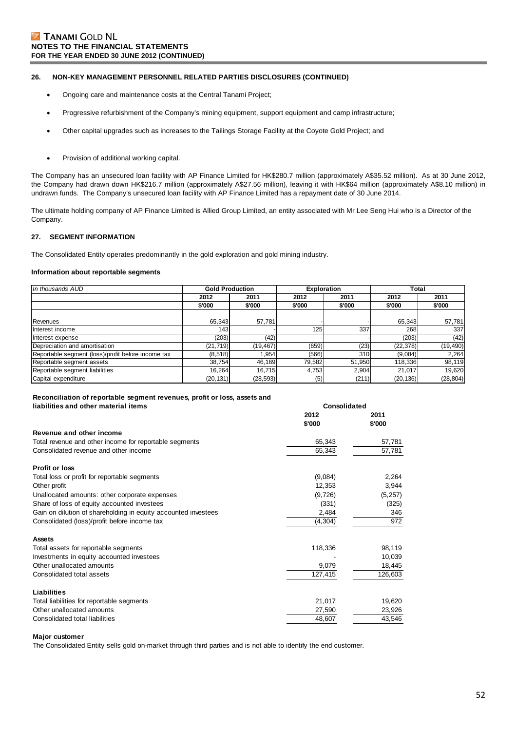#### **26. NON-KEY MANAGEMENT PERSONNEL RELATED PARTIES DISCLOSURES (CONTINUED)**

- Ongoing care and maintenance costs at the Central Tanami Project;
- Progressive refurbishment of the Company's mining equipment, support equipment and camp infrastructure;
- Other capital upgrades such as increases to the Tailings Storage Facility at the Coyote Gold Project; and
- Provision of additional working capital.

The Company has an unsecured loan facility with AP Finance Limited for HK\$280.7 million (approximately A\$35.52 million). As at 30 June 2012, the Company had drawn down HK\$216.7 million (approximately A\$27.56 million), leaving it with HK\$64 million (approximately A\$8.10 million) in undrawn funds. The Company's unsecured loan facility with AP Finance Limited has a repayment date of 30 June 2014.

The ultimate holding company of AP Finance Limited is Allied Group Limited, an entity associated with Mr Lee Seng Hui who is a Director of the Company.

### **27. SEGMENT INFORMATION**

The Consolidated Entity operates predominantly in the gold exploration and gold mining industry.

#### **Information about reportable segments**

| In thousands AUD                                   | <b>Gold Production</b> |           | <b>Exploration</b> |        | Total     |           |
|----------------------------------------------------|------------------------|-----------|--------------------|--------|-----------|-----------|
|                                                    | 2012                   | 2011      | 2012               | 2011   | 2012      | 2011      |
|                                                    | \$'000                 | \$'000    | \$'000             | \$'000 | \$'000    | \$'000    |
|                                                    |                        |           |                    |        |           |           |
| Revenues                                           | 65,343                 | 57,781    |                    |        | 65.343    | 57,781    |
| Interest income                                    | 143                    |           | 125                | 337    | 268       | 337       |
| Interest expense                                   | (203)                  | (42)      |                    |        | (203)     | (42)      |
| Depreciation and amortisation                      | (21, 719)              | (19, 467) | (659)              | (23)   | (22, 378) | (19, 490) |
| Reportable segment (loss)/profit before income tax | (8,518)                | 1.954     | (566)              | 310    | (9,084)   | 2,264     |
| Reportable segment assets                          | 38,754                 | 46.169    | 79,582             | 51,950 | 118,336   | 98,119    |
| Reportable segment liabilities                     | 16.264                 | 16.715    | 4,753              | 2.904  | 21.017    | 19,620    |
| Capital expenditure                                | (20, 131)              | (28, 593) | (5)                | (211)  | (20, 136) | (28, 804) |

**Consolidated**

#### **Reconciliation of reportable segment revenues, profit or loss, assets and liabilities and other material items**

|                                                                | 2012     | 2011     |
|----------------------------------------------------------------|----------|----------|
|                                                                | \$'000   | \$'000   |
| Revenue and other income                                       |          |          |
| Total revenue and other income for reportable segments         | 65,343   | 57,781   |
| Consolidated revenue and other income                          | 65,343   | 57,781   |
| <b>Profit or loss</b>                                          |          |          |
| Total loss or profit for reportable segments                   | (9,084)  | 2,264    |
| Other profit                                                   | 12,353   | 3,944    |
| Unallocated amounts: other corporate expenses                  | (9,726)  | (5, 257) |
| Share of loss of equity accounted investees                    | (331)    | (325)    |
| Gain on dilution of shareholding in equity accounted investees | 2,484    | 346      |
| Consolidated (loss)/profit before income tax                   | (4, 304) | 972      |
| <b>Assets</b>                                                  |          |          |
| Total assets for reportable segments                           | 118,336  | 98,119   |
| Investments in equity accounted investees                      |          | 10,039   |
| Other unallocated amounts                                      | 9,079    | 18,445   |
| Consolidated total assets                                      | 127,415  | 126,603  |
| Liabilities                                                    |          |          |
| Total liabilities for reportable segments                      | 21,017   | 19,620   |
| Other unallocated amounts                                      | 27,590   | 23,926   |
| Consolidated total liabilities                                 | 48,607   | 43,546   |

#### **Major customer**

The Consolidated Entity sells gold on-market through third parties and is not able to identify the end customer.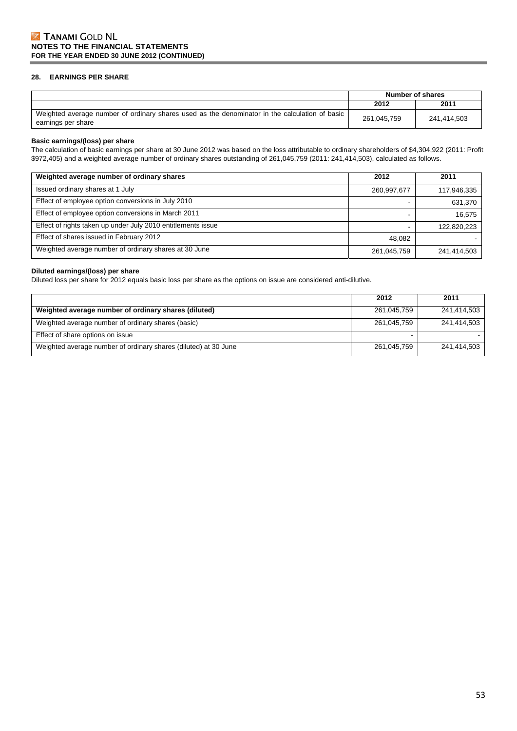### **28. EARNINGS PER SHARE**

|                                                                                                                      |             | Number of shares |
|----------------------------------------------------------------------------------------------------------------------|-------------|------------------|
|                                                                                                                      | 2012        | 2011             |
| Weighted average number of ordinary shares used as the denominator in the calculation of basic<br>earnings per share | 261.045.759 | 241.414.503      |

#### **Basic earnings/(loss) per share**

The calculation of basic earnings per share at 30 June 2012 was based on the loss attributable to ordinary shareholders of \$4,304,922 (2011: Profit \$972,405) and a weighted average number of ordinary shares outstanding of 261,045,759 (2011: 241,414,503), calculated as follows.

| Weighted average number of ordinary shares                   | 2012        | 2011        |
|--------------------------------------------------------------|-------------|-------------|
| Issued ordinary shares at 1 July                             | 260,997,677 | 117,946,335 |
| Effect of employee option conversions in July 2010           |             | 631,370     |
| Effect of employee option conversions in March 2011          |             | 16,575      |
| Effect of rights taken up under July 2010 entitlements issue |             | 122,820,223 |
| Effect of shares issued in February 2012                     | 48.082      |             |
| Weighted average number of ordinary shares at 30 June        | 261,045,759 | 241,414,503 |

### **Diluted earnings/(loss) per share**

Diluted loss per share for 2012 equals basic loss per share as the options on issue are considered anti-dilutive.

|                                                                 | 2012        | 2011        |
|-----------------------------------------------------------------|-------------|-------------|
| Weighted average number of ordinary shares (diluted)            | 261,045,759 | 241.414.503 |
| Weighted average number of ordinary shares (basic)              | 261,045,759 | 241.414.503 |
| Effect of share options on issue                                |             |             |
| Weighted average number of ordinary shares (diluted) at 30 June | 261,045,759 | 241.414.503 |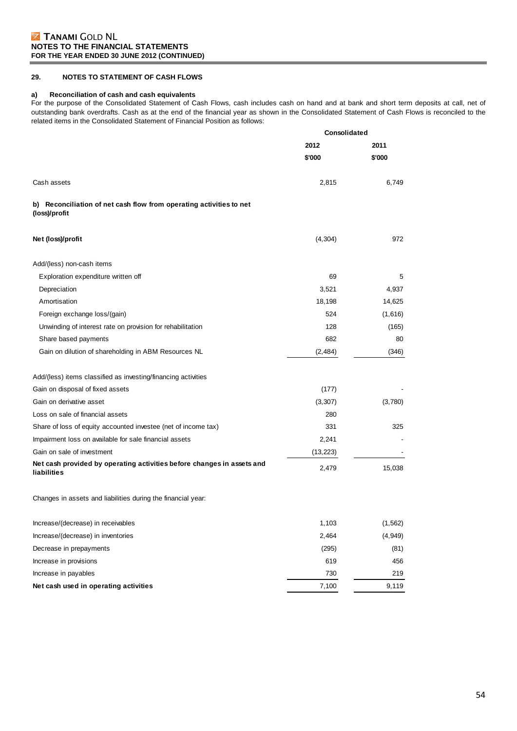### **29. NOTES TO STATEMENT OF CASH FLOWS**

#### **a) Reconciliation of cash and cash equivalents**

For the purpose of the Consolidated Statement of Cash Flows, cash includes cash on hand and at bank and short term deposits at call, net of outstanding bank overdrafts. Cash as at the end of the financial year as shown in the Consolidated Statement of Cash Flows is reconciled to the related items in the Consolidated Statement of Financial Position as follows:

|                                                                                       | Consolidated |          |
|---------------------------------------------------------------------------------------|--------------|----------|
|                                                                                       | 2012         | 2011     |
|                                                                                       | \$'000       | \$'000   |
| Cash assets                                                                           | 2,815        | 6,749    |
| b) Reconciliation of net cash flow from operating activities to net<br>(loss)/profit  |              |          |
| Net (loss)/profit                                                                     | (4, 304)     | 972      |
| Add/(less) non-cash items                                                             |              |          |
| Exploration expenditure written off                                                   | 69           | 5        |
| Depreciation                                                                          | 3,521        | 4,937    |
| Amortisation                                                                          | 18,198       | 14,625   |
| Foreign exchange loss/(gain)                                                          | 524          | (1,616)  |
| Unwinding of interest rate on provision for rehabilitation                            | 128          | (165)    |
| Share based payments                                                                  | 682          | 80       |
| Gain on dilution of shareholding in ABM Resources NL                                  | (2,484)      | (346)    |
| Add/(less) items classified as investing/financing activities                         |              |          |
| Gain on disposal of fixed assets                                                      | (177)        |          |
| Gain on derivative asset                                                              | (3, 307)     | (3,780)  |
| Loss on sale of financial assets                                                      | 280          |          |
| Share of loss of equity accounted investee (net of income tax)                        | 331          | 325      |
| Impairment loss on available for sale financial assets                                | 2,241        |          |
| Gain on sale of investment                                                            | (13, 223)    |          |
| Net cash provided by operating activities before changes in assets and<br>liabilities | 2,479        | 15,038   |
| Changes in assets and liabilities during the financial year:                          |              |          |
| Increase/(decrease) in receivables                                                    | 1,103        | (1, 562) |
| Increase/(decrease) in inventories                                                    | 2,464        | (4, 949) |
| Decrease in prepayments                                                               | (295)        | (81)     |
| Increase in provisions                                                                | 619          | 456      |
| Increase in payables                                                                  | 730          | 219      |
| Net cash used in operating activities                                                 | 7,100        | 9,119    |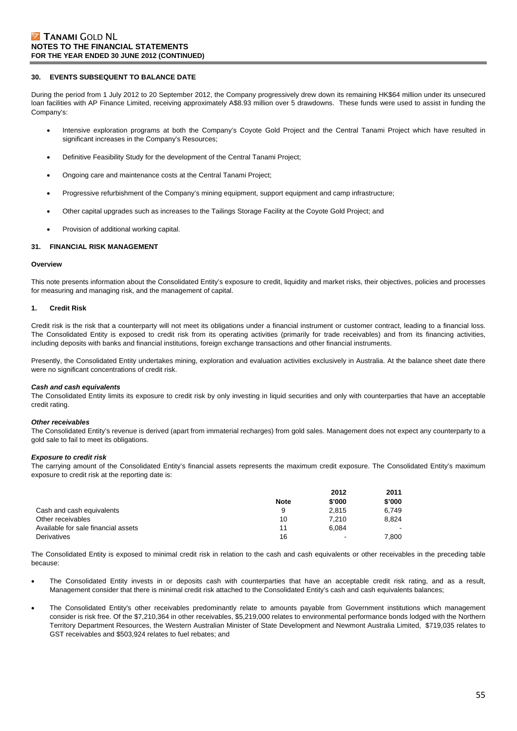#### **30. EVENTS SUBSEQUENT TO BALANCE DATE**

During the period from 1 July 2012 to 20 September 2012, the Company progressively drew down its remaining HK\$64 million under its unsecured loan facilities with AP Finance Limited, receiving approximately A\$8.93 million over 5 drawdowns. These funds were used to assist in funding the Company's:

- Intensive exploration programs at both the Company's Coyote Gold Project and the Central Tanami Project which have resulted in significant increases in the Company's Resources;
- Definitive Feasibility Study for the development of the Central Tanami Project;
- Ongoing care and maintenance costs at the Central Tanami Project;
- Progressive refurbishment of the Company's mining equipment, support equipment and camp infrastructure;
- Other capital upgrades such as increases to the Tailings Storage Facility at the Coyote Gold Project; and
- Provision of additional working capital.

#### **31. FINANCIAL RISK MANAGEMENT**

#### **Overview**

This note presents information about the Consolidated Entity's exposure to credit, liquidity and market risks, their objectives, policies and processes for measuring and managing risk, and the management of capital.

#### **1. Credit Risk**

Credit risk is the risk that a counterparty will not meet its obligations under a financial instrument or customer contract, leading to a financial loss. The Consolidated Entity is exposed to credit risk from its operating activities (primarily for trade receivables) and from its financing activities, including deposits with banks and financial institutions, foreign exchange transactions and other financial instruments.

Presently, the Consolidated Entity undertakes mining, exploration and evaluation activities exclusively in Australia. At the balance sheet date there were no significant concentrations of credit risk.

#### *Cash and cash equivalents*

The Consolidated Entity limits its exposure to credit risk by only investing in liquid securities and only with counterparties that have an acceptable credit rating.

#### *Other receivables*

The Consolidated Entity's revenue is derived (apart from immaterial recharges) from gold sales. Management does not expect any counterparty to a gold sale to fail to meet its obligations.

#### *Exposure to credit risk*

The carrying amount of the Consolidated Entity's financial assets represents the maximum credit exposure. The Consolidated Entity's maximum exposure to credit risk at the reporting date is:

|                                     |             | 2012   | 2011   |
|-------------------------------------|-------------|--------|--------|
|                                     | <b>Note</b> | \$'000 | \$'000 |
| Cash and cash equivalents           | 9           | 2.815  | 6.749  |
| Other receivables                   | 10          | 7.210  | 8.824  |
| Available for sale financial assets | 11          | 6.084  |        |
| Derivatives                         | 16          | $\sim$ | 7.800  |

The Consolidated Entity is exposed to minimal credit risk in relation to the cash and cash equivalents or other receivables in the preceding table because:

- The Consolidated Entity invests in or deposits cash with counterparties that have an acceptable credit risk rating, and as a result, Management consider that there is minimal credit risk attached to the Consolidated Entity's cash and cash equivalents balances;
- The Consolidated Entity's other receivables predominantly relate to amounts payable from Government institutions which management consider is risk free. Of the \$7,210,364 in other receivables, \$5,219,000 relates to environmental performance bonds lodged with the Northern Territory Department Resources, the Western Australian Minister of State Development and Newmont Australia Limited, \$719,035 relates to GST receivables and \$503,924 relates to fuel rebates; and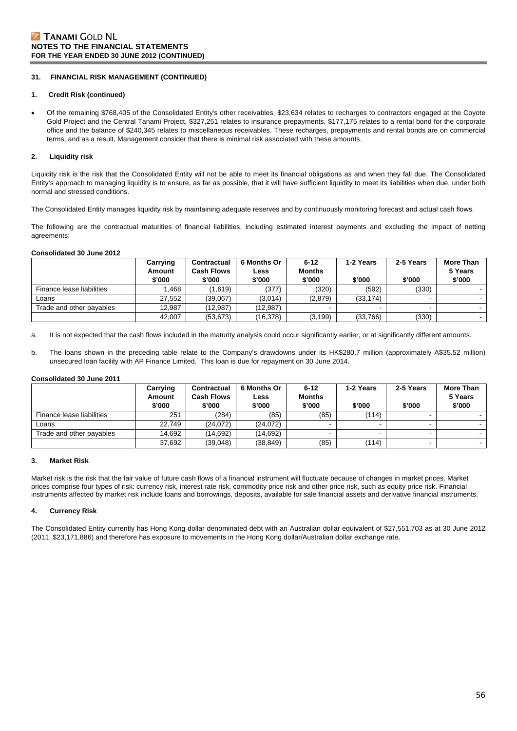### **31. FINANCIAL RISK MANAGEMENT (CONTINUED)**

#### **1. Credit Risk (continued)**

 Of the remaining \$768,405 of the Consolidated Entity's other receivables, \$23,634 relates to recharges to contractors engaged at the Coyote Gold Project and the Central Tanami Project, \$327,251 relates to insurance prepayments, \$177,175 relates to a rental bond for the corporate office and the balance of \$240,345 relates to miscellaneous receivables. These recharges, prepayments and rental bonds are on commercial terms, and as a result, Management consider that there is minimal risk associated with these amounts.

### **2. Liquidity risk**

Liquidity risk is the risk that the Consolidated Entity will not be able to meet its financial obligations as and when they fall due. The Consolidated Entity's approach to managing liquidity is to ensure, as far as possible, that it will have sufficient liquidity to meet its liabilities when due, under both normal and stressed conditions.

The Consolidated Entity manages liquidity risk by maintaining adequate reserves and by continuously monitoring forecast and actual cash flows.

The following are the contractual maturities of financial liabilities, including estimated interest payments and excluding the impact of netting agreements:

#### **Consolidated 30 June 2012**

|                           | Carrying<br>Amount<br>\$'000 | Contractual<br><b>Cash Flows</b><br>\$'000 | 6 Months Or<br>Less<br>\$'000 | $6 - 12$<br><b>Months</b><br>\$'000 | 1-2 Years<br>\$'000 | 2-5 Years<br>\$'000 | <b>More Than</b><br>5 Years<br>\$'000 |
|---------------------------|------------------------------|--------------------------------------------|-------------------------------|-------------------------------------|---------------------|---------------------|---------------------------------------|
| Finance lease liabilities | .468                         | (1.619)                                    | (377)                         | (320)                               | (592)               | (330)               |                                       |
| Loans                     | 27.552                       | (39.067)                                   | (3,014)                       | (2,879)                             | (33, 174)           |                     |                                       |
| Trade and other payables  | 12.987                       | (12.987)                                   | (12.987)                      |                                     |                     |                     |                                       |
|                           | 42,007                       | (53, 673)                                  | (16, 378)                     | (3, 199)                            | (33,766)            | (330)               |                                       |

a. It is not expected that the cash flows included in the maturity analysis could occur significantly earlier, or at significantly different amounts.

b. The loans shown in the preceding table relate to the Company's drawdowns under its HK\$280.7 million (approximately A\$35.52 million) unsecured loan facility with AP Finance Limited. This loan is due for repayment on 30 June 2014.

#### **Consolidated 30 June 2011**

|                           | Carrying         | Contractual                 | <b>6 Months Or</b> | $6 - 12$                | 1-2 Years | 2-5 Years | More Than         |
|---------------------------|------------------|-----------------------------|--------------------|-------------------------|-----------|-----------|-------------------|
|                           | Amount<br>\$'000 | <b>Cash Flows</b><br>\$'000 | Less<br>\$'000     | <b>Months</b><br>\$'000 | \$'000    | \$'000    | 5 Years<br>\$'000 |
| Finance lease liabilities | 251              | (284)                       | (85)               | (85)                    | (114)     |           |                   |
| Loans                     | 22.749           | (24.072)                    | (24,072)           | -                       |           |           |                   |
| Trade and other payables  | 14.692           | (14.692)                    | (14.692)           |                         |           |           |                   |
|                           | 37,692           | (39,048)                    | (38, 849)          | (85)                    | (114)     |           | . .               |

#### **3. Market Risk**

Market risk is the risk that the fair value of future cash flows of a financial instrument will fluctuate because of changes in market prices. Market prices comprise four types of risk: currency risk, interest rate risk, commodity price risk and other price risk, such as equity price risk. Financial instruments affected by market risk include loans and borrowings, deposits, available for sale financial assets and derivative financial instruments.

#### **4. Currency Risk**

The Consolidated Entity currently has Hong Kong dollar denominated debt with an Australian dollar equivalent of \$27,551,703 as at 30 June 2012 (2011: \$23,171,886) and therefore has exposure to movements in the Hong Kong dollar/Australian dollar exchange rate.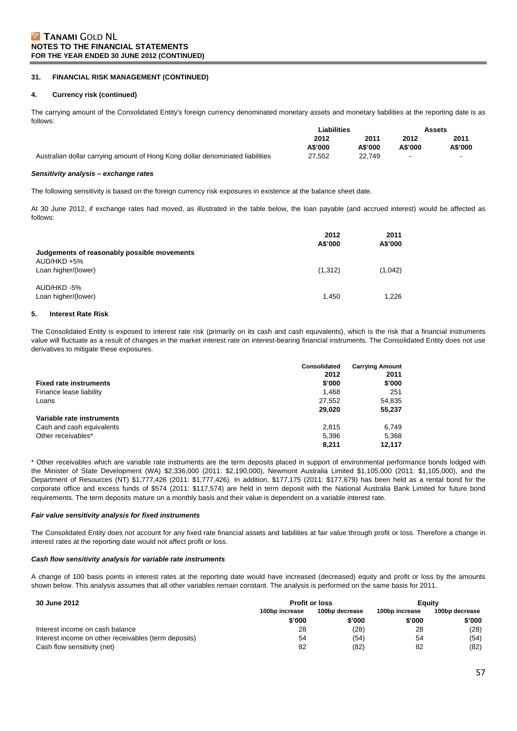#### **31. FINANCIAL RISK MANAGEMENT (CONTINUED)**

#### **4. Currency risk (continued)**

The carrying amount of the Consolidated Entity's foreign currency denominated monetary assets and monetary liabilities at the reporting date is as follows:

|                                                                               | ∟iabilities |         |         | Assets  |
|-------------------------------------------------------------------------------|-------------|---------|---------|---------|
|                                                                               | 2012        | 2011    | 2012    | 2011    |
|                                                                               | A\$'000     | A\$'000 | A\$'000 | A\$'000 |
| Australian dollar carrying amount of Hong Kong dollar denominated liabilities | 27,552      | 22.749  | $\,$    |         |

#### *Sensitivity analysis – exchange rates*

The following sensitivity is based on the foreign currency risk exposures in existence at the balance sheet date.

At 30 June 2012, if exchange rates had moved, as illustrated in the table below, the loan payable (and accrued interest) would be affected as follows:

|                                             | 2012<br>A\$'000 | 2011<br>A\$'000 |
|---------------------------------------------|-----------------|-----------------|
| Judgements of reasonably possible movements |                 |                 |
| $AUD/HKD + 5%$<br>Loan higher/(lower)       | (1,312)         | (1,042)         |
| AUD/HKD-5%<br>Loan higher/(lower)           | 1.450           | 1.226           |

#### **5. Interest Rate Risk**

The Consolidated Entity is exposed to interest rate risk (primarily on its cash and cash equivalents), which is the risk that a financial instruments value will fluctuate as a result of changes in the market interest rate on interest-bearing financial instruments. The Consolidated Entity does not use derivatives to mitigate these exposures.

|                               | <b>Consolidated</b><br>2012 | <b>Carrying Amount</b><br>2011 |
|-------------------------------|-----------------------------|--------------------------------|
| <b>Fixed rate instruments</b> | \$'000                      | \$'000                         |
| Finance lease liability       | 1.468                       | 251                            |
| Loans                         | 27,552                      | 54,835                         |
|                               | 29,020                      | 55,237                         |
| Variable rate instruments     |                             |                                |
| Cash and cash equivalents     | 2.815                       | 6,749                          |
| Other receivables*            | 5,396                       | 5,368                          |
|                               | 8.211                       | 12.117                         |

\* Other receivables which are variable rate instruments are the term deposits placed in support of environmental performance bonds lodged with the Minister of State Development (WA) \$2,336,000 (2011: \$2,190,000), Newmont Australia Limited \$1,105,000 (2011: \$1,105,000), and the Department of Resources (NT) \$1,777,426 (2011: \$1,777,426). In addition, \$177,175 (2011: \$177,679) has been held as a rental bond for the corporate office and excess funds of \$574 (2011: \$117,574) are held in term deposit with the National Australia Bank Limited for future bond requirements. The term deposits mature on a monthly basis and their value is dependent on a variable interest rate.

#### *Fair value sensitivity analysis for fixed instruments*

The Consolidated Entity does not account for any fixed rate financial assets and liabilities at fair value through profit or loss. Therefore a change in interest rates at the reporting date would not affect profit or loss.

#### *Cash flow sensitivity analysis for variable rate instruments*

A change of 100 basis points in interest rates at the reporting date would have increased (decreased) equity and profit or loss by the amounts shown below. This analysis assumes that all other variables remain constant. The analysis is performed on the same basis for 2011.

| 30 June 2012                                         | <b>Profit or loss</b>            |        | Eauity |        |                |                |
|------------------------------------------------------|----------------------------------|--------|--------|--------|----------------|----------------|
|                                                      | 100bp decrease<br>100bp increase |        |        |        | 100bp increase | 100bp decrease |
|                                                      | \$'000                           | \$'000 | \$'000 | \$'000 |                |                |
| Interest income on cash balance                      | 28                               | (28)   | 28     | (28)   |                |                |
| Interest income on other receivables (term deposits) | 54                               | (54)   | 54     | (54)   |                |                |
| Cash flow sensitivity (net)                          | 82                               | (82)   | 82     | (82)   |                |                |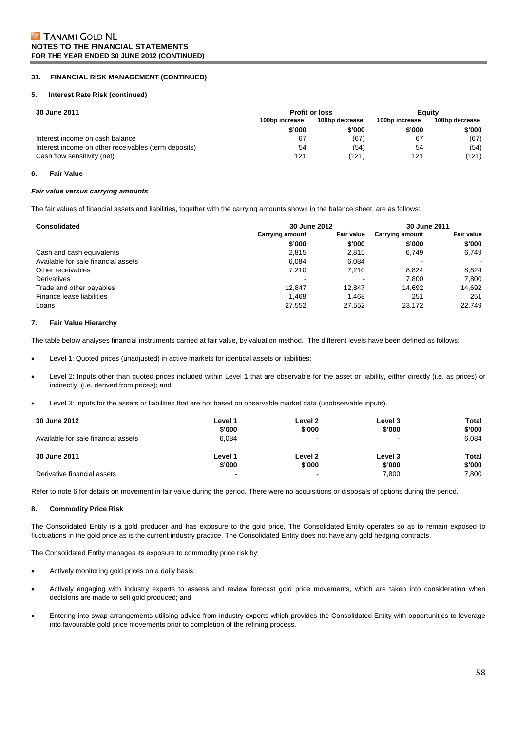#### **31. FINANCIAL RISK MANAGEMENT (CONTINUED)**

#### **5. Interest Rate Risk (continued)**

| 30 June 2011                                         | <b>Profit or loss</b>            |        | Eauity         |                |
|------------------------------------------------------|----------------------------------|--------|----------------|----------------|
|                                                      | 100bp decrease<br>100bp increase |        | 100bp increase | 100bp decrease |
|                                                      | \$'000                           | \$'000 | \$'000         | \$'000         |
| Interest income on cash balance                      | 67                               | (67)   | 67             | (67)           |
| Interest income on other receivables (term deposits) | 54                               | (54)   | 54             | (54)           |
| Cash flow sensitivity (net)                          | 121                              | (121)  | 121            | (121)          |

#### **6. Fair Value**

#### *Fair value versus carrying amounts*

The fair values of financial assets and liabilities, together with the carrying amounts shown in the balance sheet, are as follows:

| <b>Consolidated</b>                 | 30 June 2012                                |        |                        | 30 June 2011      |  |
|-------------------------------------|---------------------------------------------|--------|------------------------|-------------------|--|
|                                     | <b>Fair value</b><br><b>Carrying amount</b> |        | <b>Carrying amount</b> | <b>Fair value</b> |  |
|                                     | \$'000                                      | \$'000 | \$'000                 | \$'000            |  |
| Cash and cash equivalents           | 2.815                                       | 2.815  | 6.749                  | 6,749             |  |
| Available for sale financial assets | 6.084                                       | 6.084  |                        | $\,$ $\,$         |  |
| Other receivables                   | 7.210                                       | 7.210  | 8.824                  | 8.824             |  |
| Derivatives                         |                                             |        | 7.800                  | 7,800             |  |
| Trade and other payables            | 12.847                                      | 12.847 | 14.692                 | 14,692            |  |
| Finance lease liabilities           | 1.468                                       | 1.468  | 251                    | 251               |  |
| Loans                               | 27,552                                      | 27,552 | 23,172                 | 22.749            |  |

#### **7. Fair Value Hierarchy**

The table below analyses financial instruments carried at fair value, by valuation method. The different levels have been defined as follows:

- Level 1: Quoted prices (unadjusted) in active markets for identical assets or liabilities;
- Level 2: Inputs other than quoted prices included within Level 1 that are observable for the asset or liability, either directly (i.e. as prices) or indirectly (i.e. derived from prices); and
- Level 3: Inputs for the assets or liabilities that are not based on observable market data (unobservable inputs).

| <b>30 June 2012</b>                 | Level 1                  | Level 2                  | Level 3                  | Total  |
|-------------------------------------|--------------------------|--------------------------|--------------------------|--------|
|                                     | \$'000                   | \$'000                   | \$'000                   | \$'000 |
| Available for sale financial assets | 6.084                    | $\overline{\phantom{a}}$ | $\overline{\phantom{a}}$ | 6.084  |
| 30 June 2011                        | Level 1                  | Level 2                  | Level 3                  | Total  |
|                                     | \$'000                   | \$'000                   | \$'000                   | \$'000 |
| Derivative financial assets         | $\overline{\phantom{a}}$ | $\blacksquare$           | 7.800                    | 7.800  |

Refer to note 6 for details on movement in fair value during the period. There were no acquisitions or disposals of options during the period.

#### **8. Commodity Price Risk**

The Consolidated Entity is a gold producer and has exposure to the gold price. The Consolidated Entity operates so as to remain exposed to fluctuations in the gold price as is the current industry practice. The Consolidated Entity does not have any gold hedging contracts.

The Consolidated Entity manages its exposure to commodity price risk by:

- Actively monitoring gold prices on a daily basis;
- Actively engaging with industry experts to assess and review forecast gold price movements, which are taken into consideration when decisions are made to sell gold produced; and
- Entering into swap arrangements utilising advice from industry experts which provides the Consolidated Entity with opportunities to leverage into favourable gold price movements prior to completion of the refining process.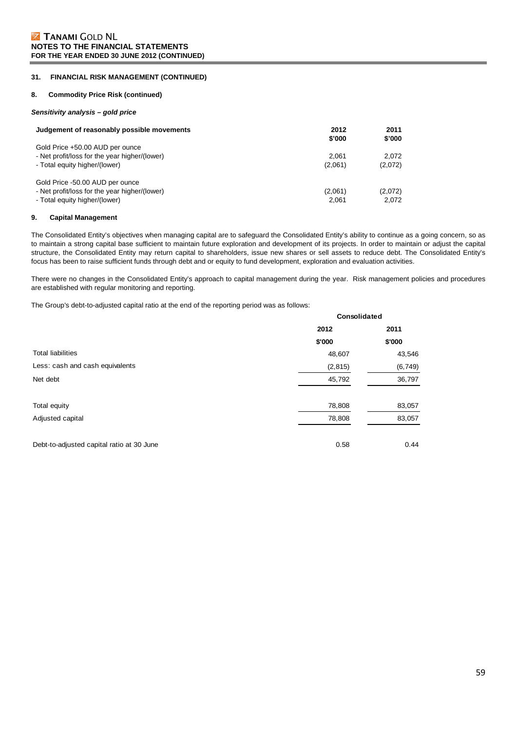### **31. FINANCIAL RISK MANAGEMENT (CONTINUED)**

#### **8. Commodity Price Risk (continued)**

#### *Sensitivity analysis – gold price*

| Judgement of reasonably possible movements                                                                        | 2012<br>\$'000   | 2011<br>\$'000   |
|-------------------------------------------------------------------------------------------------------------------|------------------|------------------|
| Gold Price +50.00 AUD per ounce<br>- Net profit/loss for the year higher/(lower)<br>- Total equity higher/(lower) | 2.061<br>(2,061) | 2.072<br>(2,072) |
| Gold Price -50.00 AUD per ounce<br>- Net profit/loss for the year higher/(lower)<br>- Total equity higher/(lower) | (2,061)<br>2.061 | (2,072)<br>2,072 |

#### **9. Capital Management**

The Consolidated Entity's objectives when managing capital are to safeguard the Consolidated Entity's ability to continue as a going concern, so as to maintain a strong capital base sufficient to maintain future exploration and development of its projects. In order to maintain or adjust the capital structure, the Consolidated Entity may return capital to shareholders, issue new shares or sell assets to reduce debt. The Consolidated Entity's focus has been to raise sufficient funds through debt and or equity to fund development, exploration and evaluation activities.

There were no changes in the Consolidated Entity's approach to capital management during the year. Risk management policies and procedures are established with regular monitoring and reporting.

The Group's debt-to-adjusted capital ratio at the end of the reporting period was as follows:

|                                           | Consolidated |          |  |
|-------------------------------------------|--------------|----------|--|
|                                           | 2012         | 2011     |  |
|                                           | \$'000       | \$'000   |  |
| <b>Total liabilities</b>                  | 48,607       | 43,546   |  |
| Less: cash and cash equivalents           | (2, 815)     | (6, 749) |  |
| Net debt                                  | 45,792       | 36,797   |  |
| Total equity                              | 78,808       | 83,057   |  |
| Adjusted capital                          | 78,808       | 83,057   |  |
| Debt-to-adjusted capital ratio at 30 June | 0.58         | 0.44     |  |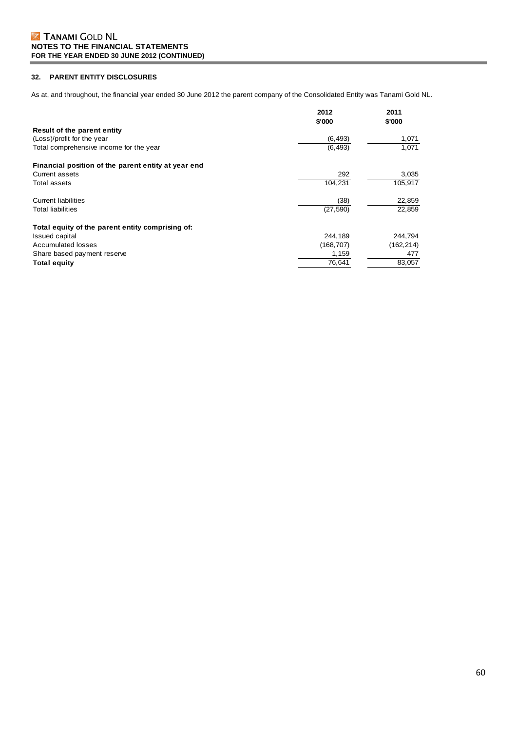### **32. PARENT ENTITY DISCLOSURES**

As at, and throughout, the financial year ended 30 June 2012 the parent company of the Consolidated Entity was Tanami Gold NL.

|                                                     | 2012<br>\$'000 | 2011<br>\$'000 |
|-----------------------------------------------------|----------------|----------------|
| Result of the parent entity                         |                |                |
| (Loss)/profit for the year                          | (6, 493)       | 1,071          |
| Total comprehensive income for the year             | (6, 493)       | 1,071          |
| Financial position of the parent entity at year end |                |                |
| <b>Current assets</b>                               | 292            | 3,035          |
| Total assets                                        | 104,231        | 105,917        |
| <b>Current liabilities</b>                          | (38)           | 22,859         |
| Total liabilities                                   | (27, 590)      | 22,859         |
| Total equity of the parent entity comprising of:    |                |                |
| <b>Issued capital</b>                               | 244,189        | 244,794        |
| Accumulated losses                                  | (168,707)      | (162, 214)     |
| Share based payment reserve                         | 1,159          | 477            |
| <b>Total equity</b>                                 | 76,641         | 83,057         |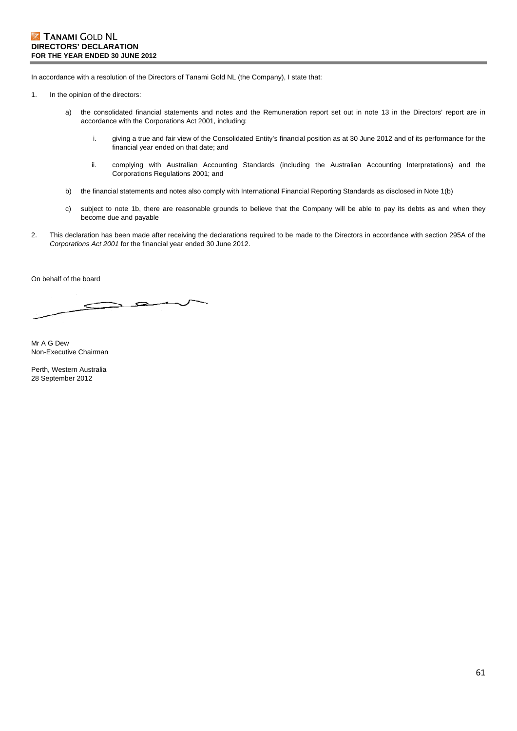In accordance with a resolution of the Directors of Tanami Gold NL (the Company), I state that:

- 1. In the opinion of the directors:
	- a) the consolidated financial statements and notes and the Remuneration report set out in note 13 in the Directors' report are in accordance with the Corporations Act 2001, including:
		- i. giving a true and fair view of the Consolidated Entity's financial position as at 30 June 2012 and of its performance for the financial year ended on that date; and
		- ii. complying with Australian Accounting Standards (including the Australian Accounting Interpretations) and the Corporations Regulations 2001; and
	- b) the financial statements and notes also comply with International Financial Reporting Standards as disclosed in Note 1(b)
	- c) subject to note 1b, there are reasonable grounds to believe that the Company will be able to pay its debts as and when they become due and payable
- 2. This declaration has been made after receiving the declarations required to be made to the Directors in accordance with section 295A of the *Corporations Act 2001* for the financial year ended 30 June 2012.

On behalf of the board

Mr A G Dew Non-Executive Chairman

Perth, Western Australia 28 September 2012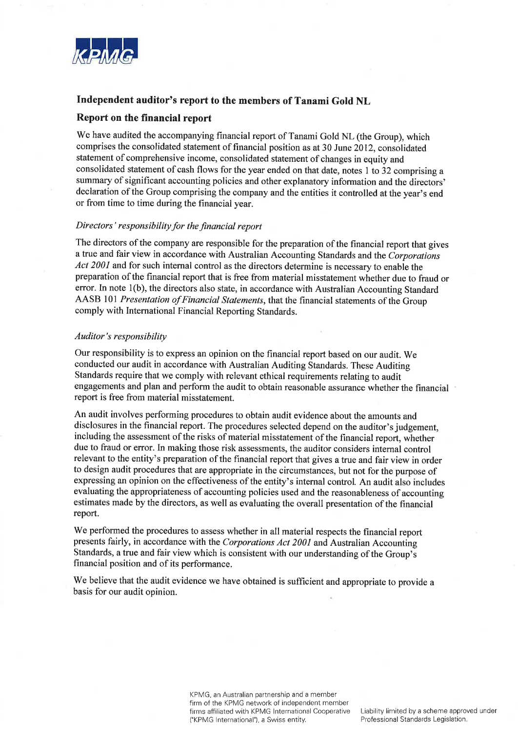

# Independent auditor's report to the members of Tanami Gold NL

# Report on the financial report

We have audited the accompanying financial report of Tanami Gold NL (the Group), which comprises the consolidated statement of financial position as at 30 June 2012, consolidated statement of comprehensive income, consolidated statement of changes in equity and consolidated statement of cash flows for the year ended on that date, notes 1 to 32 comprising a summary of significant accounting policies and other explanatory information and the directors' declaration of the Group comprising the company and the entities it controlled at the year's end or from time to time during the financial year.

### Directors' responsibility for the financial report

The directors of the company are responsible for the preparation of the financial report that gives a true and fair view in accordance with Australian Accounting Standards and the Corporations Act 2001 and for such internal control as the directors determine is necessary to enable the preparation of the financial report that is free from material misstatement whether due to fraud or error. In note 1(b), the directors also state, in accordance with Australian Accounting Standard AASB 101 Presentation of Financial Statements, that the financial statements of the Group comply with International Financial Reporting Standards.

# Auditor's responsibility

Our responsibility is to express an opinion on the financial report based on our audit. We conducted our audit in accordance with Australian Auditing Standards. These Auditing Standards require that we comply with relevant ethical requirements relating to audit engagements and plan and perform the audit to obtain reasonable assurance whether the financial report is free from material misstatement.

An audit involves performing procedures to obtain audit evidence about the amounts and disclosures in the financial report. The procedures selected depend on the auditor's judgement, including the assessment of the risks of material misstatement of the financial report, whether due to fraud or error. In making those risk assessments, the auditor considers internal control relevant to the entity's preparation of the financial report that gives a true and fair view in order to design audit procedures that are appropriate in the circumstances, but not for the purpose of expressing an opinion on the effectiveness of the entity's internal control. An audit also includes evaluating the appropriateness of accounting policies used and the reasonableness of accounting estimates made by the directors, as well as evaluating the overall presentation of the financial report.

We performed the procedures to assess whether in all material respects the financial report presents fairly, in accordance with the Corporations Act 2001 and Australian Accounting Standards, a true and fair view which is consistent with our understanding of the Group's financial position and of its performance.

We believe that the audit evidence we have obtained is sufficient and appropriate to provide a basis for our audit opinion.

> KPMG, an Australian partnership and a member firm of the KPMG network of independent member firms affiliated with KPMG International Cooperative ("KPMG International"), a Swiss entity.

Liability limited by a scheme approved under Professional Standards Legislation.